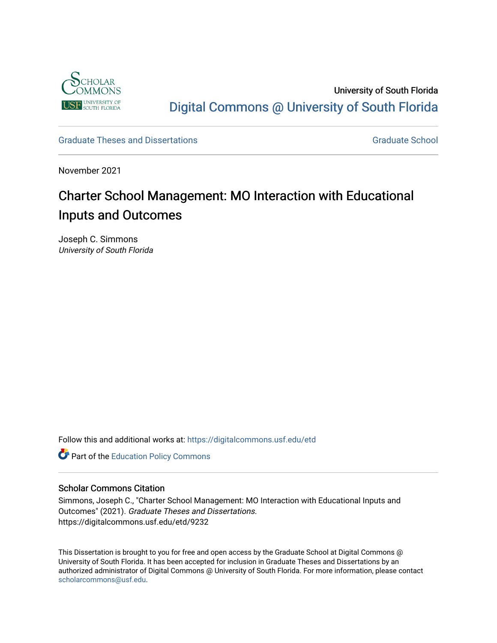

University of South Florida [Digital Commons @ University of South Florida](https://digitalcommons.usf.edu/) 

### [Graduate Theses and Dissertations](https://digitalcommons.usf.edu/etd) [Graduate School](https://digitalcommons.usf.edu/grad) Craduate School Craduate School

November 2021

# Charter School Management: MO Interaction with Educational Inputs and Outcomes

Joseph C. Simmons University of South Florida

Follow this and additional works at: [https://digitalcommons.usf.edu/etd](https://digitalcommons.usf.edu/etd?utm_source=digitalcommons.usf.edu%2Fetd%2F9232&utm_medium=PDF&utm_campaign=PDFCoverPages) 

**Part of the [Education Policy Commons](http://network.bepress.com/hgg/discipline/1026?utm_source=digitalcommons.usf.edu%2Fetd%2F9232&utm_medium=PDF&utm_campaign=PDFCoverPages)** 

#### Scholar Commons Citation

Simmons, Joseph C., "Charter School Management: MO Interaction with Educational Inputs and Outcomes" (2021). Graduate Theses and Dissertations. https://digitalcommons.usf.edu/etd/9232

This Dissertation is brought to you for free and open access by the Graduate School at Digital Commons @ University of South Florida. It has been accepted for inclusion in Graduate Theses and Dissertations by an authorized administrator of Digital Commons @ University of South Florida. For more information, please contact [scholarcommons@usf.edu.](mailto:scholarcommons@usf.edu)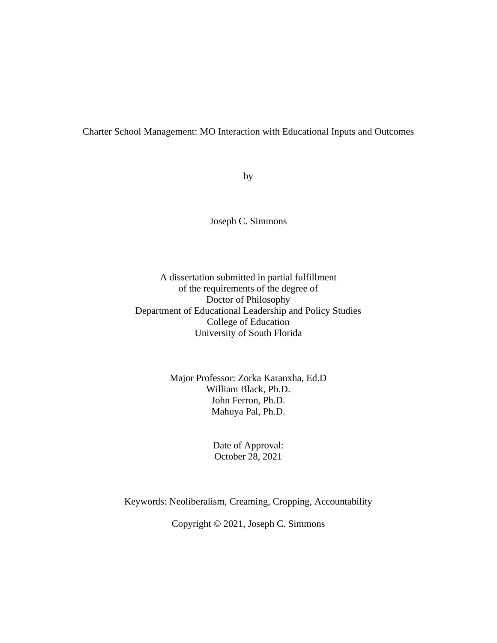# Charter School Management: MO Interaction with Educational Inputs and Outcomes

by

Joseph C. Simmons

## A dissertation submitted in partial fulfillment of the requirements of the degree of Doctor of Philosophy Department of Educational Leadership and Policy Studies College of Education University of South Florida

### Major Professor: Zorka Karanxha, Ed.D William Black, Ph.D. John Ferron, Ph.D. Mahuya Pal, Ph.D.

Date of Approval: October 28, 2021

Keywords: Neoliberalism, Creaming, Cropping, Accountability

Copyright © 2021, Joseph C. Simmons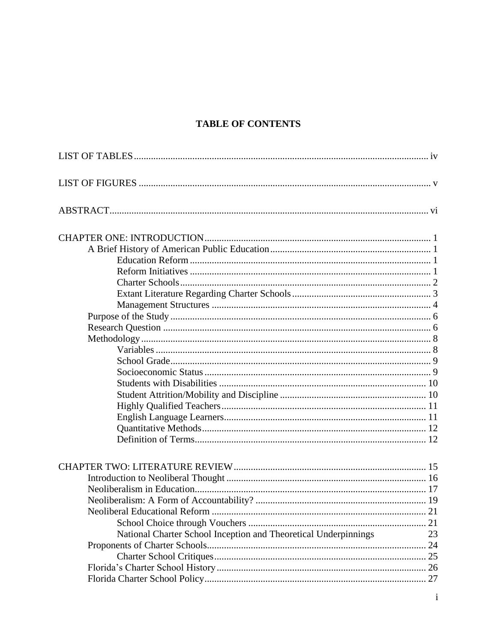# **TABLE OF CONTENTS**

| National Charter School Inception and Theoretical Underpinnings | 23 |
|-----------------------------------------------------------------|----|
|                                                                 |    |
|                                                                 |    |
|                                                                 |    |
|                                                                 |    |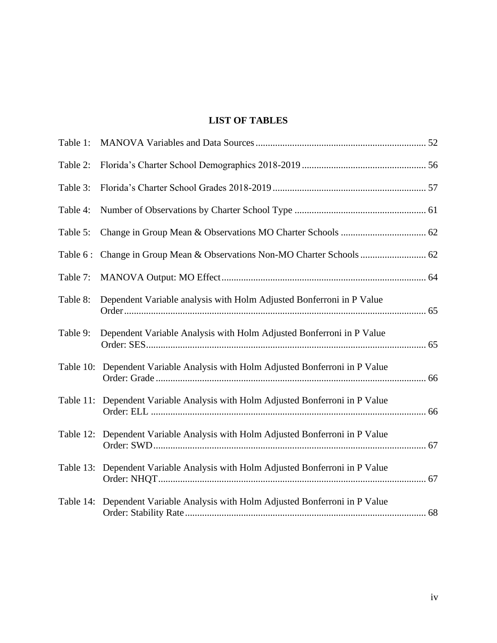# **LIST OF TABLES**

<span id="page-5-0"></span>

| Table 1:  |                                                                                |  |
|-----------|--------------------------------------------------------------------------------|--|
| Table 2:  |                                                                                |  |
| Table 3:  |                                                                                |  |
| Table 4:  |                                                                                |  |
| Table 5:  |                                                                                |  |
| Table 6 : |                                                                                |  |
| Table 7:  |                                                                                |  |
| Table 8:  | Dependent Variable analysis with Holm Adjusted Bonferroni in P Value           |  |
| Table 9:  | Dependent Variable Analysis with Holm Adjusted Bonferroni in P Value           |  |
| Table 10: | Dependent Variable Analysis with Holm Adjusted Bonferroni in P Value           |  |
|           | Table 11: Dependent Variable Analysis with Holm Adjusted Bonferroni in P Value |  |
| Table 12: | Dependent Variable Analysis with Holm Adjusted Bonferroni in P Value           |  |
| Table 13: | Dependent Variable Analysis with Holm Adjusted Bonferroni in P Value           |  |
| Table 14: | Dependent Variable Analysis with Holm Adjusted Bonferroni in P Value           |  |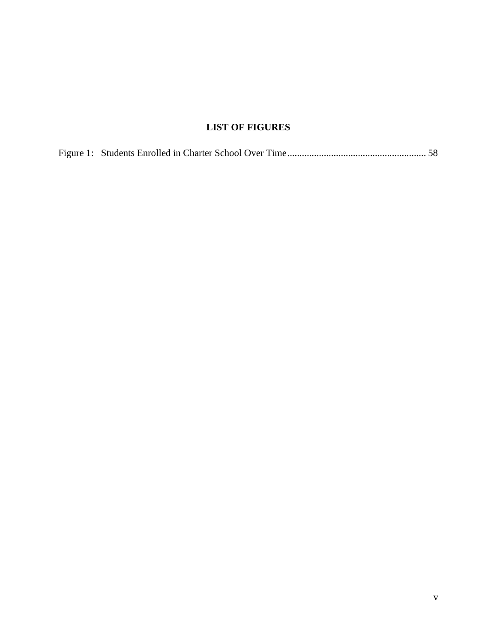# **LIST OF FIGURES**

<span id="page-6-0"></span>

|--|--|--|--|--|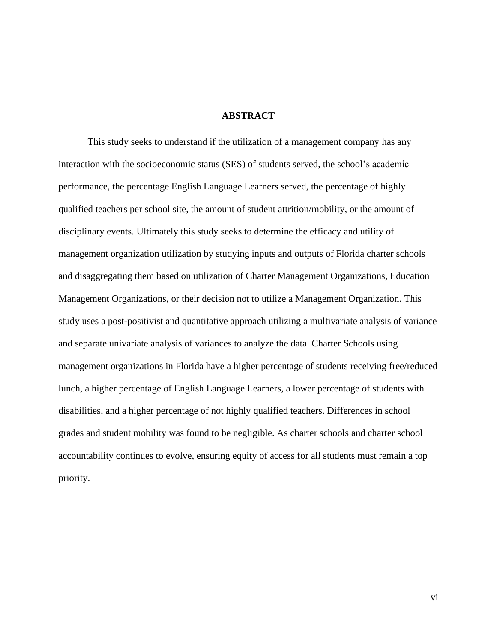#### **ABSTRACT**

<span id="page-7-0"></span>This study seeks to understand if the utilization of a management company has any interaction with the socioeconomic status (SES) of students served, the school's academic performance, the percentage English Language Learners served, the percentage of highly qualified teachers per school site, the amount of student attrition/mobility, or the amount of disciplinary events. Ultimately this study seeks to determine the efficacy and utility of management organization utilization by studying inputs and outputs of Florida charter schools and disaggregating them based on utilization of Charter Management Organizations, Education Management Organizations, or their decision not to utilize a Management Organization. This study uses a post-positivist and quantitative approach utilizing a multivariate analysis of variance and separate univariate analysis of variances to analyze the data. Charter Schools using management organizations in Florida have a higher percentage of students receiving free/reduced lunch, a higher percentage of English Language Learners, a lower percentage of students with disabilities, and a higher percentage of not highly qualified teachers. Differences in school grades and student mobility was found to be negligible. As charter schools and charter school accountability continues to evolve, ensuring equity of access for all students must remain a top priority.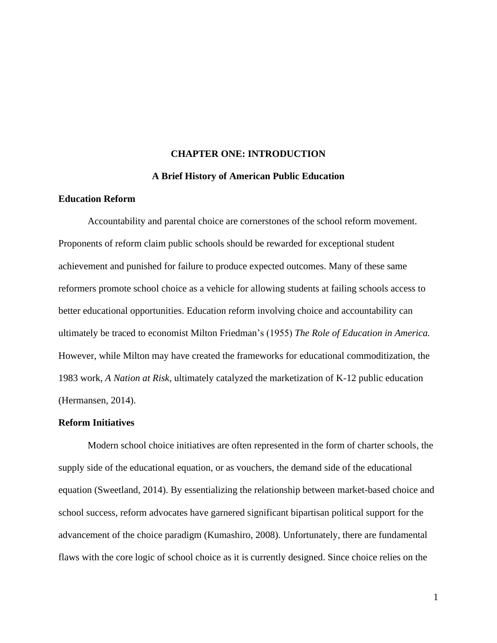#### **CHAPTER ONE: INTRODUCTION**

#### **A Brief History of American Public Education**

### <span id="page-8-2"></span><span id="page-8-1"></span><span id="page-8-0"></span>**Education Reform**

Accountability and parental choice are cornerstones of the school reform movement. Proponents of reform claim public schools should be rewarded for exceptional student achievement and punished for failure to produce expected outcomes. Many of these same reformers promote school choice as a vehicle for allowing students at failing schools access to better educational opportunities. Education reform involving choice and accountability can ultimately be traced to economist Milton Friedman's (1955) *The Role of Education in America.* However, while Milton may have created the frameworks for educational commoditization, the 1983 work, *A Nation at Risk,* ultimately catalyzed the marketization of K-12 public education (Hermansen, 2014).

#### <span id="page-8-3"></span>**Reform Initiatives**

Modern school choice initiatives are often represented in the form of charter schools, the supply side of the educational equation, or as vouchers, the demand side of the educational equation (Sweetland, 2014). By essentializing the relationship between market-based choice and school success, reform advocates have garnered significant bipartisan political support for the advancement of the choice paradigm (Kumashiro, 2008). Unfortunately, there are fundamental flaws with the core logic of school choice as it is currently designed. Since choice relies on the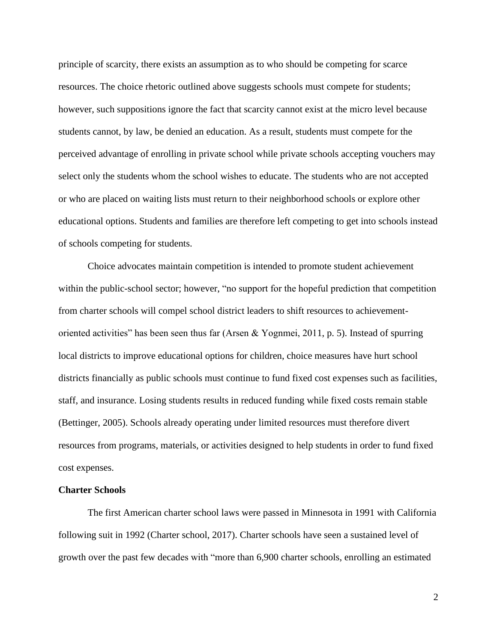principle of scarcity, there exists an assumption as to who should be competing for scarce resources. The choice rhetoric outlined above suggests schools must compete for students; however, such suppositions ignore the fact that scarcity cannot exist at the micro level because students cannot, by law, be denied an education. As a result, students must compete for the perceived advantage of enrolling in private school while private schools accepting vouchers may select only the students whom the school wishes to educate. The students who are not accepted or who are placed on waiting lists must return to their neighborhood schools or explore other educational options. Students and families are therefore left competing to get into schools instead of schools competing for students.

Choice advocates maintain competition is intended to promote student achievement within the public-school sector; however, "no support for the hopeful prediction that competition from charter schools will compel school district leaders to shift resources to achievementoriented activities" has been seen thus far (Arsen & Yognmei, 2011, p. 5). Instead of spurring local districts to improve educational options for children, choice measures have hurt school districts financially as public schools must continue to fund fixed cost expenses such as facilities, staff, and insurance. Losing students results in reduced funding while fixed costs remain stable (Bettinger, 2005). Schools already operating under limited resources must therefore divert resources from programs, materials, or activities designed to help students in order to fund fixed cost expenses.

#### <span id="page-9-0"></span>**Charter Schools**

The first American charter school laws were passed in Minnesota in 1991 with California following suit in 1992 (Charter school, 2017). Charter schools have seen a sustained level of growth over the past few decades with "more than 6,900 charter schools, enrolling an estimated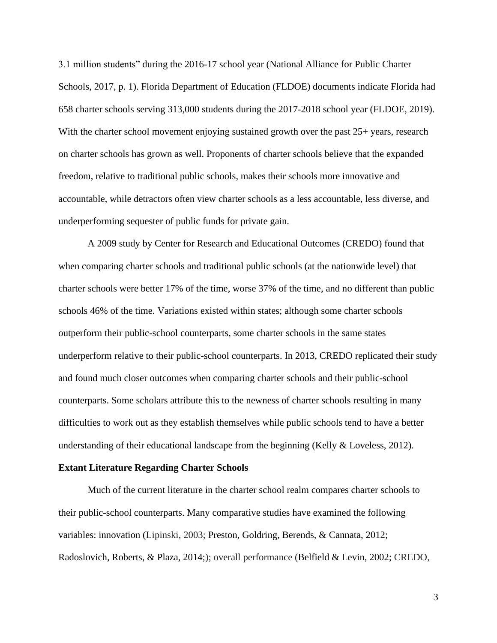3.1 million students" during the 2016-17 school year (National Alliance for Public Charter Schools, 2017, p. 1). Florida Department of Education (FLDOE) documents indicate Florida had 658 charter schools serving 313,000 students during the 2017-2018 school year (FLDOE, 2019). With the charter school movement enjoying sustained growth over the past 25+ years, research on charter schools has grown as well. Proponents of charter schools believe that the expanded freedom, relative to traditional public schools, makes their schools more innovative and accountable, while detractors often view charter schools as a less accountable, less diverse, and underperforming sequester of public funds for private gain.

A 2009 study by Center for Research and Educational Outcomes (CREDO) found that when comparing charter schools and traditional public schools (at the nationwide level) that charter schools were better 17% of the time, worse 37% of the time, and no different than public schools 46% of the time. Variations existed within states; although some charter schools outperform their public-school counterparts, some charter schools in the same states underperform relative to their public-school counterparts. In 2013, CREDO replicated their study and found much closer outcomes when comparing charter schools and their public-school counterparts. Some scholars attribute this to the newness of charter schools resulting in many difficulties to work out as they establish themselves while public schools tend to have a better understanding of their educational landscape from the beginning (Kelly & Loveless, 2012).

#### <span id="page-10-0"></span>**Extant Literature Regarding Charter Schools**

Much of the current literature in the charter school realm compares charter schools to their public-school counterparts. Many comparative studies have examined the following variables: innovation (Lipinski, 2003; Preston, Goldring, Berends, & Cannata, 2012; Radoslovich, Roberts, & Plaza, 2014;); overall performance (Belfield & Levin, 2002; CREDO,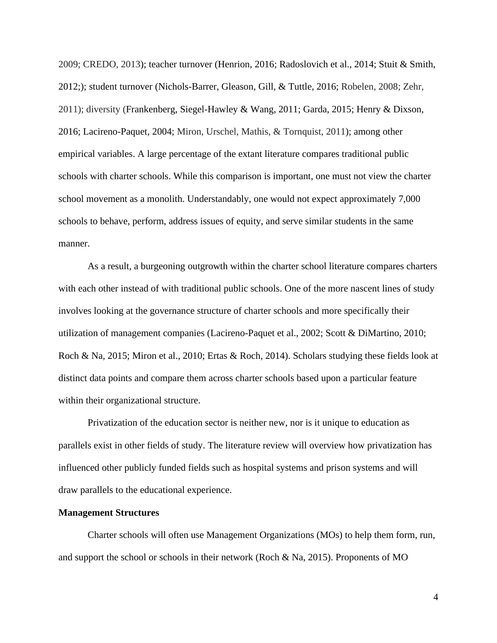2009; CREDO, 2013); teacher turnover (Henrion, 2016; Radoslovich et al., 2014; Stuit & Smith, 2012;); student turnover (Nichols-Barrer, Gleason, Gill, & Tuttle, 2016; Robelen, 2008; Zehr, 2011); diversity (Frankenberg, Siegel-Hawley & Wang, 2011; Garda, 2015; Henry & Dixson, 2016; Lacireno-Paquet, 2004; Miron, Urschel, Mathis, & Tornquist, 2011); among other empirical variables. A large percentage of the extant literature compares traditional public schools with charter schools. While this comparison is important, one must not view the charter school movement as a monolith. Understandably, one would not expect approximately 7,000 schools to behave, perform, address issues of equity, and serve similar students in the same manner.

As a result, a burgeoning outgrowth within the charter school literature compares charters with each other instead of with traditional public schools. One of the more nascent lines of study involves looking at the governance structure of charter schools and more specifically their utilization of management companies (Lacireno-Paquet et al., 2002; Scott & DiMartino, 2010; Roch & Na, 2015; Miron et al., 2010; Ertas & Roch, 2014). Scholars studying these fields look at distinct data points and compare them across charter schools based upon a particular feature within their organizational structure.

Privatization of the education sector is neither new, nor is it unique to education as parallels exist in other fields of study. The literature review will overview how privatization has influenced other publicly funded fields such as hospital systems and prison systems and will draw parallels to the educational experience.

#### <span id="page-11-0"></span>**Management Structures**

Charter schools will often use Management Organizations (MOs) to help them form, run, and support the school or schools in their network (Roch & Na, 2015). Proponents of MO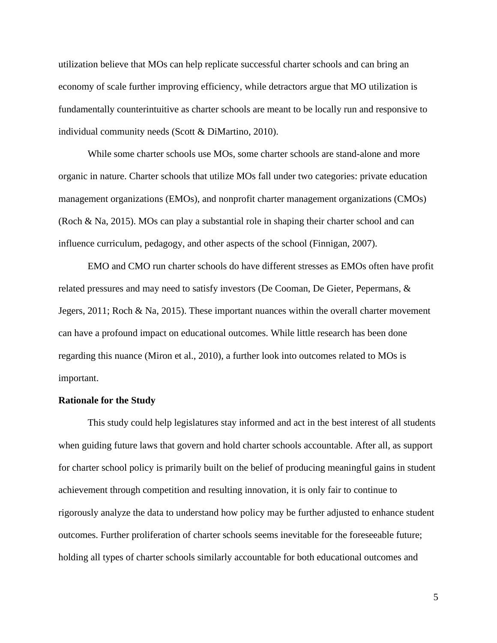utilization believe that MOs can help replicate successful charter schools and can bring an economy of scale further improving efficiency, while detractors argue that MO utilization is fundamentally counterintuitive as charter schools are meant to be locally run and responsive to individual community needs (Scott & DiMartino, 2010).

While some charter schools use MOs, some charter schools are stand-alone and more organic in nature. Charter schools that utilize MOs fall under two categories: private education management organizations (EMOs), and nonprofit charter management organizations (CMOs) (Roch & Na, 2015). MOs can play a substantial role in shaping their charter school and can influence curriculum, pedagogy, and other aspects of the school (Finnigan, 2007).

EMO and CMO run charter schools do have different stresses as EMOs often have profit related pressures and may need to satisfy investors (De Cooman, De Gieter, Pepermans, & Jegers, 2011; Roch & Na, 2015). These important nuances within the overall charter movement can have a profound impact on educational outcomes. While little research has been done regarding this nuance (Miron et al., 2010), a further look into outcomes related to MOs is important.

#### **Rationale for the Study**

This study could help legislatures stay informed and act in the best interest of all students when guiding future laws that govern and hold charter schools accountable. After all, as support for charter school policy is primarily built on the belief of producing meaningful gains in student achievement through competition and resulting innovation, it is only fair to continue to rigorously analyze the data to understand how policy may be further adjusted to enhance student outcomes. Further proliferation of charter schools seems inevitable for the foreseeable future; holding all types of charter schools similarly accountable for both educational outcomes and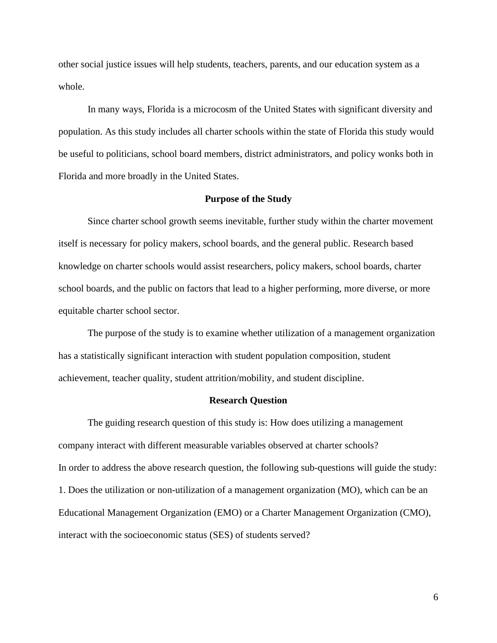other social justice issues will help students, teachers, parents, and our education system as a whole.

In many ways, Florida is a microcosm of the United States with significant diversity and population. As this study includes all charter schools within the state of Florida this study would be useful to politicians, school board members, district administrators, and policy wonks both in Florida and more broadly in the United States.

#### **Purpose of the Study**

<span id="page-13-0"></span>Since charter school growth seems inevitable, further study within the charter movement itself is necessary for policy makers, school boards, and the general public. Research based knowledge on charter schools would assist researchers, policy makers, school boards, charter school boards, and the public on factors that lead to a higher performing, more diverse, or more equitable charter school sector.

The purpose of the study is to examine whether utilization of a management organization has a statistically significant interaction with student population composition, student achievement, teacher quality, student attrition/mobility, and student discipline.

#### **Research Question**

<span id="page-13-1"></span>The guiding research question of this study is: How does utilizing a management company interact with different measurable variables observed at charter schools? In order to address the above research question, the following sub-questions will guide the study: 1. Does the utilization or non-utilization of a management organization (MO), which can be an Educational Management Organization (EMO) or a Charter Management Organization (CMO), interact with the socioeconomic status (SES) of students served?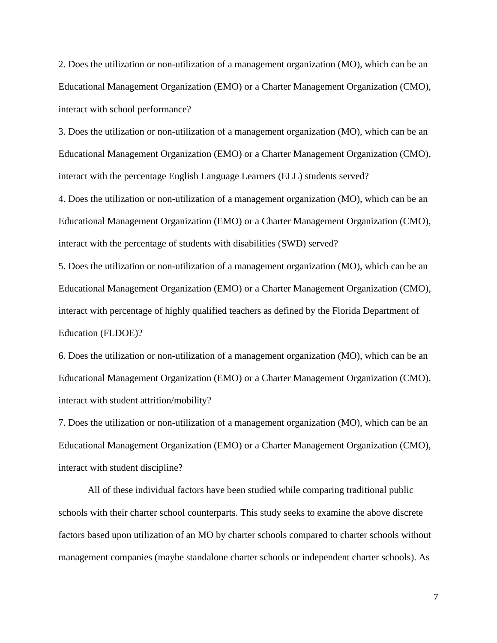2. Does the utilization or non-utilization of a management organization (MO), which can be an Educational Management Organization (EMO) or a Charter Management Organization (CMO), interact with school performance?

3. Does the utilization or non-utilization of a management organization (MO), which can be an Educational Management Organization (EMO) or a Charter Management Organization (CMO), interact with the percentage English Language Learners (ELL) students served?

4. Does the utilization or non-utilization of a management organization (MO), which can be an Educational Management Organization (EMO) or a Charter Management Organization (CMO), interact with the percentage of students with disabilities (SWD) served?

5. Does the utilization or non-utilization of a management organization (MO), which can be an Educational Management Organization (EMO) or a Charter Management Organization (CMO), interact with percentage of highly qualified teachers as defined by the Florida Department of Education (FLDOE)?

6. Does the utilization or non-utilization of a management organization (MO), which can be an Educational Management Organization (EMO) or a Charter Management Organization (CMO), interact with student attrition/mobility?

7. Does the utilization or non-utilization of a management organization (MO), which can be an Educational Management Organization (EMO) or a Charter Management Organization (CMO), interact with student discipline?

All of these individual factors have been studied while comparing traditional public schools with their charter school counterparts. This study seeks to examine the above discrete factors based upon utilization of an MO by charter schools compared to charter schools without management companies (maybe standalone charter schools or independent charter schools). As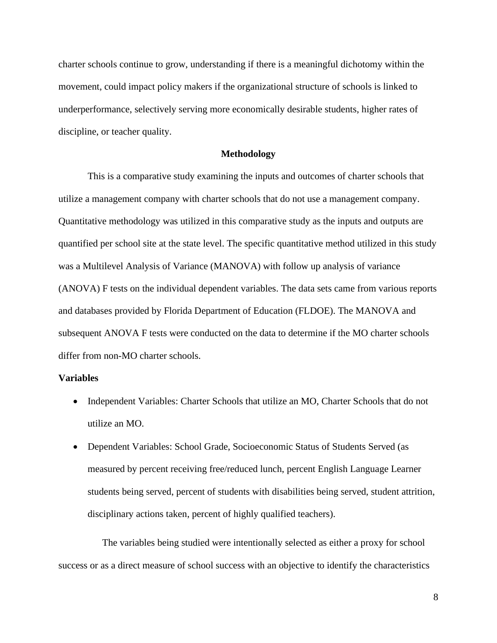charter schools continue to grow, understanding if there is a meaningful dichotomy within the movement, could impact policy makers if the organizational structure of schools is linked to underperformance, selectively serving more economically desirable students, higher rates of discipline, or teacher quality.

#### **Methodology**

<span id="page-15-0"></span>This is a comparative study examining the inputs and outcomes of charter schools that utilize a management company with charter schools that do not use a management company. Quantitative methodology was utilized in this comparative study as the inputs and outputs are quantified per school site at the state level. The specific quantitative method utilized in this study was a Multilevel Analysis of Variance (MANOVA) with follow up analysis of variance (ANOVA) F tests on the individual dependent variables. The data sets came from various reports and databases provided by Florida Department of Education (FLDOE). The MANOVA and subsequent ANOVA F tests were conducted on the data to determine if the MO charter schools differ from non-MO charter schools.

#### <span id="page-15-1"></span>**Variables**

- Independent Variables: Charter Schools that utilize an MO, Charter Schools that do not utilize an MO.
- Dependent Variables: School Grade, Socioeconomic Status of Students Served (as measured by percent receiving free/reduced lunch, percent English Language Learner students being served, percent of students with disabilities being served, student attrition, disciplinary actions taken, percent of highly qualified teachers).

The variables being studied were intentionally selected as either a proxy for school success or as a direct measure of school success with an objective to identify the characteristics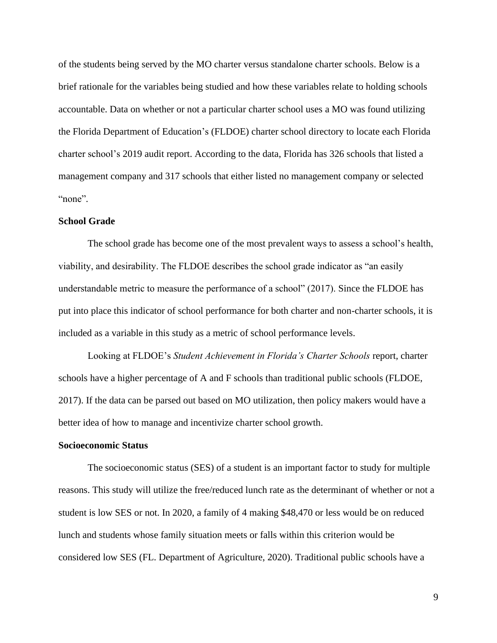of the students being served by the MO charter versus standalone charter schools. Below is a brief rationale for the variables being studied and how these variables relate to holding schools accountable. Data on whether or not a particular charter school uses a MO was found utilizing the Florida Department of Education's (FLDOE) charter school directory to locate each Florida charter school's 2019 audit report. According to the data, Florida has 326 schools that listed a management company and 317 schools that either listed no management company or selected "none".

#### <span id="page-16-0"></span>**School Grade**

The school grade has become one of the most prevalent ways to assess a school's health, viability, and desirability. The FLDOE describes the school grade indicator as "an easily understandable metric to measure the performance of a school" (2017). Since the FLDOE has put into place this indicator of school performance for both charter and non-charter schools, it is included as a variable in this study as a metric of school performance levels.

Looking at FLDOE's *Student Achievement in Florida's Charter Schools* report*,* charter schools have a higher percentage of A and F schools than traditional public schools (FLDOE, 2017). If the data can be parsed out based on MO utilization, then policy makers would have a better idea of how to manage and incentivize charter school growth.

#### <span id="page-16-1"></span>**Socioeconomic Status**

The socioeconomic status (SES) of a student is an important factor to study for multiple reasons. This study will utilize the free/reduced lunch rate as the determinant of whether or not a student is low SES or not. In 2020, a family of 4 making \$48,470 or less would be on reduced lunch and students whose family situation meets or falls within this criterion would be considered low SES (FL. Department of Agriculture, 2020). Traditional public schools have a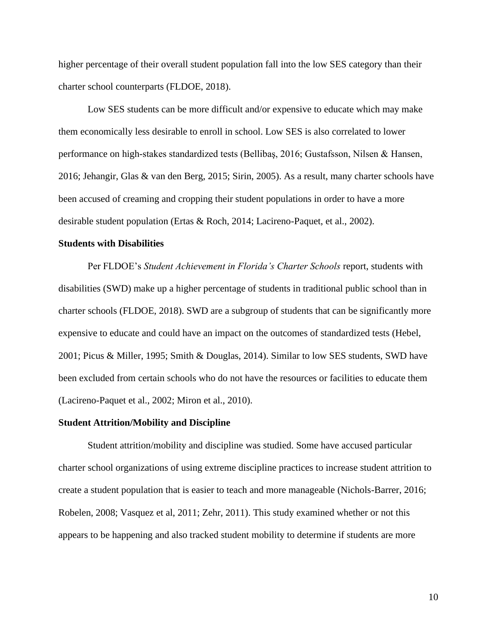higher percentage of their overall student population fall into the low SES category than their charter school counterparts (FLDOE, 2018).

Low SES students can be more difficult and/or expensive to educate which may make them economically less desirable to enroll in school. Low SES is also correlated to lower performance on high-stakes standardized tests (Bellibaş, 2016; Gustafsson, Nilsen & Hansen, 2016; Jehangir, Glas & van den Berg, 2015; Sirin, 2005). As a result, many charter schools have been accused of creaming and cropping their student populations in order to have a more desirable student population (Ertas & Roch, 2014; Lacireno-Paquet, et al., 2002).

#### <span id="page-17-0"></span>**Students with Disabilities**

Per FLDOE's *Student Achievement in Florida's Charter Schools* report, students with disabilities (SWD) make up a higher percentage of students in traditional public school than in charter schools (FLDOE, 2018). SWD are a subgroup of students that can be significantly more expensive to educate and could have an impact on the outcomes of standardized tests (Hebel, 2001; Picus & Miller, 1995; Smith & Douglas, 2014). Similar to low SES students, SWD have been excluded from certain schools who do not have the resources or facilities to educate them (Lacireno-Paquet et al., 2002; Miron et al., 2010).

#### <span id="page-17-1"></span>**Student Attrition/Mobility and Discipline**

Student attrition/mobility and discipline was studied. Some have accused particular charter school organizations of using extreme discipline practices to increase student attrition to create a student population that is easier to teach and more manageable (Nichols-Barrer, 2016; Robelen, 2008; Vasquez et al, 2011; Zehr, 2011). This study examined whether or not this appears to be happening and also tracked student mobility to determine if students are more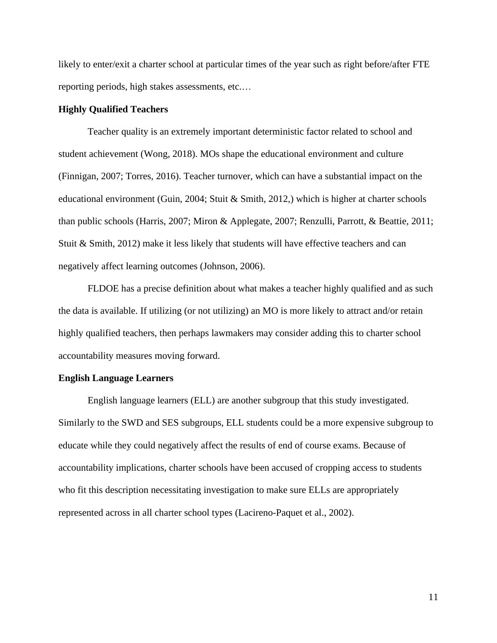likely to enter/exit a charter school at particular times of the year such as right before/after FTE reporting periods, high stakes assessments, etc.…

#### <span id="page-18-0"></span>**Highly Qualified Teachers**

Teacher quality is an extremely important deterministic factor related to school and student achievement (Wong, 2018). MOs shape the educational environment and culture (Finnigan, 2007; Torres, 2016). Teacher turnover, which can have a substantial impact on the educational environment (Guin, 2004; Stuit & Smith, 2012,) which is higher at charter schools than public schools (Harris, 2007; Miron & Applegate, 2007; Renzulli, Parrott, & Beattie, 2011; Stuit & Smith, 2012) make it less likely that students will have effective teachers and can negatively affect learning outcomes (Johnson, 2006).

FLDOE has a precise definition about what makes a teacher highly qualified and as such the data is available. If utilizing (or not utilizing) an MO is more likely to attract and/or retain highly qualified teachers, then perhaps lawmakers may consider adding this to charter school accountability measures moving forward.

#### <span id="page-18-1"></span>**English Language Learners**

English language learners (ELL) are another subgroup that this study investigated. Similarly to the SWD and SES subgroups, ELL students could be a more expensive subgroup to educate while they could negatively affect the results of end of course exams. Because of accountability implications, charter schools have been accused of cropping access to students who fit this description necessitating investigation to make sure ELLs are appropriately represented across in all charter school types (Lacireno-Paquet et al., 2002).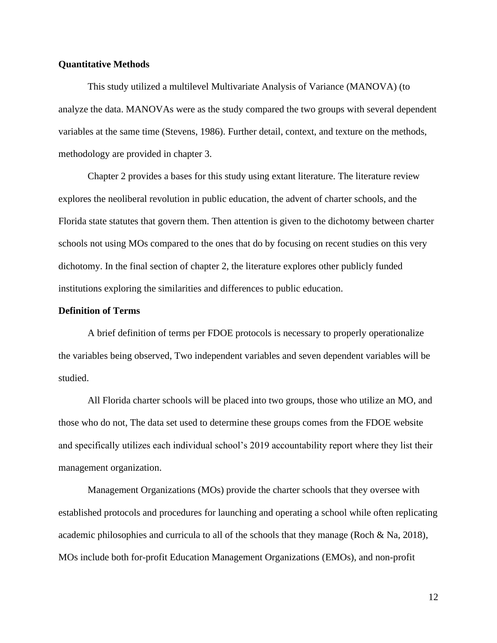#### <span id="page-19-0"></span>**Quantitative Methods**

This study utilized a multilevel Multivariate Analysis of Variance (MANOVA) (to analyze the data. MANOVAs were as the study compared the two groups with several dependent variables at the same time (Stevens, 1986). Further detail, context, and texture on the methods, methodology are provided in chapter 3.

Chapter 2 provides a bases for this study using extant literature. The literature review explores the neoliberal revolution in public education, the advent of charter schools, and the Florida state statutes that govern them. Then attention is given to the dichotomy between charter schools not using MOs compared to the ones that do by focusing on recent studies on this very dichotomy. In the final section of chapter 2, the literature explores other publicly funded institutions exploring the similarities and differences to public education.

#### <span id="page-19-1"></span>**Definition of Terms**

A brief definition of terms per FDOE protocols is necessary to properly operationalize the variables being observed, Two independent variables and seven dependent variables will be studied.

All Florida charter schools will be placed into two groups, those who utilize an MO, and those who do not, The data set used to determine these groups comes from the FDOE website and specifically utilizes each individual school's 2019 accountability report where they list their management organization.

Management Organizations (MOs) provide the charter schools that they oversee with established protocols and procedures for launching and operating a school while often replicating academic philosophies and curricula to all of the schools that they manage (Roch & Na, 2018), MOs include both for-profit Education Management Organizations (EMOs), and non-profit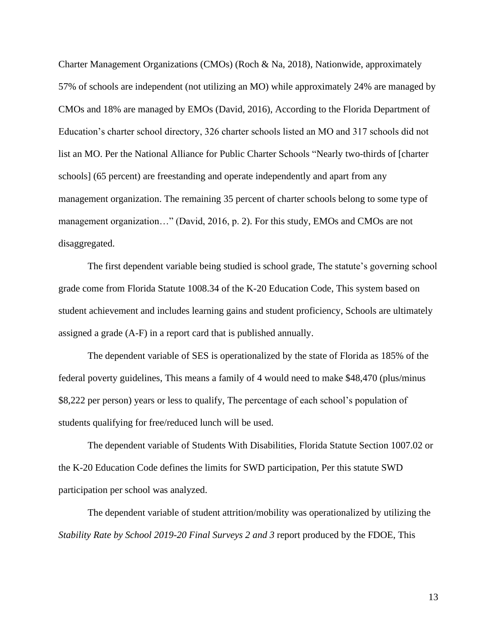Charter Management Organizations (CMOs) (Roch & Na, 2018), Nationwide, approximately 57% of schools are independent (not utilizing an MO) while approximately 24% are managed by CMOs and 18% are managed by EMOs (David, 2016), According to the Florida Department of Education's charter school directory, 326 charter schools listed an MO and 317 schools did not list an MO. Per the National Alliance for Public Charter Schools "Nearly two-thirds of [charter schools] (65 percent) are freestanding and operate independently and apart from any management organization. The remaining 35 percent of charter schools belong to some type of management organization…" (David, 2016, p. 2). For this study, EMOs and CMOs are not disaggregated.

The first dependent variable being studied is school grade, The statute's governing school grade come from Florida Statute 1008.34 of the K-20 Education Code, This system based on student achievement and includes learning gains and student proficiency, Schools are ultimately assigned a grade (A-F) in a report card that is published annually.

The dependent variable of SES is operationalized by the state of Florida as 185% of the federal poverty guidelines, This means a family of 4 would need to make \$48,470 (plus/minus \$8,222 per person) years or less to qualify, The percentage of each school's population of students qualifying for free/reduced lunch will be used.

The dependent variable of Students With Disabilities, Florida Statute Section 1007.02 or the K-20 Education Code defines the limits for SWD participation, Per this statute SWD participation per school was analyzed.

The dependent variable of student attrition/mobility was operationalized by utilizing the *Stability Rate by School 2019-20 Final Surveys 2 and 3* report produced by the FDOE, This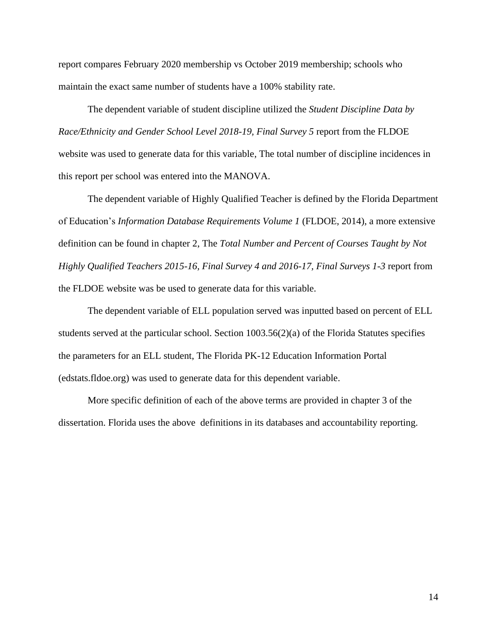report compares February 2020 membership vs October 2019 membership; schools who maintain the exact same number of students have a 100% stability rate.

The dependent variable of student discipline utilized the *Student Discipline Data by Race/Ethnicity and Gender School Level 2018-19, Final Survey 5* report from the FLDOE website was used to generate data for this variable, The total number of discipline incidences in this report per school was entered into the MANOVA.

The dependent variable of Highly Qualified Teacher is defined by the Florida Department of Education's *Information Database Requirements Volume 1* (FLDOE, 2014), a more extensive definition can be found in chapter 2, The *Total Number and Percent of Courses Taught by Not Highly Qualified Teachers 2015-16, Final Survey 4 and 2016-17, Final Surveys 1-3* report from the FLDOE website was be used to generate data for this variable.

The dependent variable of ELL population served was inputted based on percent of ELL students served at the particular school. Section  $1003.56(2)(a)$  of the Florida Statutes specifies the parameters for an ELL student, The Florida PK-12 Education Information Portal (edstats.fldoe.org) was used to generate data for this dependent variable.

More specific definition of each of the above terms are provided in chapter 3 of the dissertation. Florida uses the above definitions in its databases and accountability reporting.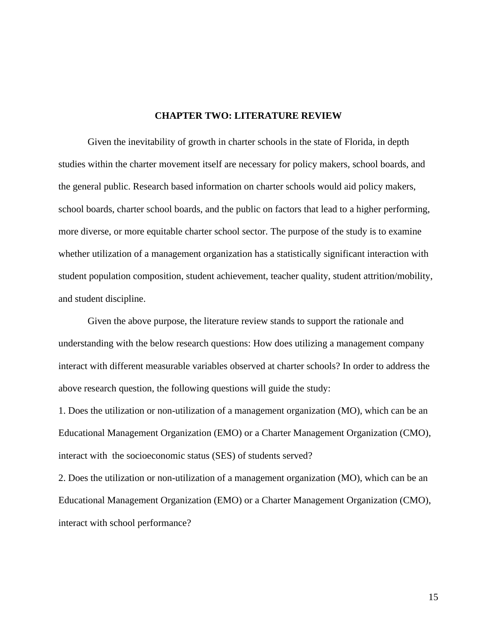#### **CHAPTER TWO: LITERATURE REVIEW**

<span id="page-22-0"></span>Given the inevitability of growth in charter schools in the state of Florida, in depth studies within the charter movement itself are necessary for policy makers, school boards, and the general public. Research based information on charter schools would aid policy makers, school boards, charter school boards, and the public on factors that lead to a higher performing, more diverse, or more equitable charter school sector. The purpose of the study is to examine whether utilization of a management organization has a statistically significant interaction with student population composition, student achievement, teacher quality, student attrition/mobility, and student discipline.

Given the above purpose, the literature review stands to support the rationale and understanding with the below research questions: How does utilizing a management company interact with different measurable variables observed at charter schools? In order to address the above research question, the following questions will guide the study:

1. Does the utilization or non-utilization of a management organization (MO), which can be an Educational Management Organization (EMO) or a Charter Management Organization (CMO), interact with the socioeconomic status (SES) of students served?

2. Does the utilization or non-utilization of a management organization (MO), which can be an Educational Management Organization (EMO) or a Charter Management Organization (CMO), interact with school performance?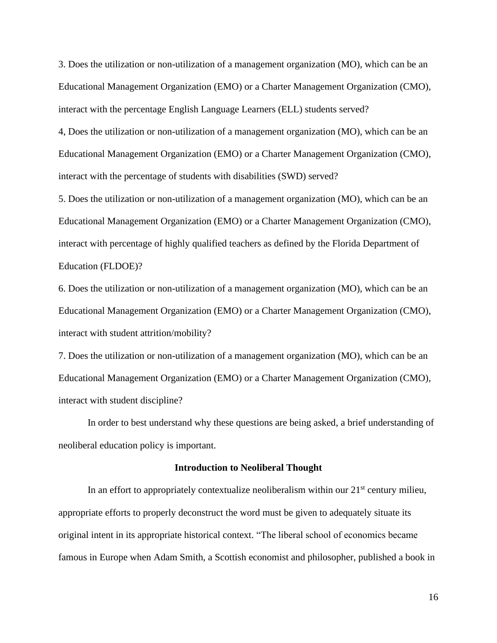3. Does the utilization or non-utilization of a management organization (MO), which can be an Educational Management Organization (EMO) or a Charter Management Organization (CMO), interact with the percentage English Language Learners (ELL) students served?

4, Does the utilization or non-utilization of a management organization (MO), which can be an Educational Management Organization (EMO) or a Charter Management Organization (CMO), interact with the percentage of students with disabilities (SWD) served?

5. Does the utilization or non-utilization of a management organization (MO), which can be an Educational Management Organization (EMO) or a Charter Management Organization (CMO), interact with percentage of highly qualified teachers as defined by the Florida Department of Education (FLDOE)?

6. Does the utilization or non-utilization of a management organization (MO), which can be an Educational Management Organization (EMO) or a Charter Management Organization (CMO), interact with student attrition/mobility?

7. Does the utilization or non-utilization of a management organization (MO), which can be an Educational Management Organization (EMO) or a Charter Management Organization (CMO), interact with student discipline?

In order to best understand why these questions are being asked, a brief understanding of neoliberal education policy is important.

#### **Introduction to Neoliberal Thought**

<span id="page-23-0"></span>In an effort to appropriately contextualize neoliberalism within our  $21<sup>st</sup>$  century milieu, appropriate efforts to properly deconstruct the word must be given to adequately situate its original intent in its appropriate historical context. "The liberal school of economics became famous in Europe when Adam Smith, a Scottish economist and philosopher, published a book in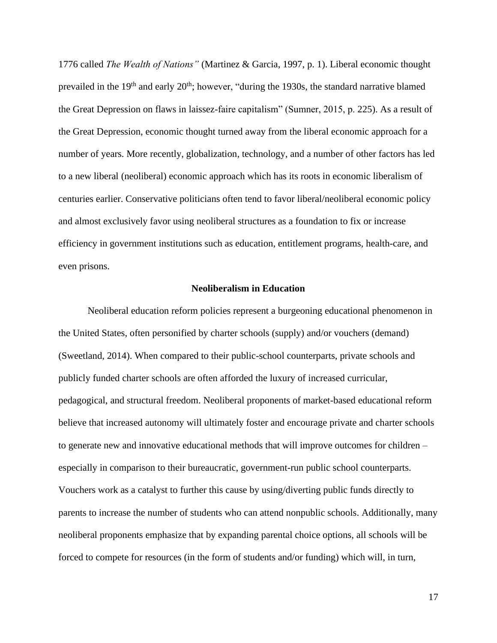1776 called *The Wealth of Nations"* (Martinez & Garcia, 1997, p. 1). Liberal economic thought prevailed in the  $19<sup>th</sup>$  and early  $20<sup>th</sup>$ ; however, "during the 1930s, the standard narrative blamed the Great Depression on flaws in laissez-faire capitalism" (Sumner, 2015, p. 225). As a result of the Great Depression, economic thought turned away from the liberal economic approach for a number of years. More recently, globalization, technology, and a number of other factors has led to a new liberal (neoliberal) economic approach which has its roots in economic liberalism of centuries earlier. Conservative politicians often tend to favor liberal/neoliberal economic policy and almost exclusively favor using neoliberal structures as a foundation to fix or increase efficiency in government institutions such as education, entitlement programs, health-care, and even prisons.

#### **Neoliberalism in Education**

<span id="page-24-0"></span>Neoliberal education reform policies represent a burgeoning educational phenomenon in the United States, often personified by charter schools (supply) and/or vouchers (demand) (Sweetland, 2014). When compared to their public-school counterparts, private schools and publicly funded charter schools are often afforded the luxury of increased curricular, pedagogical, and structural freedom. Neoliberal proponents of market-based educational reform believe that increased autonomy will ultimately foster and encourage private and charter schools to generate new and innovative educational methods that will improve outcomes for children – especially in comparison to their bureaucratic, government-run public school counterparts. Vouchers work as a catalyst to further this cause by using/diverting public funds directly to parents to increase the number of students who can attend nonpublic schools. Additionally, many neoliberal proponents emphasize that by expanding parental choice options, all schools will be forced to compete for resources (in the form of students and/or funding) which will, in turn,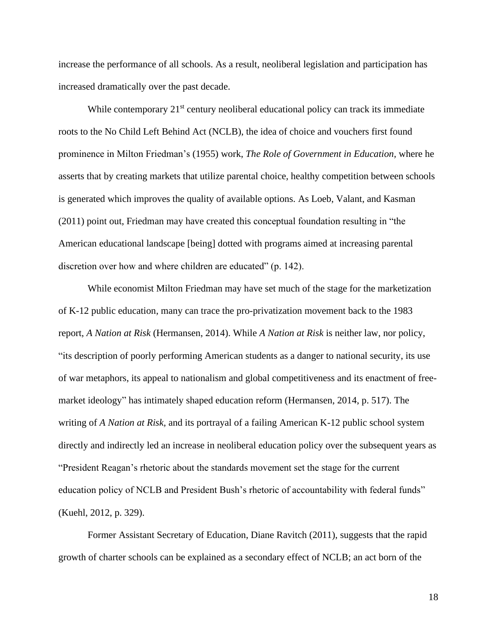increase the performance of all schools. As a result, neoliberal legislation and participation has increased dramatically over the past decade.

While contemporary  $21<sup>st</sup>$  century neoliberal educational policy can track its immediate roots to the No Child Left Behind Act (NCLB), the idea of choice and vouchers first found prominence in Milton Friedman's (1955) work, *The Role of Government in Education,* where he asserts that by creating markets that utilize parental choice, healthy competition between schools is generated which improves the quality of available options. As Loeb, Valant, and Kasman (2011) point out, Friedman may have created this conceptual foundation resulting in "the American educational landscape [being] dotted with programs aimed at increasing parental discretion over how and where children are educated" (p. 142).

While economist Milton Friedman may have set much of the stage for the marketization of K-12 public education, many can trace the pro-privatization movement back to the 1983 report, *A Nation at Risk* (Hermansen, 2014). While *A Nation at Risk* is neither law, nor policy, "its description of poorly performing American students as a danger to national security, its use of war metaphors, its appeal to nationalism and global competitiveness and its enactment of freemarket ideology" has intimately shaped education reform (Hermansen, 2014, p. 517). The writing of *A Nation at Risk,* and its portrayal of a failing American K-12 public school system directly and indirectly led an increase in neoliberal education policy over the subsequent years as "President Reagan's rhetoric about the standards movement set the stage for the current education policy of NCLB and President Bush's rhetoric of accountability with federal funds" (Kuehl, 2012, p. 329).

Former Assistant Secretary of Education, Diane Ravitch (2011), suggests that the rapid growth of charter schools can be explained as a secondary effect of NCLB; an act born of the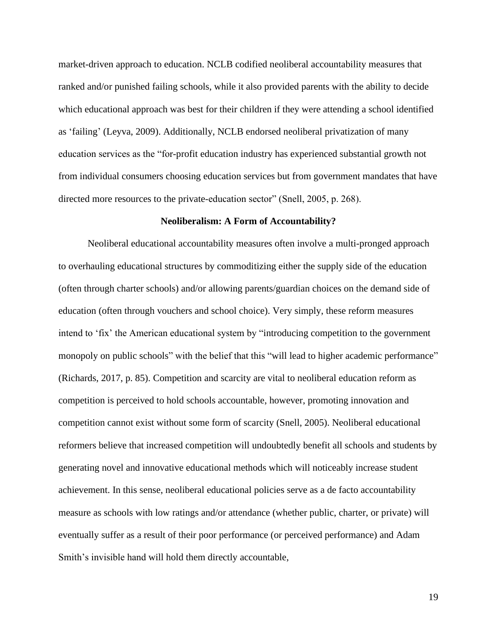market-driven approach to education. NCLB codified neoliberal accountability measures that ranked and/or punished failing schools, while it also provided parents with the ability to decide which educational approach was best for their children if they were attending a school identified as 'failing' (Leyva, 2009). Additionally, NCLB endorsed neoliberal privatization of many education services as the "for-profit education industry has experienced substantial growth not from individual consumers choosing education services but from government mandates that have directed more resources to the private-education sector" (Snell, 2005, p. 268).

#### **Neoliberalism: A Form of Accountability?**

<span id="page-26-0"></span>Neoliberal educational accountability measures often involve a multi-pronged approach to overhauling educational structures by commoditizing either the supply side of the education (often through charter schools) and/or allowing parents/guardian choices on the demand side of education (often through vouchers and school choice). Very simply, these reform measures intend to 'fix' the American educational system by "introducing competition to the government monopoly on public schools" with the belief that this "will lead to higher academic performance" (Richards, 2017, p. 85). Competition and scarcity are vital to neoliberal education reform as competition is perceived to hold schools accountable, however, promoting innovation and competition cannot exist without some form of scarcity (Snell, 2005). Neoliberal educational reformers believe that increased competition will undoubtedly benefit all schools and students by generating novel and innovative educational methods which will noticeably increase student achievement. In this sense, neoliberal educational policies serve as a de facto accountability measure as schools with low ratings and/or attendance (whether public, charter, or private) will eventually suffer as a result of their poor performance (or perceived performance) and Adam Smith's invisible hand will hold them directly accountable,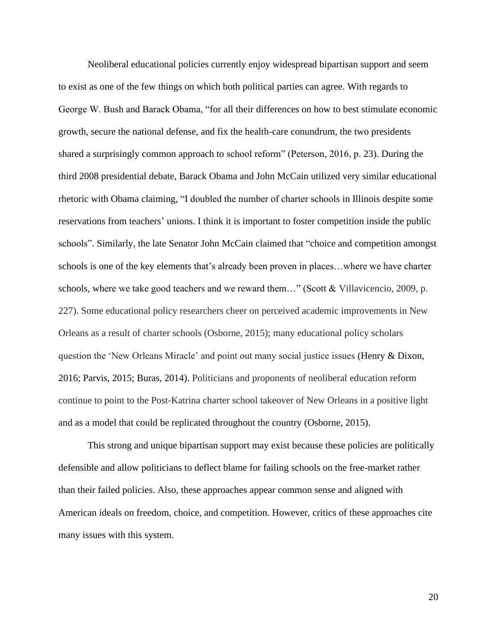Neoliberal educational policies currently enjoy widespread bipartisan support and seem to exist as one of the few things on which both political parties can agree. With regards to George W. Bush and Barack Obama, "for all their differences on how to best stimulate economic growth, secure the national defense, and fix the health-care conundrum, the two presidents shared a surprisingly common approach to school reform" (Peterson, 2016, p. 23). During the third 2008 presidential debate, Barack Obama and John McCain utilized very similar educational rhetoric with Obama claiming, "I doubled the number of charter schools in Illinois despite some reservations from teachers' unions. I think it is important to foster competition inside the public schools". Similarly, the late Senator John McCain claimed that "choice and competition amongst schools is one of the key elements that's already been proven in places…where we have charter schools, where we take good teachers and we reward them..." (Scott & Villavicencio, 2009, p. 227). Some educational policy researchers cheer on perceived academic improvements in New Orleans as a result of charter schools (Osborne, 2015); many educational policy scholars question the 'New Orleans Miracle' and point out many social justice issues (Henry & Dixon, 2016; Parvis, 2015; Buras, 2014). Politicians and proponents of neoliberal education reform continue to point to the Post-Katrina charter school takeover of New Orleans in a positive light and as a model that could be replicated throughout the country (Osborne, 2015).

This strong and unique bipartisan support may exist because these policies are politically defensible and allow politicians to deflect blame for failing schools on the free-market rather than their failed policies. Also, these approaches appear common sense and aligned with American ideals on freedom, choice, and competition. However, critics of these approaches cite many issues with this system.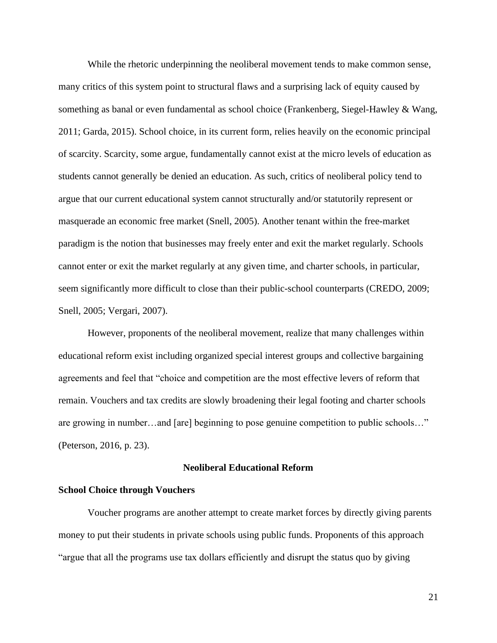While the rhetoric underpinning the neoliberal movement tends to make common sense, many critics of this system point to structural flaws and a surprising lack of equity caused by something as banal or even fundamental as school choice (Frankenberg, Siegel-Hawley & Wang, 2011; Garda, 2015). School choice, in its current form, relies heavily on the economic principal of scarcity. Scarcity, some argue, fundamentally cannot exist at the micro levels of education as students cannot generally be denied an education. As such, critics of neoliberal policy tend to argue that our current educational system cannot structurally and/or statutorily represent or masquerade an economic free market (Snell, 2005). Another tenant within the free-market paradigm is the notion that businesses may freely enter and exit the market regularly. Schools cannot enter or exit the market regularly at any given time, and charter schools, in particular, seem significantly more difficult to close than their public-school counterparts (CREDO, 2009; Snell, 2005; Vergari, 2007).

However, proponents of the neoliberal movement, realize that many challenges within educational reform exist including organized special interest groups and collective bargaining agreements and feel that "choice and competition are the most effective levers of reform that remain. Vouchers and tax credits are slowly broadening their legal footing and charter schools are growing in number…and [are] beginning to pose genuine competition to public schools…" (Peterson, 2016, p. 23).

#### **Neoliberal Educational Reform**

#### <span id="page-28-1"></span><span id="page-28-0"></span>**School Choice through Vouchers**

Voucher programs are another attempt to create market forces by directly giving parents money to put their students in private schools using public funds. Proponents of this approach "argue that all the programs use tax dollars efficiently and disrupt the status quo by giving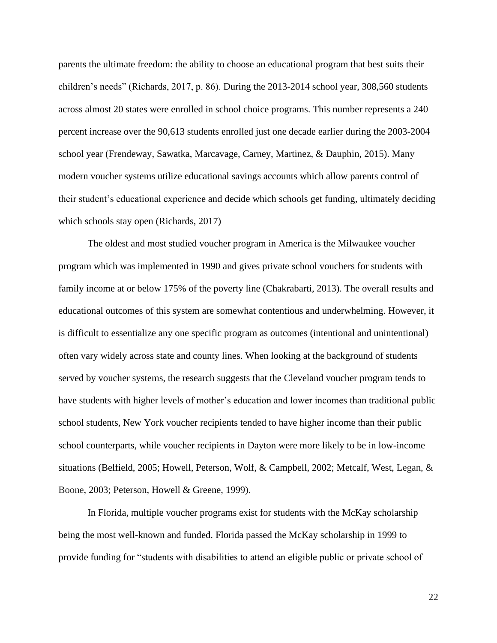parents the ultimate freedom: the ability to choose an educational program that best suits their children's needs" (Richards, 2017, p. 86). During the 2013-2014 school year, 308,560 students across almost 20 states were enrolled in school choice programs. This number represents a 240 percent increase over the 90,613 students enrolled just one decade earlier during the 2003-2004 school year (Frendeway, Sawatka, Marcavage, Carney, Martinez, & Dauphin, 2015). Many modern voucher systems utilize educational savings accounts which allow parents control of their student's educational experience and decide which schools get funding, ultimately deciding which schools stay open (Richards, 2017)

The oldest and most studied voucher program in America is the Milwaukee voucher program which was implemented in 1990 and gives private school vouchers for students with family income at or below 175% of the poverty line (Chakrabarti, 2013). The overall results and educational outcomes of this system are somewhat contentious and underwhelming. However, it is difficult to essentialize any one specific program as outcomes (intentional and unintentional) often vary widely across state and county lines. When looking at the background of students served by voucher systems, the research suggests that the Cleveland voucher program tends to have students with higher levels of mother's education and lower incomes than traditional public school students, New York voucher recipients tended to have higher income than their public school counterparts, while voucher recipients in Dayton were more likely to be in low-income situations (Belfield, 2005; Howell, Peterson, Wolf, & Campbell, 2002; Metcalf, West, Legan, & Boone, 2003; Peterson, Howell & Greene, 1999).

In Florida, multiple voucher programs exist for students with the McKay scholarship being the most well-known and funded. Florida passed the McKay scholarship in 1999 to provide funding for "students with disabilities to attend an eligible public or private school of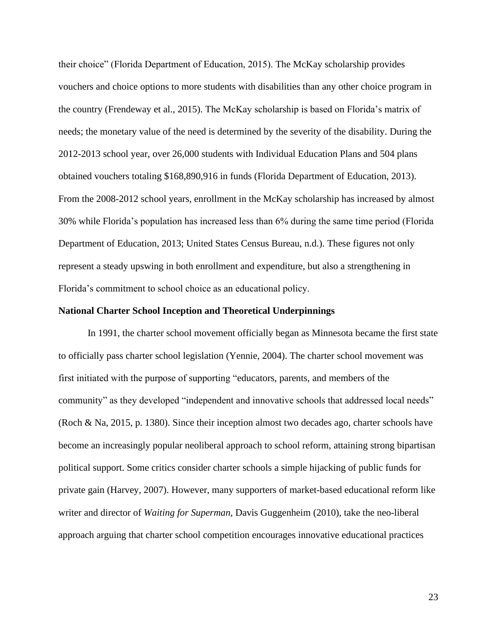their choice" (Florida Department of Education, 2015). The McKay scholarship provides vouchers and choice options to more students with disabilities than any other choice program in the country (Frendeway et al., 2015). The McKay scholarship is based on Florida's matrix of needs; the monetary value of the need is determined by the severity of the disability. During the 2012-2013 school year, over 26,000 students with Individual Education Plans and 504 plans obtained vouchers totaling \$168,890,916 in funds (Florida Department of Education, 2013). From the 2008-2012 school years, enrollment in the McKay scholarship has increased by almost 30% while Florida's population has increased less than 6% during the same time period (Florida Department of Education, 2013; United States Census Bureau, n.d.). These figures not only represent a steady upswing in both enrollment and expenditure, but also a strengthening in Florida's commitment to school choice as an educational policy.

#### <span id="page-30-0"></span>**National Charter School Inception and Theoretical Underpinnings**

In 1991, the charter school movement officially began as Minnesota became the first state to officially pass charter school legislation (Yennie, 2004). The charter school movement was first initiated with the purpose of supporting "educators, parents, and members of the community" as they developed "independent and innovative schools that addressed local needs" (Roch & Na, 2015, p. 1380). Since their inception almost two decades ago, charter schools have become an increasingly popular neoliberal approach to school reform, attaining strong bipartisan political support. Some critics consider charter schools a simple hijacking of public funds for private gain (Harvey, 2007). However, many supporters of market-based educational reform like writer and director of *Waiting for Superman,* Davis Guggenheim (2010), take the neo-liberal approach arguing that charter school competition encourages innovative educational practices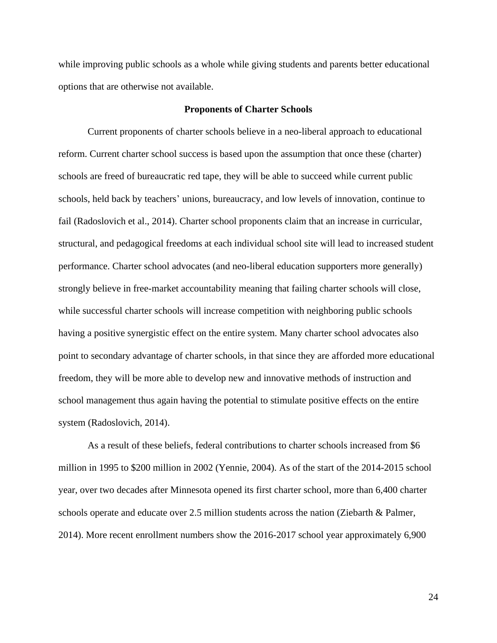while improving public schools as a whole while giving students and parents better educational options that are otherwise not available.

#### **Proponents of Charter Schools**

<span id="page-31-0"></span>Current proponents of charter schools believe in a neo-liberal approach to educational reform. Current charter school success is based upon the assumption that once these (charter) schools are freed of bureaucratic red tape, they will be able to succeed while current public schools, held back by teachers' unions, bureaucracy, and low levels of innovation, continue to fail (Radoslovich et al., 2014). Charter school proponents claim that an increase in curricular, structural, and pedagogical freedoms at each individual school site will lead to increased student performance. Charter school advocates (and neo-liberal education supporters more generally) strongly believe in free-market accountability meaning that failing charter schools will close, while successful charter schools will increase competition with neighboring public schools having a positive synergistic effect on the entire system. Many charter school advocates also point to secondary advantage of charter schools, in that since they are afforded more educational freedom, they will be more able to develop new and innovative methods of instruction and school management thus again having the potential to stimulate positive effects on the entire system (Radoslovich, 2014).

As a result of these beliefs, federal contributions to charter schools increased from \$6 million in 1995 to \$200 million in 2002 (Yennie, 2004). As of the start of the 2014-2015 school year, over two decades after Minnesota opened its first charter school, more than 6,400 charter schools operate and educate over 2.5 million students across the nation (Ziebarth & Palmer, 2014). More recent enrollment numbers show the 2016-2017 school year approximately 6,900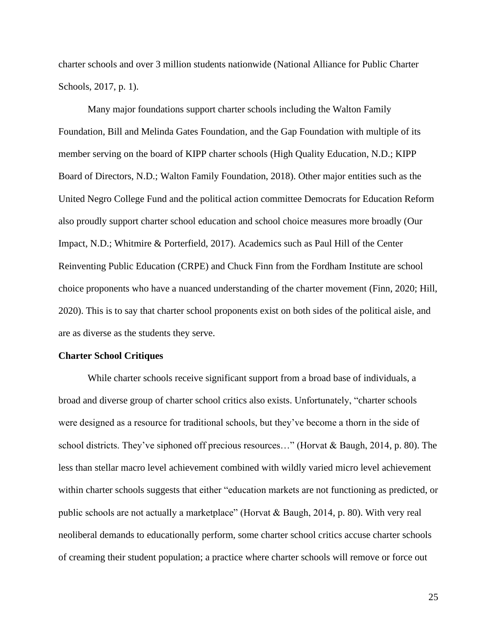charter schools and over 3 million students nationwide (National Alliance for Public Charter Schools, 2017, p. 1).

Many major foundations support charter schools including the Walton Family Foundation, Bill and Melinda Gates Foundation, and the Gap Foundation with multiple of its member serving on the board of KIPP charter schools (High Quality Education, N.D.; KIPP Board of Directors, N.D.; Walton Family Foundation, 2018). Other major entities such as the United Negro College Fund and the political action committee Democrats for Education Reform also proudly support charter school education and school choice measures more broadly (Our Impact, N.D.; Whitmire & Porterfield, 2017). Academics such as Paul Hill of the Center Reinventing Public Education (CRPE) and Chuck Finn from the Fordham Institute are school choice proponents who have a nuanced understanding of the charter movement (Finn, 2020; Hill, 2020). This is to say that charter school proponents exist on both sides of the political aisle, and are as diverse as the students they serve.

#### <span id="page-32-0"></span>**Charter School Critiques**

While charter schools receive significant support from a broad base of individuals, a broad and diverse group of charter school critics also exists. Unfortunately, "charter schools were designed as a resource for traditional schools, but they've become a thorn in the side of school districts. They've siphoned off precious resources…" (Horvat & Baugh, 2014, p. 80). The less than stellar macro level achievement combined with wildly varied micro level achievement within charter schools suggests that either "education markets are not functioning as predicted, or public schools are not actually a marketplace" (Horvat & Baugh, 2014, p. 80). With very real neoliberal demands to educationally perform, some charter school critics accuse charter schools of creaming their student population; a practice where charter schools will remove or force out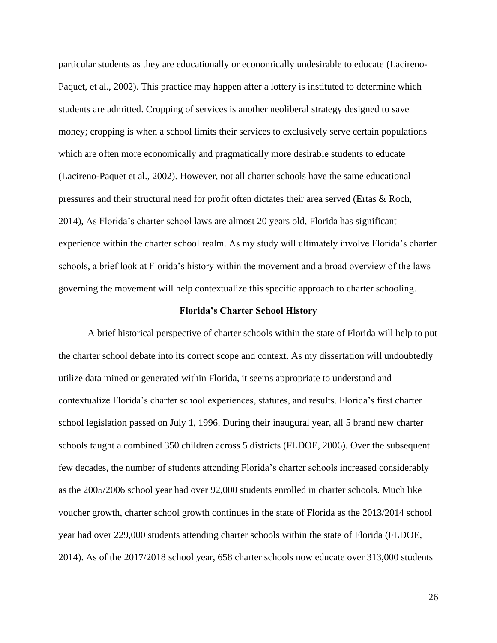particular students as they are educationally or economically undesirable to educate (Lacireno-Paquet, et al., 2002). This practice may happen after a lottery is instituted to determine which students are admitted. Cropping of services is another neoliberal strategy designed to save money; cropping is when a school limits their services to exclusively serve certain populations which are often more economically and pragmatically more desirable students to educate (Lacireno-Paquet et al., 2002). However, not all charter schools have the same educational pressures and their structural need for profit often dictates their area served (Ertas & Roch, 2014), As Florida's charter school laws are almost 20 years old, Florida has significant experience within the charter school realm. As my study will ultimately involve Florida's charter schools, a brief look at Florida's history within the movement and a broad overview of the laws governing the movement will help contextualize this specific approach to charter schooling.

#### **Florida's Charter School History**

<span id="page-33-0"></span>A brief historical perspective of charter schools within the state of Florida will help to put the charter school debate into its correct scope and context. As my dissertation will undoubtedly utilize data mined or generated within Florida, it seems appropriate to understand and contextualize Florida's charter school experiences, statutes, and results. Florida's first charter school legislation passed on July 1, 1996. During their inaugural year, all 5 brand new charter schools taught a combined 350 children across 5 districts (FLDOE, 2006). Over the subsequent few decades, the number of students attending Florida's charter schools increased considerably as the 2005/2006 school year had over 92,000 students enrolled in charter schools. Much like voucher growth, charter school growth continues in the state of Florida as the 2013/2014 school year had over 229,000 students attending charter schools within the state of Florida (FLDOE, 2014). As of the 2017/2018 school year, 658 charter schools now educate over 313,000 students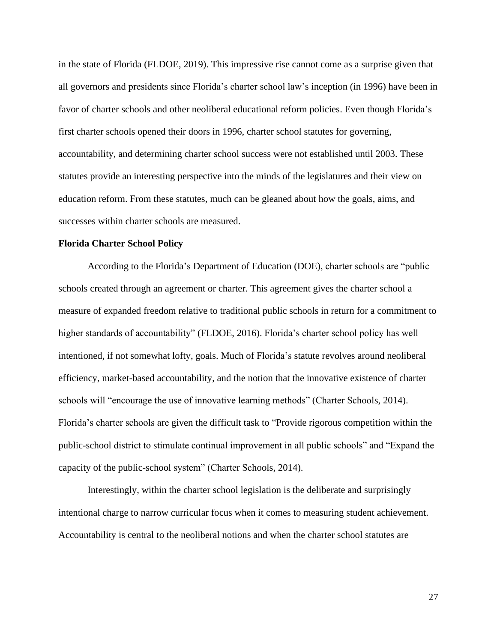in the state of Florida (FLDOE, 2019). This impressive rise cannot come as a surprise given that all governors and presidents since Florida's charter school law's inception (in 1996) have been in favor of charter schools and other neoliberal educational reform policies. Even though Florida's first charter schools opened their doors in 1996, charter school statutes for governing, accountability, and determining charter school success were not established until 2003. These statutes provide an interesting perspective into the minds of the legislatures and their view on education reform. From these statutes, much can be gleaned about how the goals, aims, and successes within charter schools are measured.

#### <span id="page-34-0"></span>**Florida Charter School Policy**

According to the Florida's Department of Education (DOE), charter schools are "public schools created through an agreement or charter. This agreement gives the charter school a measure of expanded freedom relative to traditional public schools in return for a commitment to higher standards of accountability" (FLDOE, 2016). Florida's charter school policy has well intentioned, if not somewhat lofty, goals. Much of Florida's statute revolves around neoliberal efficiency, market-based accountability, and the notion that the innovative existence of charter schools will "encourage the use of innovative learning methods" (Charter Schools, 2014). Florida's charter schools are given the difficult task to "Provide rigorous competition within the public-school district to stimulate continual improvement in all public schools" and "Expand the capacity of the public-school system" (Charter Schools, 2014).

Interestingly, within the charter school legislation is the deliberate and surprisingly intentional charge to narrow curricular focus when it comes to measuring student achievement. Accountability is central to the neoliberal notions and when the charter school statutes are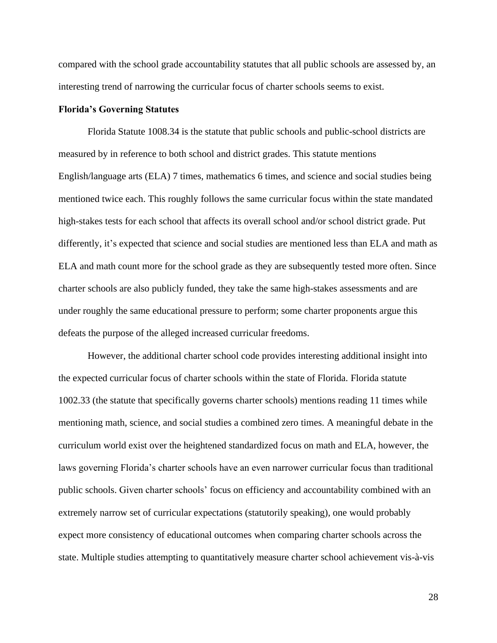compared with the school grade accountability statutes that all public schools are assessed by, an interesting trend of narrowing the curricular focus of charter schools seems to exist.

#### <span id="page-35-0"></span>**Florida's Governing Statutes**

Florida Statute 1008.34 is the statute that public schools and public-school districts are measured by in reference to both school and district grades. This statute mentions English/language arts (ELA) 7 times, mathematics 6 times, and science and social studies being mentioned twice each. This roughly follows the same curricular focus within the state mandated high-stakes tests for each school that affects its overall school and/or school district grade. Put differently, it's expected that science and social studies are mentioned less than ELA and math as ELA and math count more for the school grade as they are subsequently tested more often. Since charter schools are also publicly funded, they take the same high-stakes assessments and are under roughly the same educational pressure to perform; some charter proponents argue this defeats the purpose of the alleged increased curricular freedoms.

However, the additional charter school code provides interesting additional insight into the expected curricular focus of charter schools within the state of Florida. Florida statute 1002.33 (the statute that specifically governs charter schools) mentions reading 11 times while mentioning math, science, and social studies a combined zero times. A meaningful debate in the curriculum world exist over the heightened standardized focus on math and ELA, however, the laws governing Florida's charter schools have an even narrower curricular focus than traditional public schools. Given charter schools' focus on efficiency and accountability combined with an extremely narrow set of curricular expectations (statutorily speaking), one would probably expect more consistency of educational outcomes when comparing charter schools across the state. Multiple studies attempting to quantitatively measure charter school achievement vis-à-vis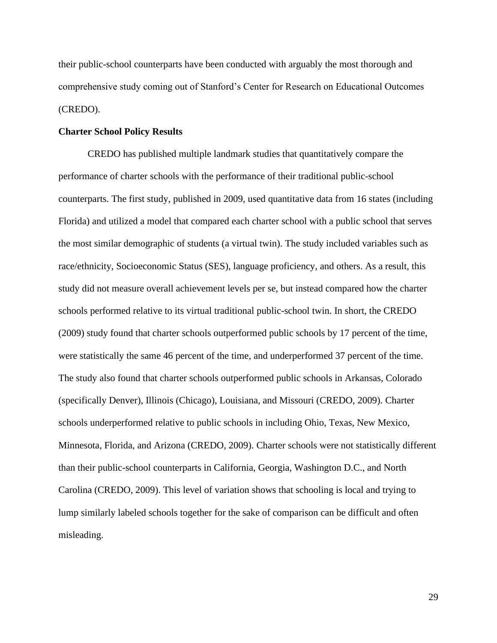their public-school counterparts have been conducted with arguably the most thorough and comprehensive study coming out of Stanford's Center for Research on Educational Outcomes (CREDO).

## **Charter School Policy Results**

CREDO has published multiple landmark studies that quantitatively compare the performance of charter schools with the performance of their traditional public-school counterparts. The first study, published in 2009, used quantitative data from 16 states (including Florida) and utilized a model that compared each charter school with a public school that serves the most similar demographic of students (a virtual twin). The study included variables such as race/ethnicity, Socioeconomic Status (SES), language proficiency, and others. As a result, this study did not measure overall achievement levels per se, but instead compared how the charter schools performed relative to its virtual traditional public-school twin. In short, the CREDO (2009) study found that charter schools outperformed public schools by 17 percent of the time, were statistically the same 46 percent of the time, and underperformed 37 percent of the time. The study also found that charter schools outperformed public schools in Arkansas, Colorado (specifically Denver), Illinois (Chicago), Louisiana, and Missouri (CREDO, 2009). Charter schools underperformed relative to public schools in including Ohio, Texas, New Mexico, Minnesota, Florida, and Arizona (CREDO, 2009). Charter schools were not statistically different than their public-school counterparts in California, Georgia, Washington D.C., and North Carolina (CREDO, 2009). This level of variation shows that schooling is local and trying to lump similarly labeled schools together for the sake of comparison can be difficult and often misleading.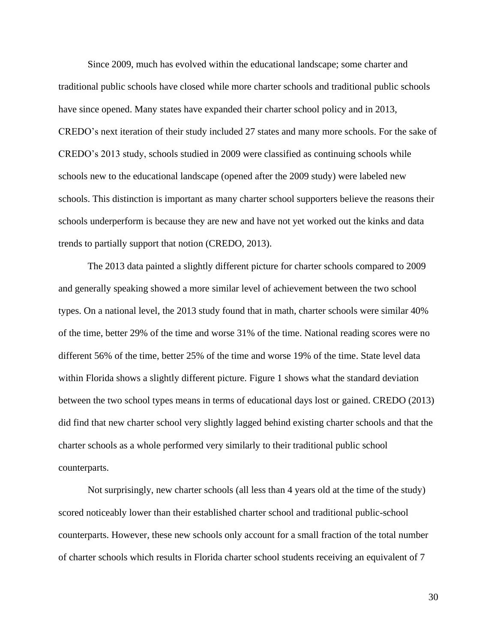Since 2009, much has evolved within the educational landscape; some charter and traditional public schools have closed while more charter schools and traditional public schools have since opened. Many states have expanded their charter school policy and in 2013, CREDO's next iteration of their study included 27 states and many more schools. For the sake of CREDO's 2013 study, schools studied in 2009 were classified as continuing schools while schools new to the educational landscape (opened after the 2009 study) were labeled new schools. This distinction is important as many charter school supporters believe the reasons their schools underperform is because they are new and have not yet worked out the kinks and data trends to partially support that notion (CREDO, 2013).

The 2013 data painted a slightly different picture for charter schools compared to 2009 and generally speaking showed a more similar level of achievement between the two school types. On a national level, the 2013 study found that in math, charter schools were similar 40% of the time, better 29% of the time and worse 31% of the time. National reading scores were no different 56% of the time, better 25% of the time and worse 19% of the time. State level data within Florida shows a slightly different picture. Figure 1 shows what the standard deviation between the two school types means in terms of educational days lost or gained. CREDO (2013) did find that new charter school very slightly lagged behind existing charter schools and that the charter schools as a whole performed very similarly to their traditional public school counterparts.

Not surprisingly, new charter schools (all less than 4 years old at the time of the study) scored noticeably lower than their established charter school and traditional public-school counterparts. However, these new schools only account for a small fraction of the total number of charter schools which results in Florida charter school students receiving an equivalent of 7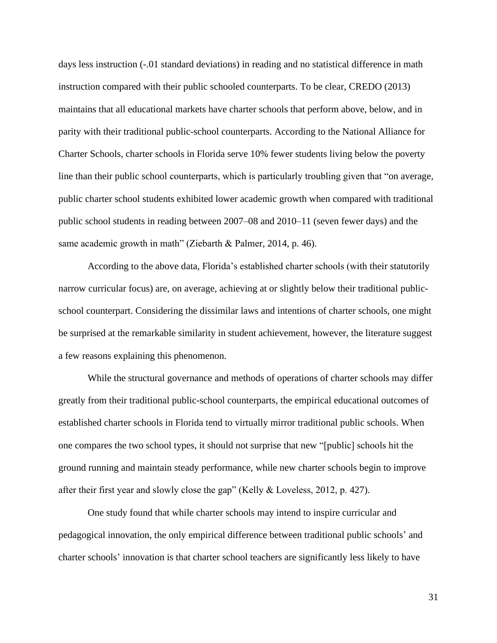days less instruction (-.01 standard deviations) in reading and no statistical difference in math instruction compared with their public schooled counterparts. To be clear, CREDO (2013) maintains that all educational markets have charter schools that perform above, below, and in parity with their traditional public-school counterparts. According to the National Alliance for Charter Schools, charter schools in Florida serve 10% fewer students living below the poverty line than their public school counterparts, which is particularly troubling given that "on average, public charter school students exhibited lower academic growth when compared with traditional public school students in reading between 2007–08 and 2010–11 (seven fewer days) and the same academic growth in math" (Ziebarth & Palmer, 2014, p. 46).

According to the above data, Florida's established charter schools (with their statutorily narrow curricular focus) are, on average, achieving at or slightly below their traditional publicschool counterpart. Considering the dissimilar laws and intentions of charter schools, one might be surprised at the remarkable similarity in student achievement, however, the literature suggest a few reasons explaining this phenomenon.

While the structural governance and methods of operations of charter schools may differ greatly from their traditional public-school counterparts, the empirical educational outcomes of established charter schools in Florida tend to virtually mirror traditional public schools. When one compares the two school types, it should not surprise that new "[public] schools hit the ground running and maintain steady performance, while new charter schools begin to improve after their first year and slowly close the gap" (Kelly & Loveless, 2012, p. 427).

One study found that while charter schools may intend to inspire curricular and pedagogical innovation, the only empirical difference between traditional public schools' and charter schools' innovation is that charter school teachers are significantly less likely to have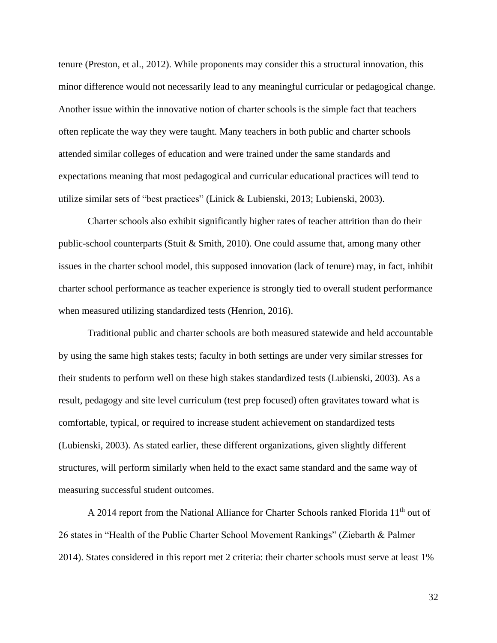tenure (Preston, et al., 2012). While proponents may consider this a structural innovation, this minor difference would not necessarily lead to any meaningful curricular or pedagogical change. Another issue within the innovative notion of charter schools is the simple fact that teachers often replicate the way they were taught. Many teachers in both public and charter schools attended similar colleges of education and were trained under the same standards and expectations meaning that most pedagogical and curricular educational practices will tend to utilize similar sets of "best practices" (Linick & Lubienski, 2013; Lubienski, 2003).

Charter schools also exhibit significantly higher rates of teacher attrition than do their public-school counterparts (Stuit & Smith, 2010). One could assume that, among many other issues in the charter school model, this supposed innovation (lack of tenure) may, in fact, inhibit charter school performance as teacher experience is strongly tied to overall student performance when measured utilizing standardized tests (Henrion, 2016).

Traditional public and charter schools are both measured statewide and held accountable by using the same high stakes tests; faculty in both settings are under very similar stresses for their students to perform well on these high stakes standardized tests (Lubienski, 2003). As a result, pedagogy and site level curriculum (test prep focused) often gravitates toward what is comfortable, typical, or required to increase student achievement on standardized tests (Lubienski, 2003). As stated earlier, these different organizations, given slightly different structures, will perform similarly when held to the exact same standard and the same way of measuring successful student outcomes.

A 2014 report from the National Alliance for Charter Schools ranked Florida 11<sup>th</sup> out of 26 states in "Health of the Public Charter School Movement Rankings" (Ziebarth & Palmer 2014). States considered in this report met 2 criteria: their charter schools must serve at least 1%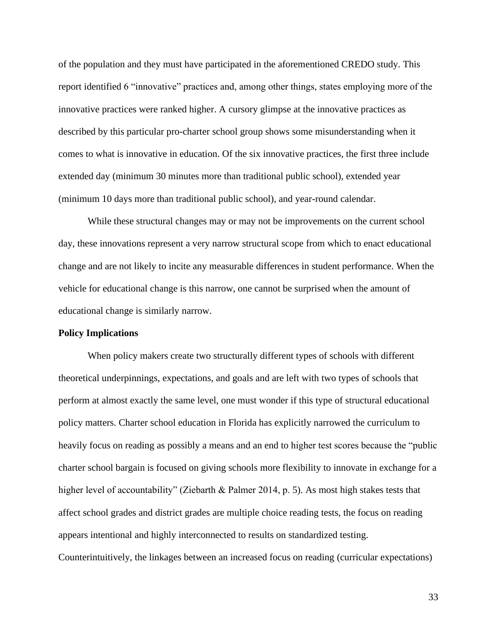of the population and they must have participated in the aforementioned CREDO study. This report identified 6 "innovative" practices and, among other things, states employing more of the innovative practices were ranked higher. A cursory glimpse at the innovative practices as described by this particular pro-charter school group shows some misunderstanding when it comes to what is innovative in education. Of the six innovative practices, the first three include extended day (minimum 30 minutes more than traditional public school), extended year (minimum 10 days more than traditional public school), and year-round calendar.

While these structural changes may or may not be improvements on the current school day, these innovations represent a very narrow structural scope from which to enact educational change and are not likely to incite any measurable differences in student performance. When the vehicle for educational change is this narrow, one cannot be surprised when the amount of educational change is similarly narrow.

## **Policy Implications**

When policy makers create two structurally different types of schools with different theoretical underpinnings, expectations, and goals and are left with two types of schools that perform at almost exactly the same level, one must wonder if this type of structural educational policy matters. Charter school education in Florida has explicitly narrowed the curriculum to heavily focus on reading as possibly a means and an end to higher test scores because the "public charter school bargain is focused on giving schools more flexibility to innovate in exchange for a higher level of accountability" (Ziebarth & Palmer 2014, p. 5). As most high stakes tests that affect school grades and district grades are multiple choice reading tests, the focus on reading appears intentional and highly interconnected to results on standardized testing. Counterintuitively, the linkages between an increased focus on reading (curricular expectations)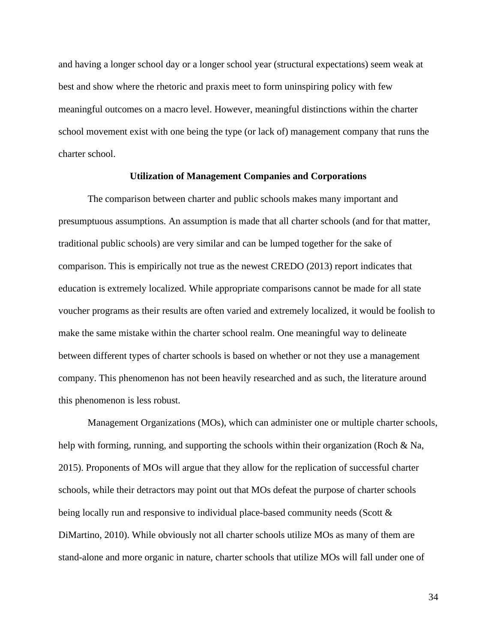and having a longer school day or a longer school year (structural expectations) seem weak at best and show where the rhetoric and praxis meet to form uninspiring policy with few meaningful outcomes on a macro level. However, meaningful distinctions within the charter school movement exist with one being the type (or lack of) management company that runs the charter school.

## **Utilization of Management Companies and Corporations**

The comparison between charter and public schools makes many important and presumptuous assumptions. An assumption is made that all charter schools (and for that matter, traditional public schools) are very similar and can be lumped together for the sake of comparison. This is empirically not true as the newest CREDO (2013) report indicates that education is extremely localized. While appropriate comparisons cannot be made for all state voucher programs as their results are often varied and extremely localized, it would be foolish to make the same mistake within the charter school realm. One meaningful way to delineate between different types of charter schools is based on whether or not they use a management company. This phenomenon has not been heavily researched and as such, the literature around this phenomenon is less robust.

Management Organizations (MOs), which can administer one or multiple charter schools, help with forming, running, and supporting the schools within their organization (Roch & Na, 2015). Proponents of MOs will argue that they allow for the replication of successful charter schools, while their detractors may point out that MOs defeat the purpose of charter schools being locally run and responsive to individual place-based community needs (Scott & DiMartino, 2010). While obviously not all charter schools utilize MOs as many of them are stand-alone and more organic in nature, charter schools that utilize MOs will fall under one of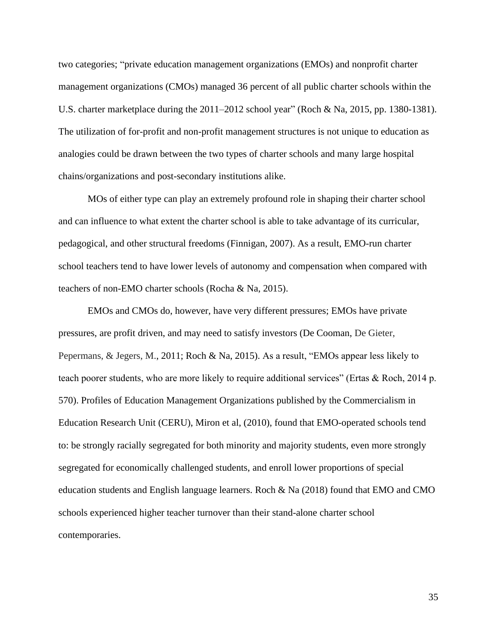two categories; "private education management organizations (EMOs) and nonprofit charter management organizations (CMOs) managed 36 percent of all public charter schools within the U.S. charter marketplace during the 2011–2012 school year" (Roch & Na, 2015, pp. 1380-1381). The utilization of for-profit and non-profit management structures is not unique to education as analogies could be drawn between the two types of charter schools and many large hospital chains/organizations and post-secondary institutions alike.

MOs of either type can play an extremely profound role in shaping their charter school and can influence to what extent the charter school is able to take advantage of its curricular, pedagogical, and other structural freedoms (Finnigan, 2007). As a result, EMO-run charter school teachers tend to have lower levels of autonomy and compensation when compared with teachers of non-EMO charter schools (Rocha & Na, 2015).

EMOs and CMOs do, however, have very different pressures; EMOs have private pressures, are profit driven, and may need to satisfy investors (De Cooman, De Gieter, Pepermans, & Jegers, M., 2011; Roch & Na, 2015). As a result, "EMOs appear less likely to teach poorer students, who are more likely to require additional services" (Ertas & Roch, 2014 p. 570). Profiles of Education Management Organizations published by the Commercialism in Education Research Unit (CERU), Miron et al, (2010), found that EMO-operated schools tend to: be strongly racially segregated for both minority and majority students, even more strongly segregated for economically challenged students, and enroll lower proportions of special education students and English language learners. Roch & Na (2018) found that EMO and CMO schools experienced higher teacher turnover than their stand-alone charter school contemporaries.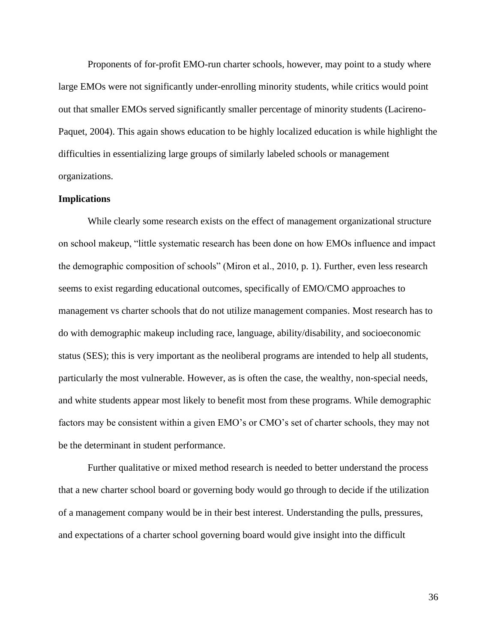Proponents of for-profit EMO-run charter schools, however, may point to a study where large EMOs were not significantly under-enrolling minority students, while critics would point out that smaller EMOs served significantly smaller percentage of minority students (Lacireno-Paquet, 2004). This again shows education to be highly localized education is while highlight the difficulties in essentializing large groups of similarly labeled schools or management organizations.

## **Implications**

While clearly some research exists on the effect of management organizational structure on school makeup, "little systematic research has been done on how EMOs influence and impact the demographic composition of schools" (Miron et al., 2010, p. 1). Further, even less research seems to exist regarding educational outcomes, specifically of EMO/CMO approaches to management vs charter schools that do not utilize management companies. Most research has to do with demographic makeup including race, language, ability/disability, and socioeconomic status (SES); this is very important as the neoliberal programs are intended to help all students, particularly the most vulnerable. However, as is often the case, the wealthy, non-special needs, and white students appear most likely to benefit most from these programs. While demographic factors may be consistent within a given EMO's or CMO's set of charter schools, they may not be the determinant in student performance.

Further qualitative or mixed method research is needed to better understand the process that a new charter school board or governing body would go through to decide if the utilization of a management company would be in their best interest. Understanding the pulls, pressures, and expectations of a charter school governing board would give insight into the difficult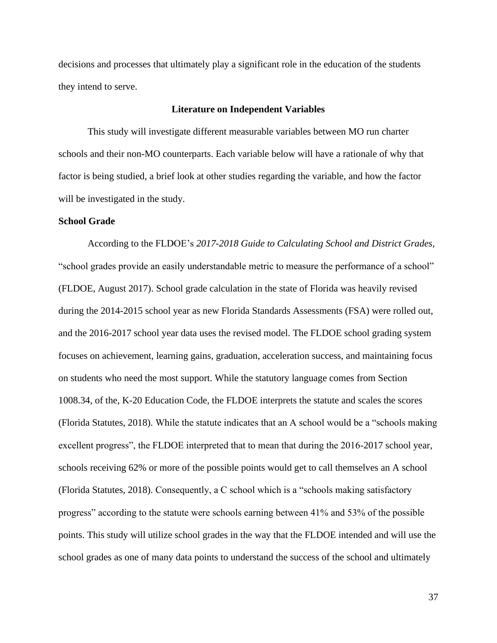decisions and processes that ultimately play a significant role in the education of the students they intend to serve.

### **Literature on Independent Variables**

This study will investigate different measurable variables between MO run charter schools and their non-MO counterparts. Each variable below will have a rationale of why that factor is being studied, a brief look at other studies regarding the variable, and how the factor will be investigated in the study.

### **School Grade**

According to the FLDOE's *2017-2018 Guide to Calculating School and District Grades,*  "school grades provide an easily understandable metric to measure the performance of a school" (FLDOE, August 2017). School grade calculation in the state of Florida was heavily revised during the 2014-2015 school year as new Florida Standards Assessments (FSA) were rolled out, and the 2016-2017 school year data uses the revised model. The FLDOE school grading system focuses on achievement, learning gains, graduation, acceleration success, and maintaining focus on students who need the most support. While the statutory language comes from Section 1008.34, of the, K-20 Education Code, the FLDOE interprets the statute and scales the scores (Florida Statutes, 2018). While the statute indicates that an A school would be a "schools making excellent progress", the FLDOE interpreted that to mean that during the 2016-2017 school year, schools receiving 62% or more of the possible points would get to call themselves an A school (Florida Statutes, 2018). Consequently, a C school which is a "schools making satisfactory progress" according to the statute were schools earning between 41% and 53% of the possible points. This study will utilize school grades in the way that the FLDOE intended and will use the school grades as one of many data points to understand the success of the school and ultimately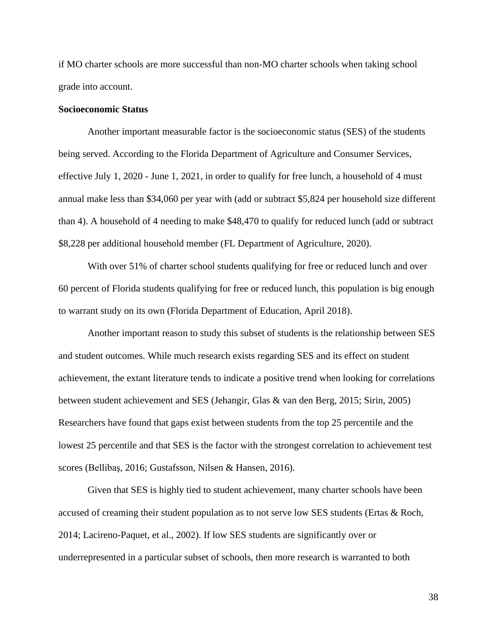if MO charter schools are more successful than non-MO charter schools when taking school grade into account.

## **Socioeconomic Status**

Another important measurable factor is the socioeconomic status (SES) of the students being served. According to the Florida Department of Agriculture and Consumer Services, effective July 1, 2020 - June 1, 2021, in order to qualify for free lunch, a household of 4 must annual make less than \$34,060 per year with (add or subtract \$5,824 per household size different than 4). A household of 4 needing to make \$48,470 to qualify for reduced lunch (add or subtract \$8,228 per additional household member (FL Department of Agriculture, 2020).

With over 51% of charter school students qualifying for free or reduced lunch and over 60 percent of Florida students qualifying for free or reduced lunch, this population is big enough to warrant study on its own (Florida Department of Education, April 2018).

Another important reason to study this subset of students is the relationship between SES and student outcomes. While much research exists regarding SES and its effect on student achievement, the extant literature tends to indicate a positive trend when looking for correlations between student achievement and SES (Jehangir, Glas & van den Berg, 2015; Sirin, 2005) Researchers have found that gaps exist between students from the top 25 percentile and the lowest 25 percentile and that SES is the factor with the strongest correlation to achievement test scores (Bellibaş, 2016; Gustafsson, Nilsen & Hansen, 2016).

Given that SES is highly tied to student achievement, many charter schools have been accused of creaming their student population as to not serve low SES students (Ertas & Roch, 2014; Lacireno-Paquet, et al., 2002). If low SES students are significantly over or underrepresented in a particular subset of schools, then more research is warranted to both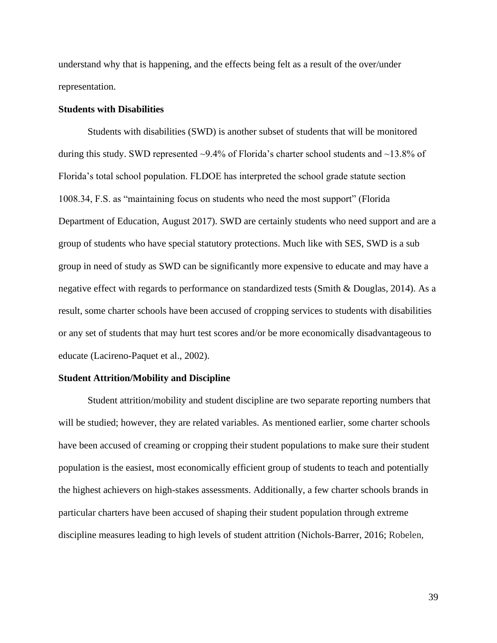understand why that is happening, and the effects being felt as a result of the over/under representation.

### **Students with Disabilities**

Students with disabilities (SWD) is another subset of students that will be monitored during this study. SWD represented ~9.4% of Florida's charter school students and ~13.8% of Florida's total school population. FLDOE has interpreted the school grade statute section 1008.34, F.S. as "maintaining focus on students who need the most support" (Florida Department of Education, August 2017). SWD are certainly students who need support and are a group of students who have special statutory protections. Much like with SES, SWD is a sub group in need of study as SWD can be significantly more expensive to educate and may have a negative effect with regards to performance on standardized tests (Smith & Douglas, 2014). As a result, some charter schools have been accused of cropping services to students with disabilities or any set of students that may hurt test scores and/or be more economically disadvantageous to educate (Lacireno-Paquet et al., 2002).

### **Student Attrition/Mobility and Discipline**

Student attrition/mobility and student discipline are two separate reporting numbers that will be studied; however, they are related variables. As mentioned earlier, some charter schools have been accused of creaming or cropping their student populations to make sure their student population is the easiest, most economically efficient group of students to teach and potentially the highest achievers on high-stakes assessments. Additionally, a few charter schools brands in particular charters have been accused of shaping their student population through extreme discipline measures leading to high levels of student attrition (Nichols-Barrer, 2016; Robelen,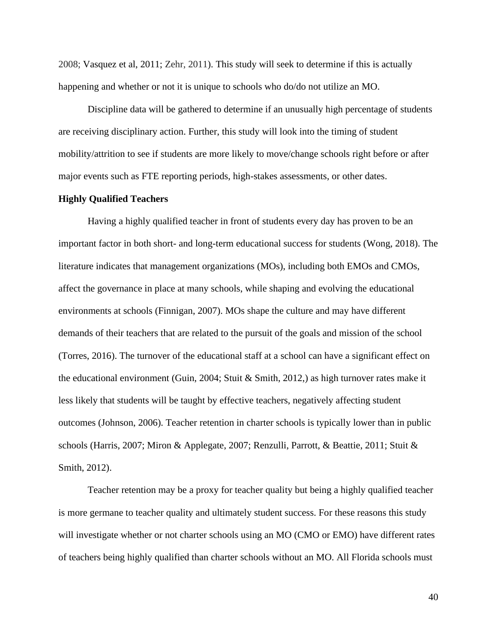2008; Vasquez et al, 2011; Zehr, 2011). This study will seek to determine if this is actually happening and whether or not it is unique to schools who do/do not utilize an MO.

Discipline data will be gathered to determine if an unusually high percentage of students are receiving disciplinary action. Further, this study will look into the timing of student mobility/attrition to see if students are more likely to move/change schools right before or after major events such as FTE reporting periods, high-stakes assessments, or other dates.

## **Highly Qualified Teachers**

Having a highly qualified teacher in front of students every day has proven to be an important factor in both short- and long-term educational success for students (Wong, 2018). The literature indicates that management organizations (MOs), including both EMOs and CMOs, affect the governance in place at many schools, while shaping and evolving the educational environments at schools (Finnigan, 2007). MOs shape the culture and may have different demands of their teachers that are related to the pursuit of the goals and mission of the school (Torres, 2016). The turnover of the educational staff at a school can have a significant effect on the educational environment (Guin, 2004; Stuit & Smith, 2012,) as high turnover rates make it less likely that students will be taught by effective teachers, negatively affecting student outcomes (Johnson, 2006). Teacher retention in charter schools is typically lower than in public schools (Harris, 2007; Miron & Applegate, 2007; Renzulli, Parrott, & Beattie, 2011; Stuit & Smith, 2012).

Teacher retention may be a proxy for teacher quality but being a highly qualified teacher is more germane to teacher quality and ultimately student success. For these reasons this study will investigate whether or not charter schools using an MO (CMO or EMO) have different rates of teachers being highly qualified than charter schools without an MO. All Florida schools must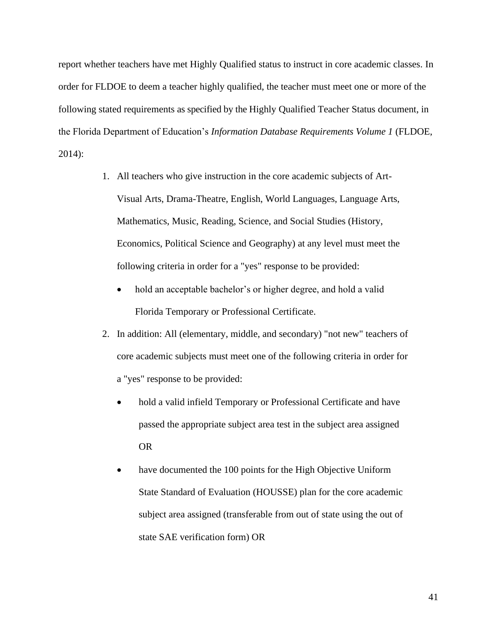report whether teachers have met Highly Qualified status to instruct in core academic classes. In order for FLDOE to deem a teacher highly qualified, the teacher must meet one or more of the following stated requirements as specified by the Highly Qualified Teacher Status document, in the Florida Department of Education's *Information Database Requirements Volume 1* (FLDOE, 2014):

- 1. All teachers who give instruction in the core academic subjects of Art-Visual Arts, Drama-Theatre, English, World Languages, Language Arts, Mathematics, Music, Reading, Science, and Social Studies (History, Economics, Political Science and Geography) at any level must meet the following criteria in order for a "yes" response to be provided:
	- hold an acceptable bachelor's or higher degree, and hold a valid Florida Temporary or Professional Certificate.
- 2. In addition: All (elementary, middle, and secondary) "not new" teachers of core academic subjects must meet one of the following criteria in order for a "yes" response to be provided:
	- hold a valid infield Temporary or Professional Certificate and have passed the appropriate subject area test in the subject area assigned OR
	- have documented the 100 points for the High Objective Uniform State Standard of Evaluation (HOUSSE) plan for the core academic subject area assigned (transferable from out of state using the out of state SAE verification form) OR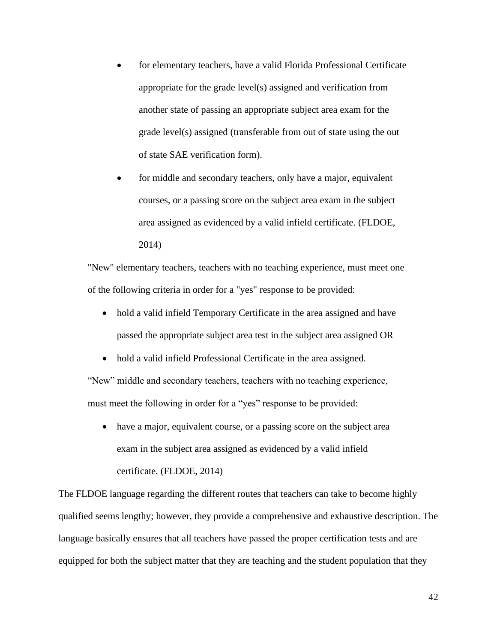- for elementary teachers, have a valid Florida Professional Certificate appropriate for the grade level(s) assigned and verification from another state of passing an appropriate subject area exam for the grade level(s) assigned (transferable from out of state using the out of state SAE verification form).
- for middle and secondary teachers, only have a major, equivalent courses, or a passing score on the subject area exam in the subject area assigned as evidenced by a valid infield certificate. (FLDOE, 2014)

"New" elementary teachers, teachers with no teaching experience, must meet one of the following criteria in order for a "yes" response to be provided:

- hold a valid infield Temporary Certificate in the area assigned and have passed the appropriate subject area test in the subject area assigned OR
- hold a valid infield Professional Certificate in the area assigned.

"New" middle and secondary teachers, teachers with no teaching experience, must meet the following in order for a "yes" response to be provided:

• have a major, equivalent course, or a passing score on the subject area exam in the subject area assigned as evidenced by a valid infield certificate. (FLDOE, 2014)

The FLDOE language regarding the different routes that teachers can take to become highly qualified seems lengthy; however, they provide a comprehensive and exhaustive description. The language basically ensures that all teachers have passed the proper certification tests and are equipped for both the subject matter that they are teaching and the student population that they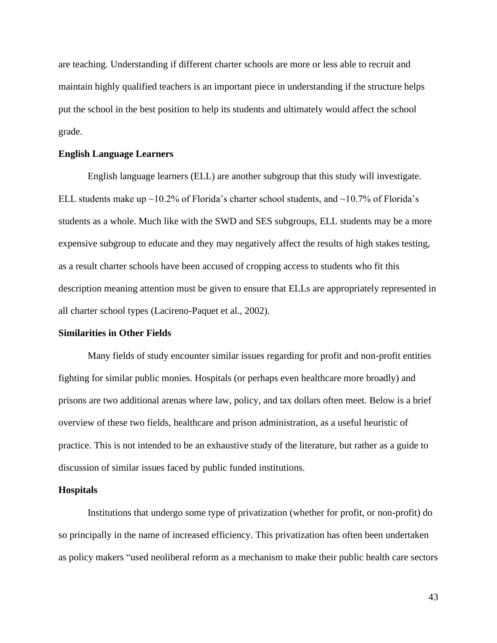are teaching. Understanding if different charter schools are more or less able to recruit and maintain highly qualified teachers is an important piece in understanding if the structure helps put the school in the best position to help its students and ultimately would affect the school grade.

### **English Language Learners**

English language learners (ELL) are another subgroup that this study will investigate. ELL students make up ~10.2% of Florida's charter school students, and ~10.7% of Florida's students as a whole. Much like with the SWD and SES subgroups, ELL students may be a more expensive subgroup to educate and they may negatively affect the results of high stakes testing, as a result charter schools have been accused of cropping access to students who fit this description meaning attention must be given to ensure that ELLs are appropriately represented in all charter school types (Lacireno-Paquet et al., 2002).

### **Similarities in Other Fields**

Many fields of study encounter similar issues regarding for profit and non-profit entities fighting for similar public monies. Hospitals (or perhaps even healthcare more broadly) and prisons are two additional arenas where law, policy, and tax dollars often meet. Below is a brief overview of these two fields, healthcare and prison administration, as a useful heuristic of practice. This is not intended to be an exhaustive study of the literature, but rather as a guide to discussion of similar issues faced by public funded institutions.

#### **Hospitals**

Institutions that undergo some type of privatization (whether for profit, or non-profit) do so principally in the name of increased efficiency. This privatization has often been undertaken as policy makers "used neoliberal reform as a mechanism to make their public health care sectors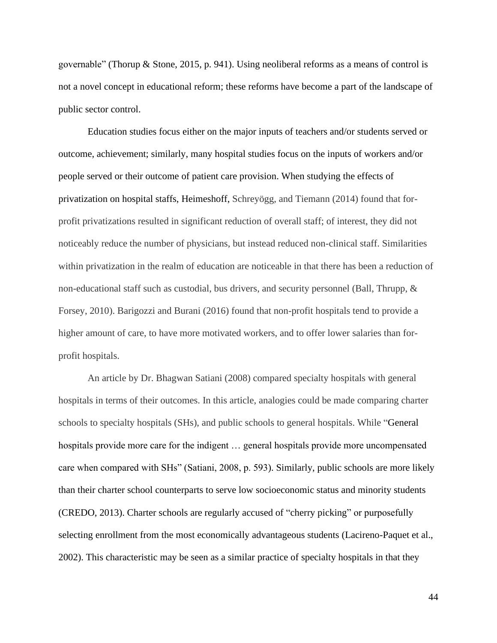governable" (Thorup & Stone, 2015, p. 941). Using neoliberal reforms as a means of control is not a novel concept in educational reform; these reforms have become a part of the landscape of public sector control.

Education studies focus either on the major inputs of teachers and/or students served or outcome, achievement; similarly, many hospital studies focus on the inputs of workers and/or people served or their outcome of patient care provision. When studying the effects of privatization on hospital staffs, Heimeshoff, Schreyögg, and Tiemann (2014) found that forprofit privatizations resulted in significant reduction of overall staff; of interest, they did not noticeably reduce the number of physicians, but instead reduced non-clinical staff. Similarities within privatization in the realm of education are noticeable in that there has been a reduction of non-educational staff such as custodial, bus drivers, and security personnel (Ball, Thrupp, & Forsey, 2010). Barigozzi and Burani (2016) found that non-profit hospitals tend to provide a higher amount of care, to have more motivated workers, and to offer lower salaries than forprofit hospitals.

An article by Dr. Bhagwan Satiani (2008) compared specialty hospitals with general hospitals in terms of their outcomes. In this article, analogies could be made comparing charter schools to specialty hospitals (SHs), and public schools to general hospitals. While "General hospitals provide more care for the indigent … general hospitals provide more uncompensated care when compared with SHs" (Satiani, 2008, p. 593). Similarly, public schools are more likely than their charter school counterparts to serve low socioeconomic status and minority students (CREDO, 2013). Charter schools are regularly accused of "cherry picking" or purposefully selecting enrollment from the most economically advantageous students (Lacireno-Paquet et al., 2002). This characteristic may be seen as a similar practice of specialty hospitals in that they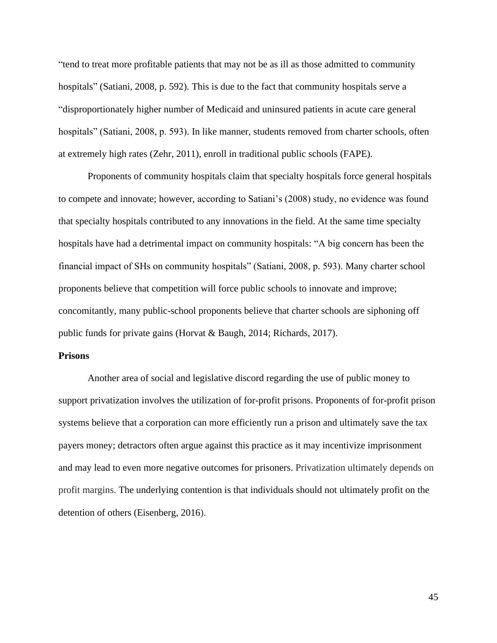"tend to treat more profitable patients that may not be as ill as those admitted to community hospitals" (Satiani, 2008, p. 592). This is due to the fact that community hospitals serve a "disproportionately higher number of Medicaid and uninsured patients in acute care general hospitals" (Satiani, 2008, p. 593). In like manner, students removed from charter schools, often at extremely high rates (Zehr, 2011), enroll in traditional public schools (FAPE).

Proponents of community hospitals claim that specialty hospitals force general hospitals to compete and innovate; however, according to Satiani's (2008) study, no evidence was found that specialty hospitals contributed to any innovations in the field. At the same time specialty hospitals have had a detrimental impact on community hospitals: "A big concern has been the financial impact of SHs on community hospitals" (Satiani, 2008, p. 593). Many charter school proponents believe that competition will force public schools to innovate and improve; concomitantly, many public-school proponents believe that charter schools are siphoning off public funds for private gains (Horvat & Baugh, 2014; Richards, 2017).

## **Prisons**

Another area of social and legislative discord regarding the use of public money to support privatization involves the utilization of for-profit prisons. Proponents of for-profit prison systems believe that a corporation can more efficiently run a prison and ultimately save the tax payers money; detractors often argue against this practice as it may incentivize imprisonment and may lead to even more negative outcomes for prisoners. Privatization ultimately depends on profit margins. The underlying contention is that individuals should not ultimately profit on the detention of others (Eisenberg, 2016).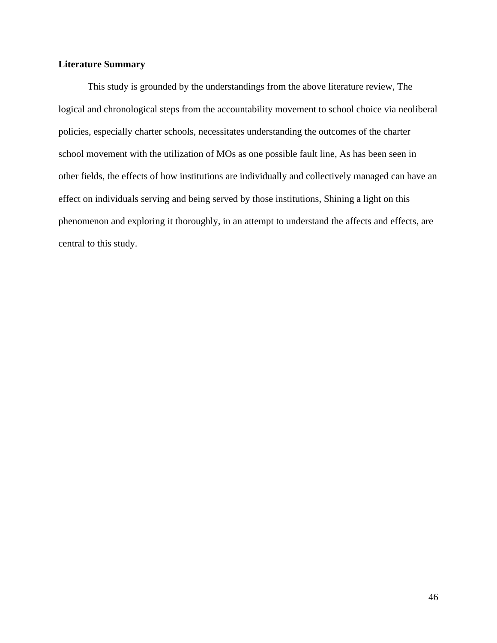## **Literature Summary**

This study is grounded by the understandings from the above literature review, The logical and chronological steps from the accountability movement to school choice via neoliberal policies, especially charter schools, necessitates understanding the outcomes of the charter school movement with the utilization of MOs as one possible fault line, As has been seen in other fields, the effects of how institutions are individually and collectively managed can have an effect on individuals serving and being served by those institutions, Shining a light on this phenomenon and exploring it thoroughly, in an attempt to understand the affects and effects, are central to this study.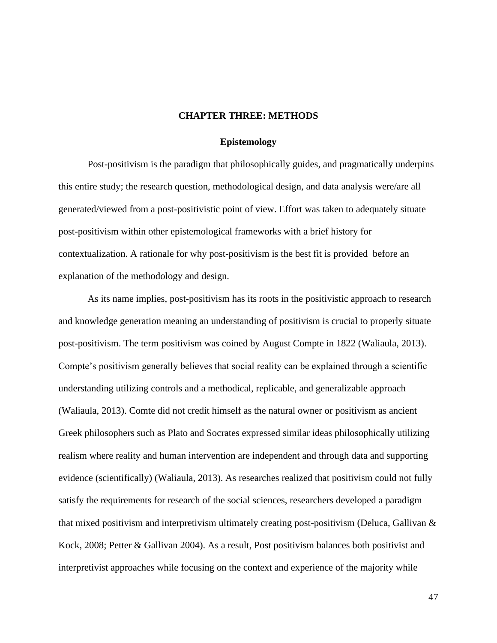### **CHAPTER THREE: METHODS**

### **Epistemology**

Post-positivism is the paradigm that philosophically guides, and pragmatically underpins this entire study; the research question, methodological design, and data analysis were/are all generated/viewed from a post-positivistic point of view. Effort was taken to adequately situate post-positivism within other epistemological frameworks with a brief history for contextualization. A rationale for why post-positivism is the best fit is provided before an explanation of the methodology and design.

As its name implies, post-positivism has its roots in the positivistic approach to research and knowledge generation meaning an understanding of positivism is crucial to properly situate post-positivism. The term positivism was coined by August Compte in 1822 (Waliaula, 2013). Compte's positivism generally believes that social reality can be explained through a scientific understanding utilizing controls and a methodical, replicable, and generalizable approach (Waliaula, 2013). Comte did not credit himself as the natural owner or positivism as ancient Greek philosophers such as Plato and Socrates expressed similar ideas philosophically utilizing realism where reality and human intervention are independent and through data and supporting evidence (scientifically) (Waliaula, 2013). As researches realized that positivism could not fully satisfy the requirements for research of the social sciences, researchers developed a paradigm that mixed positivism and interpretivism ultimately creating post-positivism (Deluca, Gallivan  $\&$ Kock, 2008; Petter & Gallivan 2004). As a result, Post positivism balances both positivist and interpretivist approaches while focusing on the context and experience of the majority while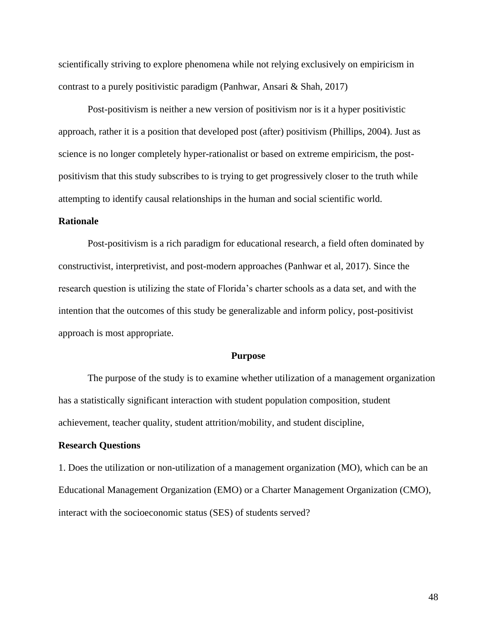scientifically striving to explore phenomena while not relying exclusively on empiricism in contrast to a purely positivistic paradigm (Panhwar, Ansari & Shah, 2017)

Post-positivism is neither a new version of positivism nor is it a hyper positivistic approach, rather it is a position that developed post (after) positivism (Phillips, 2004). Just as science is no longer completely hyper-rationalist or based on extreme empiricism, the postpositivism that this study subscribes to is trying to get progressively closer to the truth while attempting to identify causal relationships in the human and social scientific world.

## **Rationale**

Post-positivism is a rich paradigm for educational research, a field often dominated by constructivist, interpretivist, and post-modern approaches (Panhwar et al, 2017). Since the research question is utilizing the state of Florida's charter schools as a data set, and with the intention that the outcomes of this study be generalizable and inform policy, post-positivist approach is most appropriate.

#### **Purpose**

The purpose of the study is to examine whether utilization of a management organization has a statistically significant interaction with student population composition, student achievement, teacher quality, student attrition/mobility, and student discipline,

### **Research Questions**

1. Does the utilization or non-utilization of a management organization (MO), which can be an Educational Management Organization (EMO) or a Charter Management Organization (CMO), interact with the socioeconomic status (SES) of students served?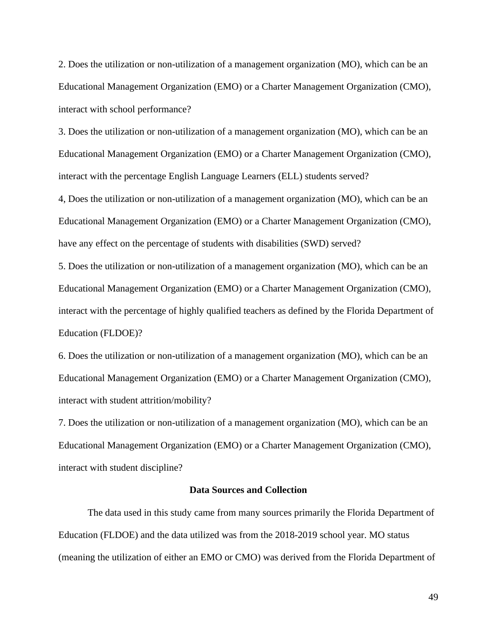2. Does the utilization or non-utilization of a management organization (MO), which can be an Educational Management Organization (EMO) or a Charter Management Organization (CMO), interact with school performance?

3. Does the utilization or non-utilization of a management organization (MO), which can be an Educational Management Organization (EMO) or a Charter Management Organization (CMO), interact with the percentage English Language Learners (ELL) students served?

4, Does the utilization or non-utilization of a management organization (MO), which can be an Educational Management Organization (EMO) or a Charter Management Organization (CMO), have any effect on the percentage of students with disabilities (SWD) served?

5. Does the utilization or non-utilization of a management organization (MO), which can be an Educational Management Organization (EMO) or a Charter Management Organization (CMO), interact with the percentage of highly qualified teachers as defined by the Florida Department of Education (FLDOE)?

6. Does the utilization or non-utilization of a management organization (MO), which can be an Educational Management Organization (EMO) or a Charter Management Organization (CMO), interact with student attrition/mobility?

7. Does the utilization or non-utilization of a management organization (MO), which can be an Educational Management Organization (EMO) or a Charter Management Organization (CMO), interact with student discipline?

## **Data Sources and Collection**

The data used in this study came from many sources primarily the Florida Department of Education (FLDOE) and the data utilized was from the 2018-2019 school year. MO status (meaning the utilization of either an EMO or CMO) was derived from the Florida Department of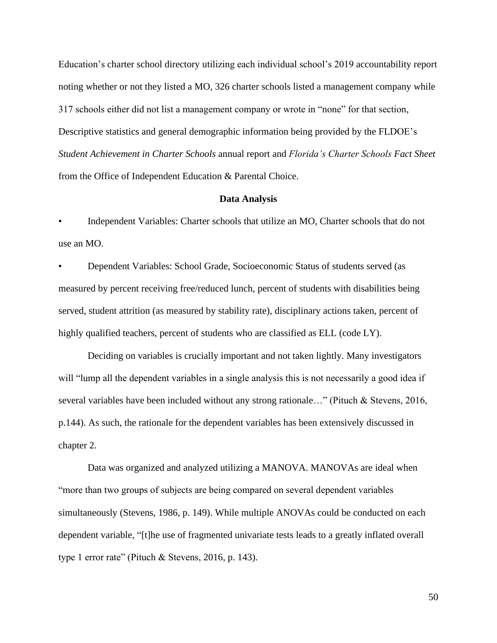Education's charter school directory utilizing each individual school's 2019 accountability report noting whether or not they listed a MO, 326 charter schools listed a management company while 317 schools either did not list a management company or wrote in "none" for that section, Descriptive statistics and general demographic information being provided by the FLDOE's *Student Achievement in Charter Schools* annual report and *Florida's Charter Schools Fact Sheet* from the Office of Independent Education & Parental Choice.

### **Data Analysis**

• Independent Variables: Charter schools that utilize an MO, Charter schools that do not use an MO.

• Dependent Variables: School Grade, Socioeconomic Status of students served (as measured by percent receiving free/reduced lunch, percent of students with disabilities being served, student attrition (as measured by stability rate), disciplinary actions taken, percent of highly qualified teachers, percent of students who are classified as ELL (code LY).

Deciding on variables is crucially important and not taken lightly. Many investigators will "lump all the dependent variables in a single analysis this is not necessarily a good idea if several variables have been included without any strong rationale…" (Pituch & Stevens, 2016, p.144). As such, the rationale for the dependent variables has been extensively discussed in chapter 2.

Data was organized and analyzed utilizing a MANOVA. MANOVAs are ideal when "more than two groups of subjects are being compared on several dependent variables simultaneously (Stevens, 1986, p. 149). While multiple ANOVAs could be conducted on each dependent variable, "[t]he use of fragmented univariate tests leads to a greatly inflated overall type 1 error rate" (Pituch & Stevens, 2016, p. 143).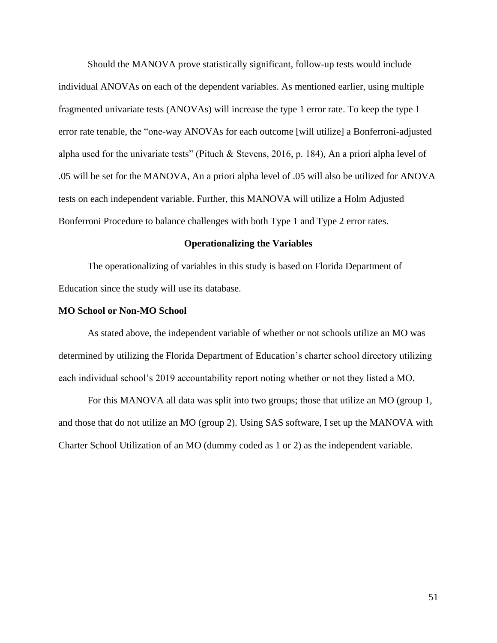Should the MANOVA prove statistically significant, follow-up tests would include individual ANOVAs on each of the dependent variables. As mentioned earlier, using multiple fragmented univariate tests (ANOVAs) will increase the type 1 error rate. To keep the type 1 error rate tenable, the "one-way ANOVAs for each outcome [will utilize] a Bonferroni-adjusted alpha used for the univariate tests" (Pituch & Stevens, 2016, p. 184), An a priori alpha level of .05 will be set for the MANOVA, An a priori alpha level of .05 will also be utilized for ANOVA tests on each independent variable. Further, this MANOVA will utilize a Holm Adjusted Bonferroni Procedure to balance challenges with both Type 1 and Type 2 error rates.

## **Operationalizing the Variables**

The operationalizing of variables in this study is based on Florida Department of Education since the study will use its database.

### **MO School or Non-MO School**

As stated above, the independent variable of whether or not schools utilize an MO was determined by utilizing the Florida Department of Education's charter school directory utilizing each individual school's 2019 accountability report noting whether or not they listed a MO.

For this MANOVA all data was split into two groups; those that utilize an MO (group 1, and those that do not utilize an MO (group 2). Using SAS software, I set up the MANOVA with Charter School Utilization of an MO (dummy coded as 1 or 2) as the independent variable.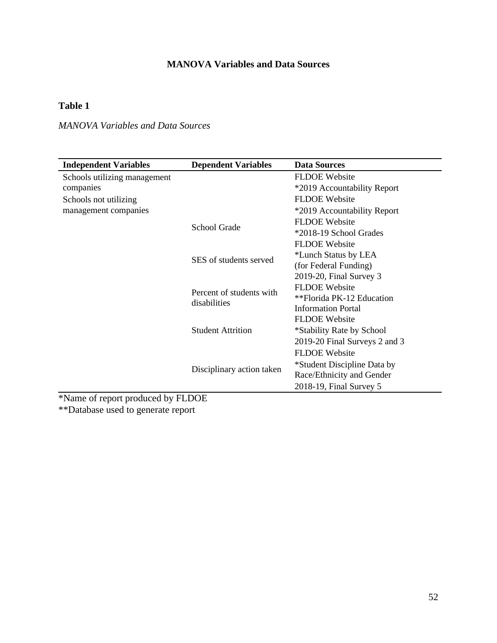# **MANOVA Variables and Data Sources**

# **Table 1**

# *MANOVA Variables and Data Sources*

| <b>Independent Variables</b> | <b>Dependent Variables</b>               | <b>Data Sources</b>           |
|------------------------------|------------------------------------------|-------------------------------|
| Schools utilizing management |                                          | <b>FLDOE</b> Website          |
| companies                    |                                          | *2019 Accountability Report   |
| Schools not utilizing        |                                          | <b>FLDOE</b> Website          |
| management companies         |                                          | *2019 Accountability Report   |
|                              |                                          | <b>FLDOE</b> Website          |
|                              | <b>School Grade</b>                      | *2018-19 School Grades        |
|                              |                                          | <b>FLDOE</b> Website          |
|                              | SES of students served                   | *Lunch Status by LEA          |
|                              |                                          | (for Federal Funding)         |
|                              |                                          | 2019-20, Final Survey 3       |
|                              | Percent of students with<br>disabilities | <b>FLDOE</b> Website          |
|                              |                                          | **Florida PK-12 Education     |
|                              |                                          | <b>Information Portal</b>     |
|                              |                                          | <b>FLDOE</b> Website          |
|                              | <b>Student Attrition</b>                 | *Stability Rate by School     |
|                              |                                          | 2019-20 Final Surveys 2 and 3 |
|                              |                                          | <b>FLDOE</b> Website          |
|                              |                                          | *Student Discipline Data by   |
|                              | Disciplinary action taken                | Race/Ethnicity and Gender     |
|                              |                                          | 2018-19, Final Survey 5       |

\*Name of report produced by FLDOE \*\*Database used to generate report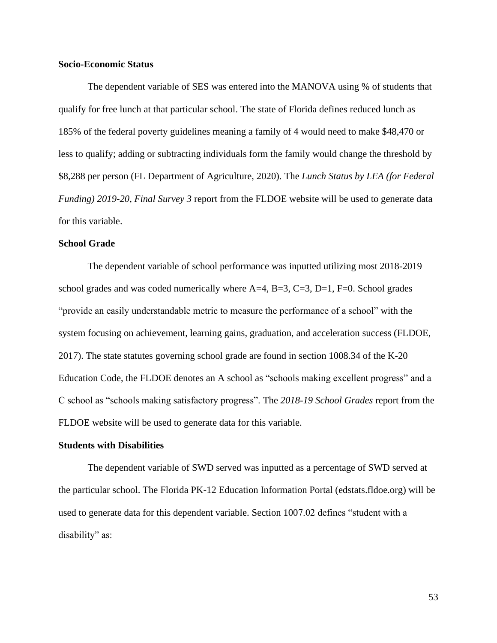## **Socio-Economic Status**

The dependent variable of SES was entered into the MANOVA using % of students that qualify for free lunch at that particular school. The state of Florida defines reduced lunch as 185% of the federal poverty guidelines meaning a family of 4 would need to make \$48,470 or less to qualify; adding or subtracting individuals form the family would change the threshold by \$8,288 per person (FL Department of Agriculture, 2020). The *Lunch Status by LEA (for Federal Funding) 2019-20, Final Survey 3* report from the FLDOE website will be used to generate data for this variable.

## **School Grade**

The dependent variable of school performance was inputted utilizing most 2018-2019 school grades and was coded numerically where  $A=4$ ,  $B=3$ ,  $C=3$ ,  $D=1$ ,  $F=0$ . School grades "provide an easily understandable metric to measure the performance of a school" with the system focusing on achievement, learning gains, graduation, and acceleration success (FLDOE, 2017). The state statutes governing school grade are found in section 1008.34 of the K-20 Education Code, the FLDOE denotes an A school as "schools making excellent progress" and a C school as "schools making satisfactory progress". The *2018-19 School Grades* report from the FLDOE website will be used to generate data for this variable.

## **Students with Disabilities**

The dependent variable of SWD served was inputted as a percentage of SWD served at the particular school. The Florida PK-12 Education Information Portal (edstats.fldoe.org) will be used to generate data for this dependent variable. Section 1007.02 defines "student with a disability" as: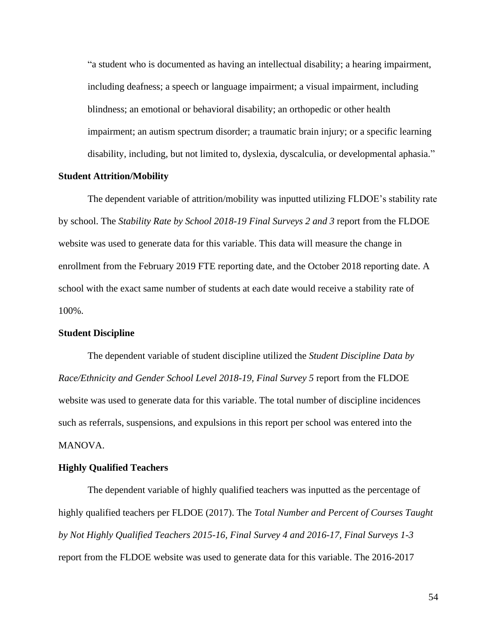"a student who is documented as having an intellectual disability; a hearing impairment, including deafness; a speech or language impairment; a visual impairment, including blindness; an emotional or behavioral disability; an orthopedic or other health impairment; an autism spectrum disorder; a traumatic brain injury; or a specific learning disability, including, but not limited to, dyslexia, dyscalculia, or developmental aphasia."

## **Student Attrition/Mobility**

The dependent variable of attrition/mobility was inputted utilizing FLDOE's stability rate by school. The *Stability Rate by School 2018-19 Final Surveys 2 and 3* report from the FLDOE website was used to generate data for this variable. This data will measure the change in enrollment from the February 2019 FTE reporting date, and the October 2018 reporting date. A school with the exact same number of students at each date would receive a stability rate of 100%.

## **Student Discipline**

The dependent variable of student discipline utilized the *Student Discipline Data by Race/Ethnicity and Gender School Level 2018-19, Final Survey 5* report from the FLDOE website was used to generate data for this variable. The total number of discipline incidences such as referrals, suspensions, and expulsions in this report per school was entered into the MANOVA.

### **Highly Qualified Teachers**

The dependent variable of highly qualified teachers was inputted as the percentage of highly qualified teachers per FLDOE (2017). The *Total Number and Percent of Courses Taught by Not Highly Qualified Teachers 2015-16, Final Survey 4 and 2016-17, Final Surveys 1-3* report from the FLDOE website was used to generate data for this variable. The 2016-2017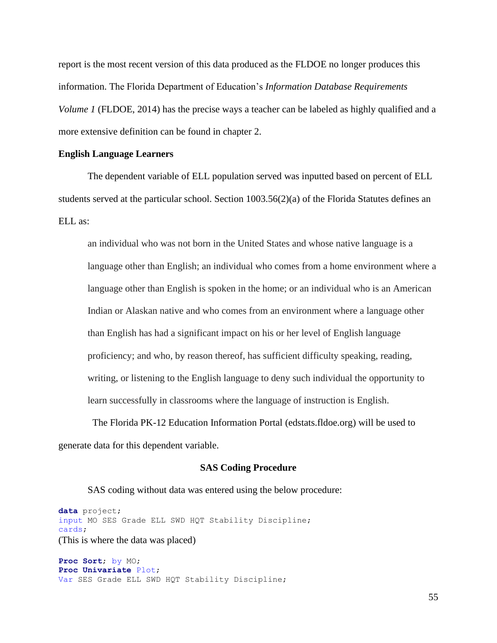report is the most recent version of this data produced as the FLDOE no longer produces this information. The Florida Department of Education's *Information Database Requirements Volume 1* (FLDOE, 2014) has the precise ways a teacher can be labeled as highly qualified and a more extensive definition can be found in chapter 2.

### **English Language Learners**

The dependent variable of ELL population served was inputted based on percent of ELL students served at the particular school. Section 1003.56(2)(a) of the Florida Statutes defines an ELL as:

an individual who was not born in the United States and whose native language is a language other than English; an individual who comes from a home environment where a language other than English is spoken in the home; or an individual who is an American Indian or Alaskan native and who comes from an environment where a language other than English has had a significant impact on his or her level of English language proficiency; and who, by reason thereof, has sufficient difficulty speaking, reading, writing, or listening to the English language to deny such individual the opportunity to learn successfully in classrooms where the language of instruction is English.

 The Florida PK-12 Education Information Portal (edstats.fldoe.org) will be used to generate data for this dependent variable.

### **SAS Coding Procedure**

SAS coding without data was entered using the below procedure:

**data** project; input MO SES Grade ELL SWD HQT Stability Discipline; cards; (This is where the data was placed)

**Proc Sort**; by MO; **Proc Univariate** Plot; Var SES Grade ELL SWD HQT Stability Discipline;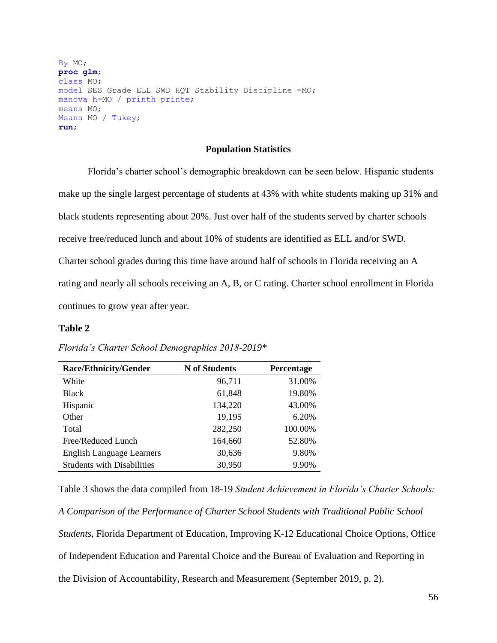```
By MO;
proc glm;
class MO;
model SES Grade ELL SWD HQT Stability Discipline =MO;
manova h=MO / printh printe;
means MO;
Means MO / Tukey;
run;
```
## **Population Statistics**

Florida's charter school's demographic breakdown can be seen below. Hispanic students make up the single largest percentage of students at 43% with white students making up 31% and black students representing about 20%. Just over half of the students served by charter schools receive free/reduced lunch and about 10% of students are identified as ELL and/or SWD. Charter school grades during this time have around half of schools in Florida receiving an A rating and nearly all schools receiving an A, B, or C rating. Charter school enrollment in Florida continues to grow year after year.

### **Table 2**

| <b>Race/Ethnicity/Gender</b>      | <b>N</b> of Students | Percentage |
|-----------------------------------|----------------------|------------|
| White                             | 96,711               | 31.00%     |
| <b>Black</b>                      | 61,848               | 19.80%     |
| Hispanic                          | 134,220              | 43.00%     |
| Other                             | 19,195               | 6.20%      |
| Total                             | 282,250              | 100.00%    |
| Free/Reduced Lunch                | 164,660              | 52.80%     |
| <b>English Language Learners</b>  | 30,636               | 9.80%      |
| <b>Students with Disabilities</b> | 30,950               | 9.90%      |

*Florida's Charter School Demographics 2018-2019\**

Table 3 shows the data compiled from 18-19 *Student Achievement in Florida's Charter Schools:* 

*A Comparison of the Performance of Charter School Students with Traditional Public School* 

*Students*, Florida Department of Education, Improving K-12 Educational Choice Options, Office of Independent Education and Parental Choice and the Bureau of Evaluation and Reporting in the Division of Accountability, Research and Measurement (September 2019, p. 2).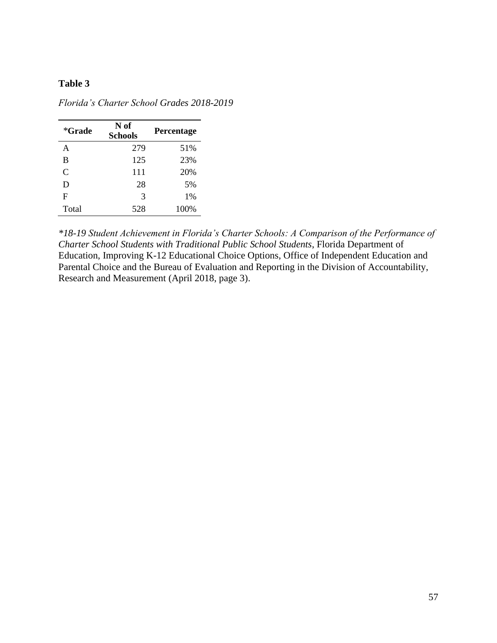## **Table 3**

| *Grade | N of<br><b>Schools</b> | Percentage |
|--------|------------------------|------------|
| A      | 279                    | 51%        |
| B      | 125                    | 23%        |
| C      | 111                    | 20%        |
| D      | 28                     | 5%         |
| F      | 3                      | 1%         |
| Total  | 528                    | 100%       |

*Florida's Charter School Grades 2018-2019*

*\*18-19 Student Achievement in Florida's Charter Schools: A Comparison of the Performance of Charter School Students with Traditional Public School Students*, Florida Department of Education, Improving K-12 Educational Choice Options, Office of Independent Education and Parental Choice and the Bureau of Evaluation and Reporting in the Division of Accountability, Research and Measurement (April 2018, page 3).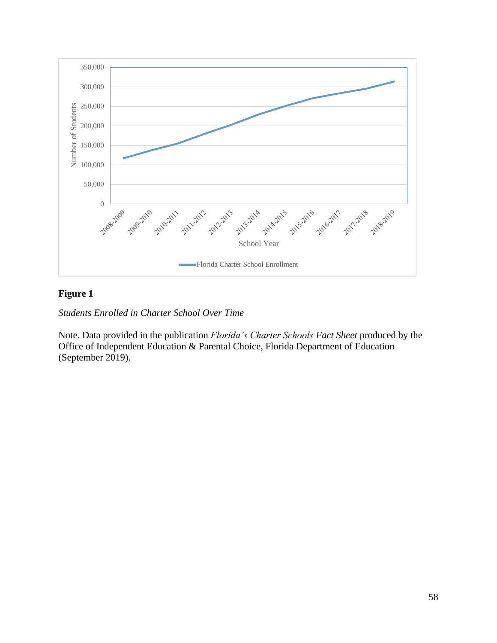

# **Figure 1**

*Students Enrolled in Charter School Over Time*

Note. Data provided in the publication *Florida's Charter Schools Fact Sheet* produced by the Office of Independent Education & Parental Choice, Florida Department of Education (September 2019).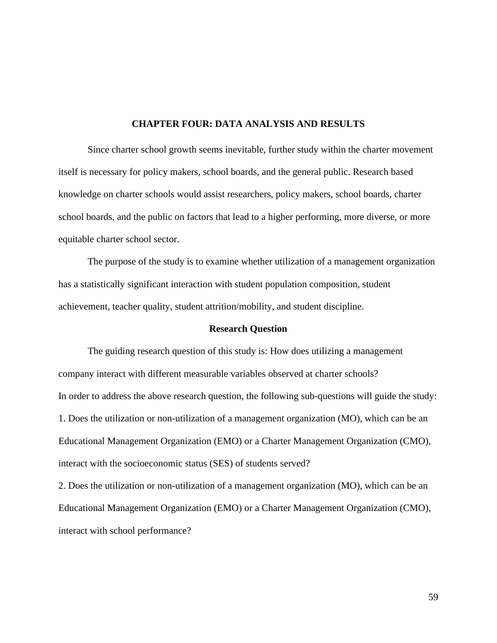## **CHAPTER FOUR: DATA ANALYSIS AND RESULTS**

Since charter school growth seems inevitable, further study within the charter movement itself is necessary for policy makers, school boards, and the general public. Research based knowledge on charter schools would assist researchers, policy makers, school boards, charter school boards, and the public on factors that lead to a higher performing, more diverse, or more equitable charter school sector.

The purpose of the study is to examine whether utilization of a management organization has a statistically significant interaction with student population composition, student achievement, teacher quality, student attrition/mobility, and student discipline.

### **Research Question**

The guiding research question of this study is: How does utilizing a management company interact with different measurable variables observed at charter schools? In order to address the above research question, the following sub-questions will guide the study: 1. Does the utilization or non-utilization of a management organization (MO), which can be an Educational Management Organization (EMO) or a Charter Management Organization (CMO), interact with the socioeconomic status (SES) of students served?

2. Does the utilization or non-utilization of a management organization (MO), which can be an Educational Management Organization (EMO) or a Charter Management Organization (CMO), interact with school performance?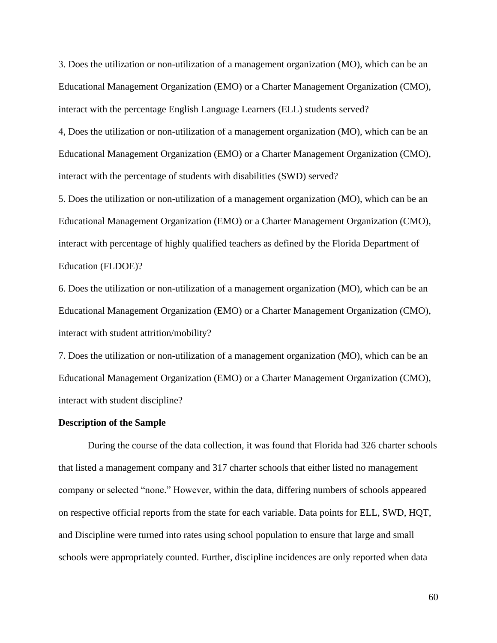3. Does the utilization or non-utilization of a management organization (MO), which can be an Educational Management Organization (EMO) or a Charter Management Organization (CMO), interact with the percentage English Language Learners (ELL) students served?

4, Does the utilization or non-utilization of a management organization (MO), which can be an Educational Management Organization (EMO) or a Charter Management Organization (CMO), interact with the percentage of students with disabilities (SWD) served?

5. Does the utilization or non-utilization of a management organization (MO), which can be an Educational Management Organization (EMO) or a Charter Management Organization (CMO), interact with percentage of highly qualified teachers as defined by the Florida Department of Education (FLDOE)?

6. Does the utilization or non-utilization of a management organization (MO), which can be an Educational Management Organization (EMO) or a Charter Management Organization (CMO), interact with student attrition/mobility?

7. Does the utilization or non-utilization of a management organization (MO), which can be an Educational Management Organization (EMO) or a Charter Management Organization (CMO), interact with student discipline?

### **Description of the Sample**

During the course of the data collection, it was found that Florida had 326 charter schools that listed a management company and 317 charter schools that either listed no management company or selected "none." However, within the data, differing numbers of schools appeared on respective official reports from the state for each variable. Data points for ELL, SWD, HQT, and Discipline were turned into rates using school population to ensure that large and small schools were appropriately counted. Further, discipline incidences are only reported when data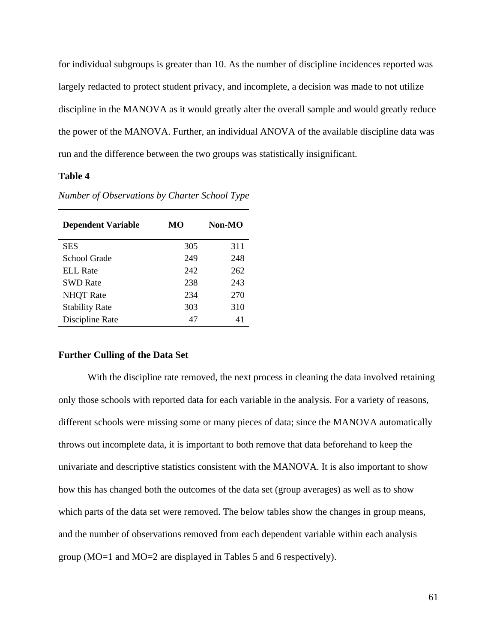for individual subgroups is greater than 10. As the number of discipline incidences reported was largely redacted to protect student privacy, and incomplete, a decision was made to not utilize discipline in the MANOVA as it would greatly alter the overall sample and would greatly reduce the power of the MANOVA. Further, an individual ANOVA of the available discipline data was run and the difference between the two groups was statistically insignificant.

## **Table 4**

| MО  | Non-MO |  |
|-----|--------|--|
| 305 | 311    |  |
| 249 | 248    |  |
| 242 | 262    |  |
| 238 | 243    |  |
| 234 | 270    |  |
| 303 | 310    |  |
| 47  | 41     |  |
|     |        |  |

*Number of Observations by Charter School Type*

## **Further Culling of the Data Set**

With the discipline rate removed, the next process in cleaning the data involved retaining only those schools with reported data for each variable in the analysis. For a variety of reasons, different schools were missing some or many pieces of data; since the MANOVA automatically throws out incomplete data, it is important to both remove that data beforehand to keep the univariate and descriptive statistics consistent with the MANOVA. It is also important to show how this has changed both the outcomes of the data set (group averages) as well as to show which parts of the data set were removed. The below tables show the changes in group means, and the number of observations removed from each dependent variable within each analysis group (MO=1 and MO=2 are displayed in Tables 5 and 6 respectively).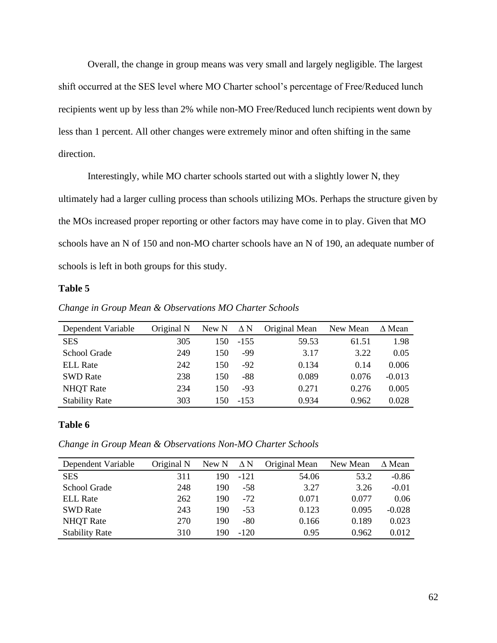Overall, the change in group means was very small and largely negligible. The largest shift occurred at the SES level where MO Charter school's percentage of Free/Reduced lunch recipients went up by less than 2% while non-MO Free/Reduced lunch recipients went down by less than 1 percent. All other changes were extremely minor and often shifting in the same direction.

Interestingly, while MO charter schools started out with a slightly lower N, they ultimately had a larger culling process than schools utilizing MOs. Perhaps the structure given by the MOs increased proper reporting or other factors may have come in to play. Given that MO schools have an N of 150 and non-MO charter schools have an N of 190, an adequate number of schools is left in both groups for this study.

## **Table 5**

| Dependent Variable    | Original N | New N | $\Delta N$ | Original Mean | New Mean | $\Delta$ Mean |
|-----------------------|------------|-------|------------|---------------|----------|---------------|
| <b>SES</b>            | 305        | 150   | $-155$     | 59.53         | 61.51    | 1.98          |
| School Grade          | 249        | 150   | -99        | 3.17          | 3.22     | 0.05          |
| <b>ELL Rate</b>       | 242        | 150   | $-92$      | 0.134         | 0.14     | 0.006         |
| <b>SWD Rate</b>       | 238        | 150   | -88        | 0.089         | 0.076    | $-0.013$      |
| <b>NHQT</b> Rate      | 234        | 150   | $-93$      | 0.271         | 0.276    | 0.005         |
| <b>Stability Rate</b> | 303        | 150   | $-153$     | 0.934         | 0.962    | 0.028         |

*Change in Group Mean & Observations MO Charter Schools* 

## **Table 6**

*Change in Group Mean & Observations Non-MO Charter Schools* 

| Dependent Variable    | Original N | New N | $\Delta$ N | Original Mean | New Mean | $\Delta$ Mean |
|-----------------------|------------|-------|------------|---------------|----------|---------------|
| <b>SES</b>            | 311        | 190   | $-121$     | 54.06         | 53.2     | $-0.86$       |
| School Grade          | 248        | 190   | $-58$      | 3.27          | 3.26     | $-0.01$       |
| <b>ELL Rate</b>       | 262        | 190   | $-72$      | 0.071         | 0.077    | 0.06          |
| <b>SWD Rate</b>       | 243        | 190   | $-53$      | 0.123         | 0.095    | $-0.028$      |
| <b>NHQT</b> Rate      | 270        | 190   | $-80$      | 0.166         | 0.189    | 0.023         |
| <b>Stability Rate</b> | 310        | 190   | $-120$     | 0.95          | 0.962    | 0.012         |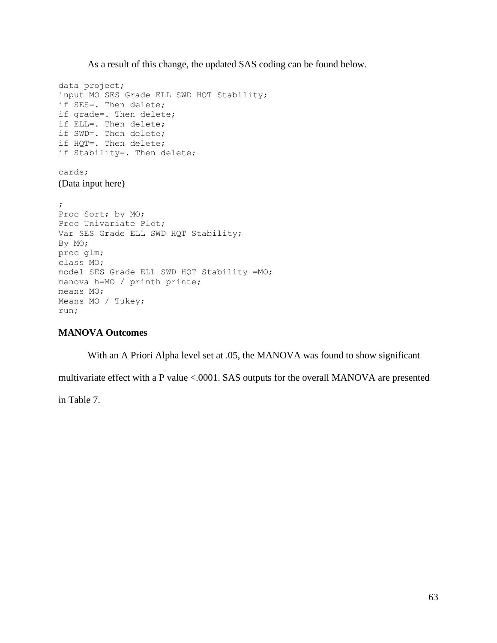As a result of this change, the updated SAS coding can be found below.

data project; input MO SES Grade ELL SWD HQT Stability; if SES=. Then delete; if grade=. Then delete; if ELL=. Then delete; if SWD=. Then delete; if HQT=. Then delete; if Stability=. Then delete; cards; (Data input here) ; Proc Sort; by MO; Proc Univariate Plot; Var SES Grade ELL SWD HQT Stability; By MO; proc glm; class MO; model SES Grade ELL SWD HQT Stability =MO; manova h=MO / printh printe; means MO; Means MO / Tukey; run;

## **MANOVA Outcomes**

With an A Priori Alpha level set at .05, the MANOVA was found to show significant

multivariate effect with a P value <.0001. SAS outputs for the overall MANOVA are presented

in Table 7.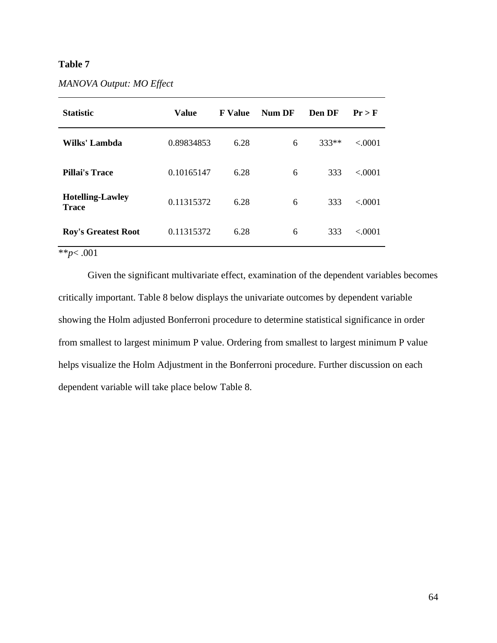## **Table 7**

| <b>Statistic</b>                        | <b>Value</b> | <b>F</b> Value | Num DF | Den DF  | $Pr$ > F |
|-----------------------------------------|--------------|----------------|--------|---------|----------|
| Wilks' Lambda                           | 0.89834853   | 6.28           | 6      | $333**$ | < 0.001  |
| Pillai's Trace                          | 0.10165147   | 6.28           | 6      | 333     | < 0.001  |
| <b>Hotelling-Lawley</b><br><b>Trace</b> | 0.11315372   | 6.28           | 6      | 333     | < 0.001  |
| <b>Roy's Greatest Root</b>              | 0.11315372   | 6.28           | 6      | 333     | < 0.001  |

\*\**p*< .001

Given the significant multivariate effect, examination of the dependent variables becomes critically important. Table 8 below displays the univariate outcomes by dependent variable showing the Holm adjusted Bonferroni procedure to determine statistical significance in order from smallest to largest minimum P value. Ordering from smallest to largest minimum P value helps visualize the Holm Adjustment in the Bonferroni procedure. Further discussion on each dependent variable will take place below Table 8.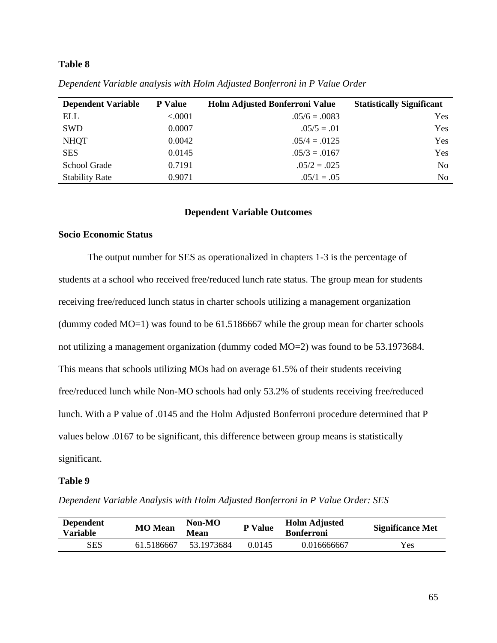# **Table 8**

| <b>Dependent Variable</b> | <b>P</b> Value | <b>Holm Adjusted Bonferroni Value</b> | <b>Statistically Significant</b> |
|---------------------------|----------------|---------------------------------------|----------------------------------|
| <b>ELL</b>                | < .0001        | $.05/6 = .0083$                       | Yes                              |
| <b>SWD</b>                | 0.0007         | $.05/5 = .01$                         | Yes                              |
| <b>NHQT</b>               | 0.0042         | $.05/4 = .0125$                       | Yes                              |
| <b>SES</b>                | 0.0145         | $.05/3 = .0167$                       | Yes                              |
| School Grade              | 0.7191         | $.05/2 = .025$                        | N <sub>0</sub>                   |
| <b>Stability Rate</b>     | 0.9071         | $.05/1 = .05$                         | N <sub>0</sub>                   |

*Dependent Variable analysis with Holm Adjusted Bonferroni in P Value Order*

## **Dependent Variable Outcomes**

## **Socio Economic Status**

The output number for SES as operationalized in chapters 1-3 is the percentage of students at a school who received free/reduced lunch rate status. The group mean for students receiving free/reduced lunch status in charter schools utilizing a management organization (dummy coded MO=1) was found to be 61.5186667 while the group mean for charter schools not utilizing a management organization (dummy coded MO=2) was found to be 53.1973684. This means that schools utilizing MOs had on average 61.5% of their students receiving free/reduced lunch while Non-MO schools had only 53.2% of students receiving free/reduced lunch. With a P value of .0145 and the Holm Adjusted Bonferroni procedure determined that P values below .0167 to be significant, this difference between group means is statistically significant.

## **Table 9**

*Dependent Variable Analysis with Holm Adjusted Bonferroni in P Value Order: SES*

| <b>Dependent</b><br>Variable | <b>MO</b> Mean | $Non-MO$<br><b>Mean</b> | <b>Holm Adjusted</b><br>P Value<br><b>Bonferroni</b> |             | <b>Significance Met</b> |  |
|------------------------------|----------------|-------------------------|------------------------------------------------------|-------------|-------------------------|--|
| <b>SES</b>                   | 61.5186667     | 53.1973684              | 0.0145                                               | 0.016666667 | Yes                     |  |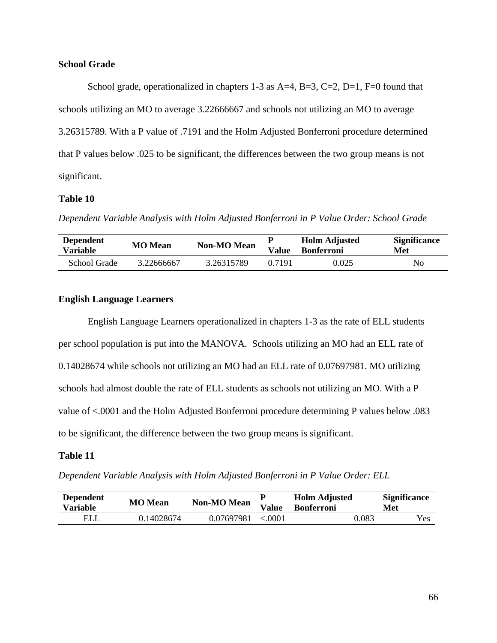## **School Grade**

School grade, operationalized in chapters 1-3 as  $A=4$ ,  $B=3$ ,  $C=2$ ,  $D=1$ ,  $F=0$  found that schools utilizing an MO to average 3.22666667 and schools not utilizing an MO to average 3.26315789. With a P value of .7191 and the Holm Adjusted Bonferroni procedure determined that P values below .025 to be significant, the differences between the two group means is not significant.

# **Table 10**

*Dependent Variable Analysis with Holm Adjusted Bonferroni in P Value Order: School Grade*

| <b>Dependent</b><br>Variable | <b>MO</b> Mean | <b>Non-MO Mean</b> | Value  | <b>Holm Adjusted</b><br><b>Bonferroni</b> | <b>Significance</b><br>Met |
|------------------------------|----------------|--------------------|--------|-------------------------------------------|----------------------------|
| School Grade                 | 3.22666667     | 3.26315789         | 0.7191 | 0.025                                     | No                         |

# **English Language Learners**

English Language Learners operationalized in chapters 1-3 as the rate of ELL students per school population is put into the MANOVA. Schools utilizing an MO had an ELL rate of 0.14028674 while schools not utilizing an MO had an ELL rate of 0.07697981. MO utilizing schools had almost double the rate of ELL students as schools not utilizing an MO. With a P value of <.0001 and the Holm Adjusted Bonferroni procedure determining P values below .083 to be significant, the difference between the two group means is significant.

## **Table 11**

*Dependent Variable Analysis with Holm Adjusted Bonferroni in P Value Order: ELL*

| <b>Dependent</b><br>Variable | <b>MO</b> Mean | <b>Non-MO Mean</b> | Value  | <b>Holm Adjusted</b><br><b>Bonferroni</b> | <b>Significance</b><br>Met |
|------------------------------|----------------|--------------------|--------|-------------------------------------------|----------------------------|
| <b>ELL</b>                   | 0.14028674     | 0.07697981         | < 0001 | 0.083                                     | Yes                        |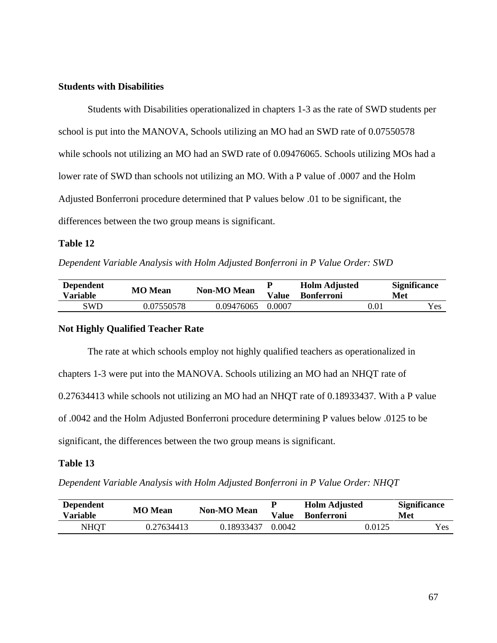## **Students with Disabilities**

Students with Disabilities operationalized in chapters 1-3 as the rate of SWD students per school is put into the MANOVA, Schools utilizing an MO had an SWD rate of 0.07550578 while schools not utilizing an MO had an SWD rate of 0.09476065. Schools utilizing MOs had a lower rate of SWD than schools not utilizing an MO. With a P value of .0007 and the Holm Adjusted Bonferroni procedure determined that P values below .01 to be significant, the differences between the two group means is significant.

## **Table 12**

*Dependent Variable Analysis with Holm Adjusted Bonferroni in P Value Order: SWD*

| <b>Dependent</b><br>Variable | <b>MO</b> Mean | <b>Non-MO Mean</b> | Value  | <b>Holm Adjusted</b><br><b>Bonferroni</b> |          | <b>Significance</b><br>Met |
|------------------------------|----------------|--------------------|--------|-------------------------------------------|----------|----------------------------|
| SWD                          | 0.07550578     | 0.09476065         | 0.0007 |                                           | $0.01\,$ | <b>Yes</b>                 |

### **Not Highly Qualified Teacher Rate**

The rate at which schools employ not highly qualified teachers as operationalized in chapters 1-3 were put into the MANOVA. Schools utilizing an MO had an NHQT rate of 0.27634413 while schools not utilizing an MO had an NHQT rate of 0.18933437. With a P value of .0042 and the Holm Adjusted Bonferroni procedure determining P values below .0125 to be significant, the differences between the two group means is significant.

### **Table 13**

*Dependent Variable Analysis with Holm Adjusted Bonferroni in P Value Order: NHQT*

| <b>Dependent</b><br>Variable | <b>MO</b> Mean | <b>Non-MO Mean</b> | Value  | <b>Holm Adjusted</b><br><b>Bonferroni</b> |        | <b>Significance</b><br>Met |
|------------------------------|----------------|--------------------|--------|-------------------------------------------|--------|----------------------------|
| NHOT                         | 0.27634413     | 0.18933437         | 0.0042 |                                           | 0.0125 | Yes                        |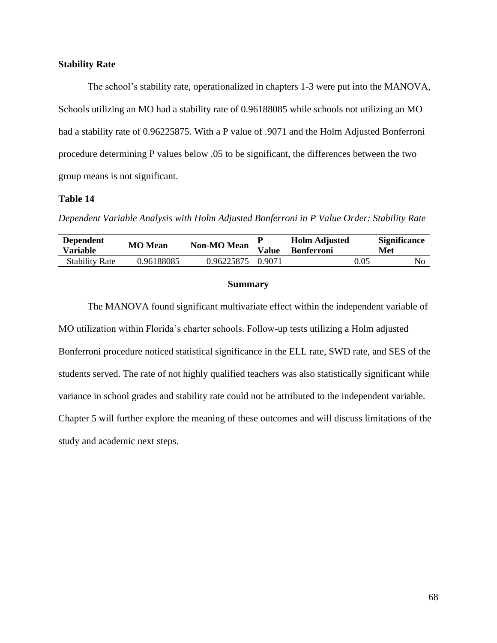## **Stability Rate**

The school's stability rate, operationalized in chapters 1-3 were put into the MANOVA, Schools utilizing an MO had a stability rate of 0.96188085 while schools not utilizing an MO had a stability rate of 0.96225875. With a P value of .9071 and the Holm Adjusted Bonferroni procedure determining P values below .05 to be significant, the differences between the two group means is not significant.

# **Table 14**

*Dependent Variable Analysis with Holm Adjusted Bonferroni in P Value Order: Stability Rate*

| <b>Dependent</b><br>Variable | <b>MO</b> Mean | <b>Non-MO Mean</b> | <b>Value</b> | <b>Holm Adjusted</b><br><b>Bonferroni</b> |      | <b>Significance</b><br>Met |
|------------------------------|----------------|--------------------|--------------|-------------------------------------------|------|----------------------------|
| <b>Stability Rate</b>        | 0.96188085     | 0.96225875         | 0.9071       |                                           | 0.05 | No                         |

#### **Summary**

The MANOVA found significant multivariate effect within the independent variable of MO utilization within Florida's charter schools. Follow-up tests utilizing a Holm adjusted Bonferroni procedure noticed statistical significance in the ELL rate, SWD rate, and SES of the students served. The rate of not highly qualified teachers was also statistically significant while variance in school grades and stability rate could not be attributed to the independent variable. Chapter 5 will further explore the meaning of these outcomes and will discuss limitations of the study and academic next steps.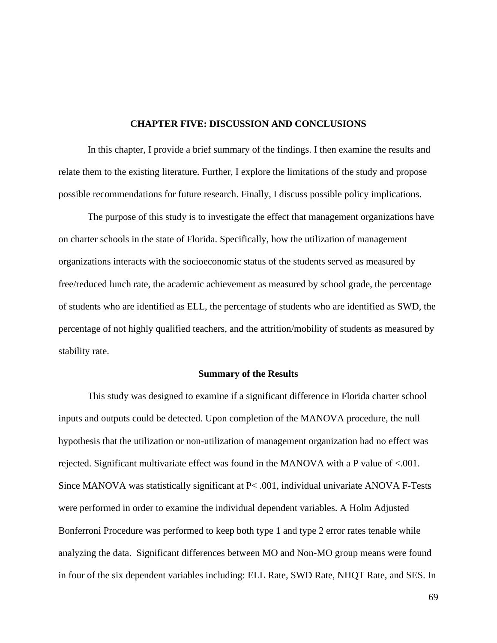### **CHAPTER FIVE: DISCUSSION AND CONCLUSIONS**

In this chapter, I provide a brief summary of the findings. I then examine the results and relate them to the existing literature. Further, I explore the limitations of the study and propose possible recommendations for future research. Finally, I discuss possible policy implications.

The purpose of this study is to investigate the effect that management organizations have on charter schools in the state of Florida. Specifically, how the utilization of management organizations interacts with the socioeconomic status of the students served as measured by free/reduced lunch rate, the academic achievement as measured by school grade, the percentage of students who are identified as ELL, the percentage of students who are identified as SWD, the percentage of not highly qualified teachers, and the attrition/mobility of students as measured by stability rate.

#### **Summary of the Results**

This study was designed to examine if a significant difference in Florida charter school inputs and outputs could be detected. Upon completion of the MANOVA procedure, the null hypothesis that the utilization or non-utilization of management organization had no effect was rejected. Significant multivariate effect was found in the MANOVA with a P value of <.001. Since MANOVA was statistically significant at P< .001, individual univariate ANOVA F-Tests were performed in order to examine the individual dependent variables. A Holm Adjusted Bonferroni Procedure was performed to keep both type 1 and type 2 error rates tenable while analyzing the data. Significant differences between MO and Non-MO group means were found in four of the six dependent variables including: ELL Rate, SWD Rate, NHQT Rate, and SES. In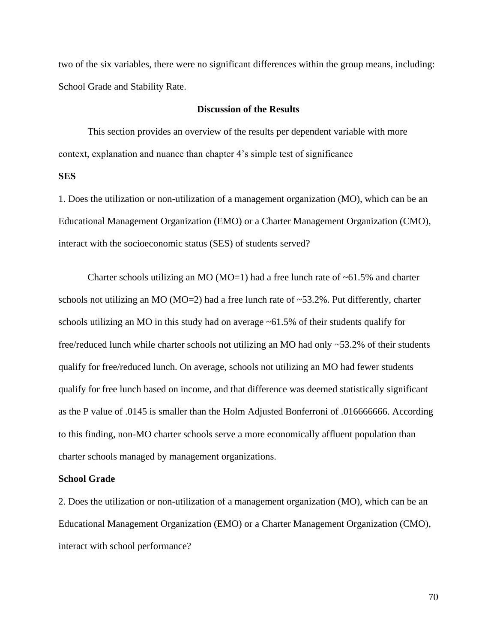two of the six variables, there were no significant differences within the group means, including: School Grade and Stability Rate.

## **Discussion of the Results**

This section provides an overview of the results per dependent variable with more context, explanation and nuance than chapter 4's simple test of significance

# **SES**

1. Does the utilization or non-utilization of a management organization (MO), which can be an Educational Management Organization (EMO) or a Charter Management Organization (CMO), interact with the socioeconomic status (SES) of students served?

Charter schools utilizing an MO (MO=1) had a free lunch rate of  $~61.5\%$  and charter schools not utilizing an MO ( $MO=2$ ) had a free lunch rate of  $\sim$ 53.2%. Put differently, charter schools utilizing an MO in this study had on average ~61.5% of their students qualify for free/reduced lunch while charter schools not utilizing an MO had only ~53.2% of their students qualify for free/reduced lunch. On average, schools not utilizing an MO had fewer students qualify for free lunch based on income, and that difference was deemed statistically significant as the P value of .0145 is smaller than the Holm Adjusted Bonferroni of .016666666. According to this finding, non-MO charter schools serve a more economically affluent population than charter schools managed by management organizations.

# **School Grade**

2. Does the utilization or non-utilization of a management organization (MO), which can be an Educational Management Organization (EMO) or a Charter Management Organization (CMO), interact with school performance?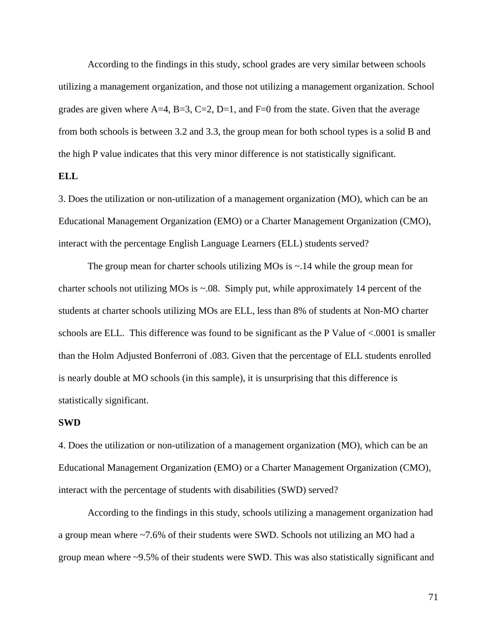According to the findings in this study, school grades are very similar between schools utilizing a management organization, and those not utilizing a management organization. School grades are given where  $A=4$ ,  $B=3$ ,  $C=2$ ,  $D=1$ , and  $F=0$  from the state. Given that the average from both schools is between 3.2 and 3.3, the group mean for both school types is a solid B and the high P value indicates that this very minor difference is not statistically significant.

# **ELL**

3. Does the utilization or non-utilization of a management organization (MO), which can be an Educational Management Organization (EMO) or a Charter Management Organization (CMO), interact with the percentage English Language Learners (ELL) students served?

The group mean for charter schools utilizing MOs is  $\sim$  14 while the group mean for charter schools not utilizing MOs is ~.08. Simply put, while approximately 14 percent of the students at charter schools utilizing MOs are ELL, less than 8% of students at Non-MO charter schools are ELL. This difference was found to be significant as the P Value of <.0001 is smaller than the Holm Adjusted Bonferroni of .083. Given that the percentage of ELL students enrolled is nearly double at MO schools (in this sample), it is unsurprising that this difference is statistically significant.

### **SWD**

4. Does the utilization or non-utilization of a management organization (MO), which can be an Educational Management Organization (EMO) or a Charter Management Organization (CMO), interact with the percentage of students with disabilities (SWD) served?

According to the findings in this study, schools utilizing a management organization had a group mean where ~7.6% of their students were SWD. Schools not utilizing an MO had a group mean where ~9.5% of their students were SWD. This was also statistically significant and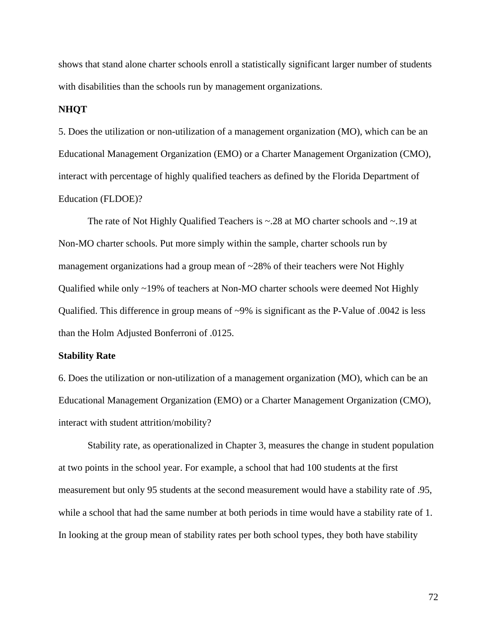shows that stand alone charter schools enroll a statistically significant larger number of students with disabilities than the schools run by management organizations.

### **NHQT**

5. Does the utilization or non-utilization of a management organization (MO), which can be an Educational Management Organization (EMO) or a Charter Management Organization (CMO), interact with percentage of highly qualified teachers as defined by the Florida Department of Education (FLDOE)?

The rate of Not Highly Qualified Teachers is ~.28 at MO charter schools and ~.19 at Non-MO charter schools. Put more simply within the sample, charter schools run by management organizations had a group mean of ~28% of their teachers were Not Highly Qualified while only ~19% of teachers at Non-MO charter schools were deemed Not Highly Qualified. This difference in group means of ~9% is significant as the P-Value of .0042 is less than the Holm Adjusted Bonferroni of .0125.

### **Stability Rate**

6. Does the utilization or non-utilization of a management organization (MO), which can be an Educational Management Organization (EMO) or a Charter Management Organization (CMO), interact with student attrition/mobility?

Stability rate, as operationalized in Chapter 3, measures the change in student population at two points in the school year. For example, a school that had 100 students at the first measurement but only 95 students at the second measurement would have a stability rate of .95, while a school that had the same number at both periods in time would have a stability rate of 1. In looking at the group mean of stability rates per both school types, they both have stability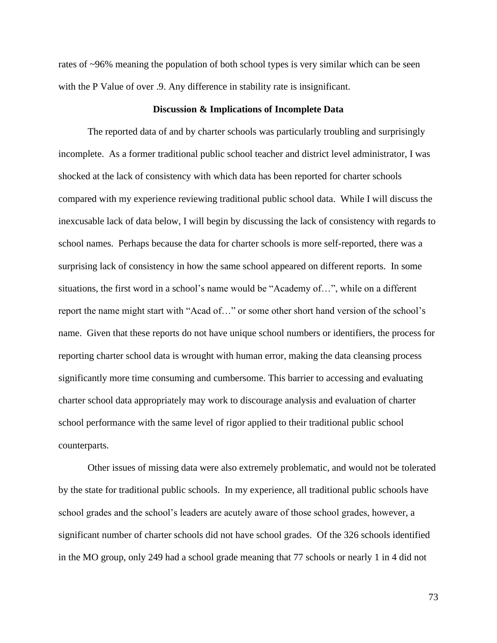rates of ~96% meaning the population of both school types is very similar which can be seen with the P Value of over  $.9$ . Any difference in stability rate is insignificant.

### **Discussion & Implications of Incomplete Data**

The reported data of and by charter schools was particularly troubling and surprisingly incomplete. As a former traditional public school teacher and district level administrator, I was shocked at the lack of consistency with which data has been reported for charter schools compared with my experience reviewing traditional public school data. While I will discuss the inexcusable lack of data below, I will begin by discussing the lack of consistency with regards to school names. Perhaps because the data for charter schools is more self-reported, there was a surprising lack of consistency in how the same school appeared on different reports. In some situations, the first word in a school's name would be "Academy of…", while on a different report the name might start with "Acad of…" or some other short hand version of the school's name. Given that these reports do not have unique school numbers or identifiers, the process for reporting charter school data is wrought with human error, making the data cleansing process significantly more time consuming and cumbersome. This barrier to accessing and evaluating charter school data appropriately may work to discourage analysis and evaluation of charter school performance with the same level of rigor applied to their traditional public school counterparts.

Other issues of missing data were also extremely problematic, and would not be tolerated by the state for traditional public schools. In my experience, all traditional public schools have school grades and the school's leaders are acutely aware of those school grades, however, a significant number of charter schools did not have school grades. Of the 326 schools identified in the MO group, only 249 had a school grade meaning that 77 schools or nearly 1 in 4 did not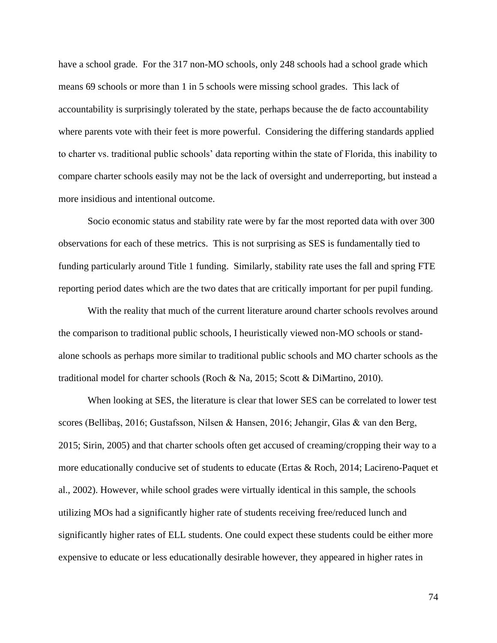have a school grade. For the 317 non-MO schools, only 248 schools had a school grade which means 69 schools or more than 1 in 5 schools were missing school grades. This lack of accountability is surprisingly tolerated by the state, perhaps because the de facto accountability where parents vote with their feet is more powerful. Considering the differing standards applied to charter vs. traditional public schools' data reporting within the state of Florida, this inability to compare charter schools easily may not be the lack of oversight and underreporting, but instead a more insidious and intentional outcome.

Socio economic status and stability rate were by far the most reported data with over 300 observations for each of these metrics. This is not surprising as SES is fundamentally tied to funding particularly around Title 1 funding. Similarly, stability rate uses the fall and spring FTE reporting period dates which are the two dates that are critically important for per pupil funding.

With the reality that much of the current literature around charter schools revolves around the comparison to traditional public schools, I heuristically viewed non-MO schools or standalone schools as perhaps more similar to traditional public schools and MO charter schools as the traditional model for charter schools (Roch & Na, 2015; Scott & DiMartino, 2010).

When looking at SES, the literature is clear that lower SES can be correlated to lower test scores (Bellibaş, 2016; Gustafsson, Nilsen & Hansen, 2016; Jehangir, Glas & van den Berg, 2015; Sirin, 2005) and that charter schools often get accused of creaming/cropping their way to a more educationally conducive set of students to educate (Ertas & Roch, 2014; Lacireno-Paquet et al., 2002). However, while school grades were virtually identical in this sample, the schools utilizing MOs had a significantly higher rate of students receiving free/reduced lunch and significantly higher rates of ELL students. One could expect these students could be either more expensive to educate or less educationally desirable however, they appeared in higher rates in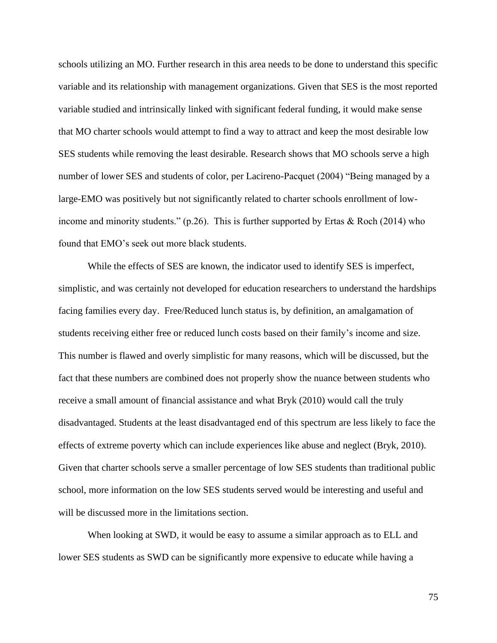schools utilizing an MO. Further research in this area needs to be done to understand this specific variable and its relationship with management organizations. Given that SES is the most reported variable studied and intrinsically linked with significant federal funding, it would make sense that MO charter schools would attempt to find a way to attract and keep the most desirable low SES students while removing the least desirable. Research shows that MO schools serve a high number of lower SES and students of color, per Lacireno-Pacquet (2004) "Being managed by a large-EMO was positively but not significantly related to charter schools enrollment of lowincome and minority students." (p.26). This is further supported by Ertas & Roch (2014) who found that EMO's seek out more black students.

While the effects of SES are known, the indicator used to identify SES is imperfect, simplistic, and was certainly not developed for education researchers to understand the hardships facing families every day. Free/Reduced lunch status is, by definition, an amalgamation of students receiving either free or reduced lunch costs based on their family's income and size. This number is flawed and overly simplistic for many reasons, which will be discussed, but the fact that these numbers are combined does not properly show the nuance between students who receive a small amount of financial assistance and what Bryk (2010) would call the truly disadvantaged. Students at the least disadvantaged end of this spectrum are less likely to face the effects of extreme poverty which can include experiences like abuse and neglect (Bryk, 2010). Given that charter schools serve a smaller percentage of low SES students than traditional public school, more information on the low SES students served would be interesting and useful and will be discussed more in the limitations section.

When looking at SWD, it would be easy to assume a similar approach as to ELL and lower SES students as SWD can be significantly more expensive to educate while having a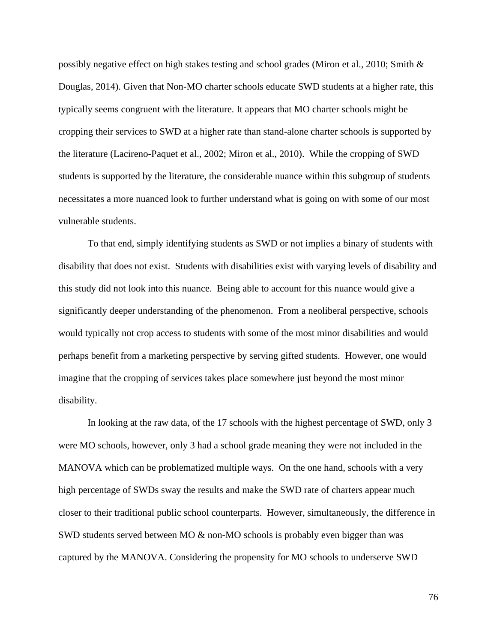possibly negative effect on high stakes testing and school grades (Miron et al., 2010; Smith & Douglas, 2014). Given that Non-MO charter schools educate SWD students at a higher rate, this typically seems congruent with the literature. It appears that MO charter schools might be cropping their services to SWD at a higher rate than stand-alone charter schools is supported by the literature (Lacireno-Paquet et al., 2002; Miron et al., 2010). While the cropping of SWD students is supported by the literature, the considerable nuance within this subgroup of students necessitates a more nuanced look to further understand what is going on with some of our most vulnerable students.

To that end, simply identifying students as SWD or not implies a binary of students with disability that does not exist. Students with disabilities exist with varying levels of disability and this study did not look into this nuance. Being able to account for this nuance would give a significantly deeper understanding of the phenomenon. From a neoliberal perspective, schools would typically not crop access to students with some of the most minor disabilities and would perhaps benefit from a marketing perspective by serving gifted students. However, one would imagine that the cropping of services takes place somewhere just beyond the most minor disability.

In looking at the raw data, of the 17 schools with the highest percentage of SWD, only 3 were MO schools, however, only 3 had a school grade meaning they were not included in the MANOVA which can be problematized multiple ways. On the one hand, schools with a very high percentage of SWDs sway the results and make the SWD rate of charters appear much closer to their traditional public school counterparts. However, simultaneously, the difference in SWD students served between MO & non-MO schools is probably even bigger than was captured by the MANOVA. Considering the propensity for MO schools to underserve SWD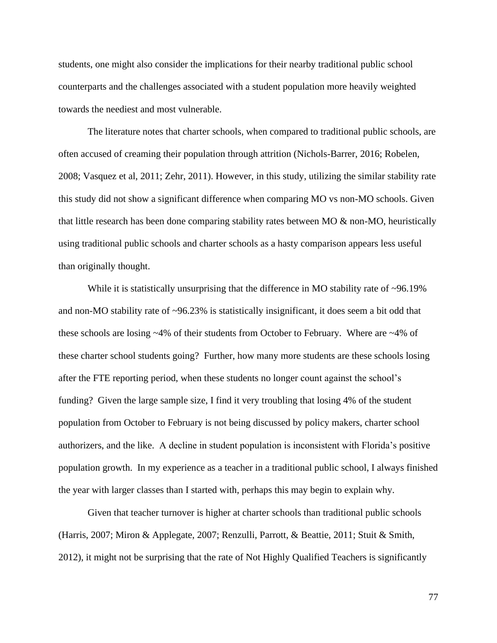students, one might also consider the implications for their nearby traditional public school counterparts and the challenges associated with a student population more heavily weighted towards the neediest and most vulnerable.

The literature notes that charter schools, when compared to traditional public schools, are often accused of creaming their population through attrition (Nichols-Barrer, 2016; Robelen, 2008; Vasquez et al, 2011; Zehr, 2011). However, in this study, utilizing the similar stability rate this study did not show a significant difference when comparing MO vs non-MO schools. Given that little research has been done comparing stability rates between MO & non-MO, heuristically using traditional public schools and charter schools as a hasty comparison appears less useful than originally thought.

While it is statistically unsurprising that the difference in MO stability rate of ~96.19% and non-MO stability rate of ~96.23% is statistically insignificant, it does seem a bit odd that these schools are losing ~4% of their students from October to February. Where are ~4% of these charter school students going? Further, how many more students are these schools losing after the FTE reporting period, when these students no longer count against the school's funding? Given the large sample size, I find it very troubling that losing 4% of the student population from October to February is not being discussed by policy makers, charter school authorizers, and the like. A decline in student population is inconsistent with Florida's positive population growth. In my experience as a teacher in a traditional public school, I always finished the year with larger classes than I started with, perhaps this may begin to explain why.

Given that teacher turnover is higher at charter schools than traditional public schools (Harris, 2007; Miron & Applegate, 2007; Renzulli, Parrott, & Beattie, 2011; Stuit & Smith, 2012), it might not be surprising that the rate of Not Highly Qualified Teachers is significantly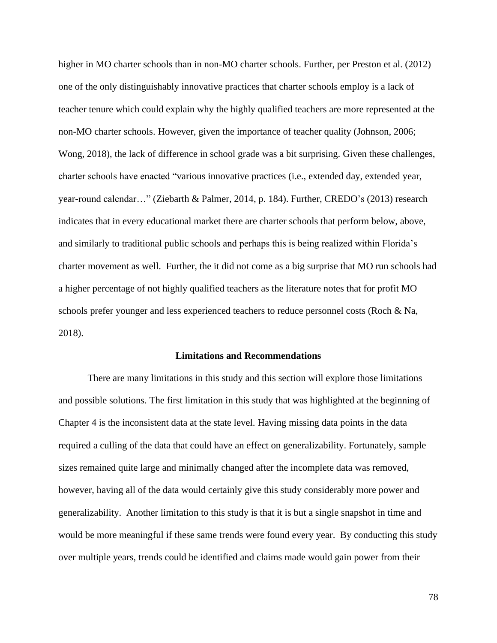higher in MO charter schools than in non-MO charter schools. Further, per Preston et al. (2012) one of the only distinguishably innovative practices that charter schools employ is a lack of teacher tenure which could explain why the highly qualified teachers are more represented at the non-MO charter schools. However, given the importance of teacher quality (Johnson, 2006; Wong, 2018), the lack of difference in school grade was a bit surprising. Given these challenges, charter schools have enacted "various innovative practices (i.e., extended day, extended year, year-round calendar…" (Ziebarth & Palmer, 2014, p. 184). Further, CREDO's (2013) research indicates that in every educational market there are charter schools that perform below, above, and similarly to traditional public schools and perhaps this is being realized within Florida's charter movement as well. Further, the it did not come as a big surprise that MO run schools had a higher percentage of not highly qualified teachers as the literature notes that for profit MO schools prefer younger and less experienced teachers to reduce personnel costs (Roch & Na, 2018).

### **Limitations and Recommendations**

There are many limitations in this study and this section will explore those limitations and possible solutions. The first limitation in this study that was highlighted at the beginning of Chapter 4 is the inconsistent data at the state level. Having missing data points in the data required a culling of the data that could have an effect on generalizability. Fortunately, sample sizes remained quite large and minimally changed after the incomplete data was removed, however, having all of the data would certainly give this study considerably more power and generalizability. Another limitation to this study is that it is but a single snapshot in time and would be more meaningful if these same trends were found every year. By conducting this study over multiple years, trends could be identified and claims made would gain power from their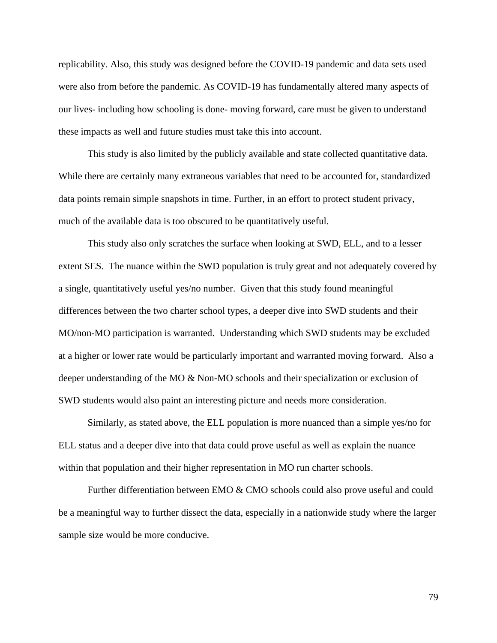replicability. Also, this study was designed before the COVID-19 pandemic and data sets used were also from before the pandemic. As COVID-19 has fundamentally altered many aspects of our lives- including how schooling is done- moving forward, care must be given to understand these impacts as well and future studies must take this into account.

This study is also limited by the publicly available and state collected quantitative data. While there are certainly many extraneous variables that need to be accounted for, standardized data points remain simple snapshots in time. Further, in an effort to protect student privacy, much of the available data is too obscured to be quantitatively useful.

This study also only scratches the surface when looking at SWD, ELL, and to a lesser extent SES. The nuance within the SWD population is truly great and not adequately covered by a single, quantitatively useful yes/no number. Given that this study found meaningful differences between the two charter school types, a deeper dive into SWD students and their MO/non-MO participation is warranted. Understanding which SWD students may be excluded at a higher or lower rate would be particularly important and warranted moving forward. Also a deeper understanding of the MO & Non-MO schools and their specialization or exclusion of SWD students would also paint an interesting picture and needs more consideration.

Similarly, as stated above, the ELL population is more nuanced than a simple yes/no for ELL status and a deeper dive into that data could prove useful as well as explain the nuance within that population and their higher representation in MO run charter schools.

Further differentiation between EMO & CMO schools could also prove useful and could be a meaningful way to further dissect the data, especially in a nationwide study where the larger sample size would be more conducive.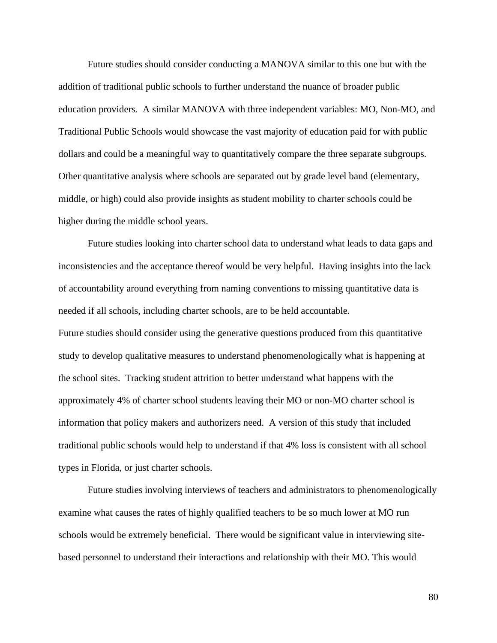Future studies should consider conducting a MANOVA similar to this one but with the addition of traditional public schools to further understand the nuance of broader public education providers. A similar MANOVA with three independent variables: MO, Non-MO, and Traditional Public Schools would showcase the vast majority of education paid for with public dollars and could be a meaningful way to quantitatively compare the three separate subgroups. Other quantitative analysis where schools are separated out by grade level band (elementary, middle, or high) could also provide insights as student mobility to charter schools could be higher during the middle school years.

Future studies looking into charter school data to understand what leads to data gaps and inconsistencies and the acceptance thereof would be very helpful. Having insights into the lack of accountability around everything from naming conventions to missing quantitative data is needed if all schools, including charter schools, are to be held accountable. Future studies should consider using the generative questions produced from this quantitative study to develop qualitative measures to understand phenomenologically what is happening at the school sites. Tracking student attrition to better understand what happens with the approximately 4% of charter school students leaving their MO or non-MO charter school is information that policy makers and authorizers need. A version of this study that included traditional public schools would help to understand if that 4% loss is consistent with all school types in Florida, or just charter schools.

Future studies involving interviews of teachers and administrators to phenomenologically examine what causes the rates of highly qualified teachers to be so much lower at MO run schools would be extremely beneficial. There would be significant value in interviewing sitebased personnel to understand their interactions and relationship with their MO. This would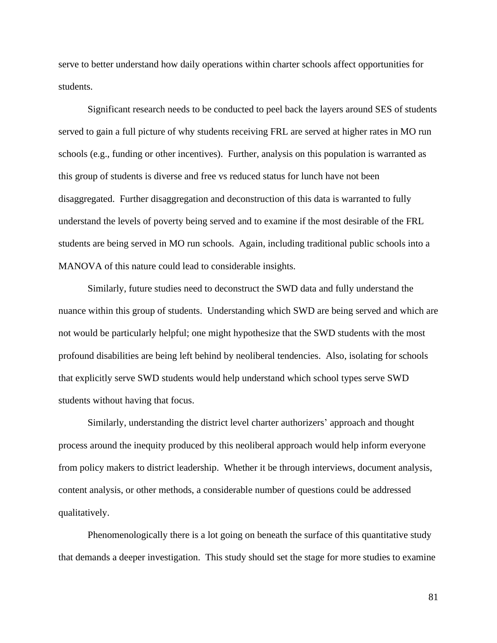serve to better understand how daily operations within charter schools affect opportunities for students.

Significant research needs to be conducted to peel back the layers around SES of students served to gain a full picture of why students receiving FRL are served at higher rates in MO run schools (e.g., funding or other incentives). Further, analysis on this population is warranted as this group of students is diverse and free vs reduced status for lunch have not been disaggregated. Further disaggregation and deconstruction of this data is warranted to fully understand the levels of poverty being served and to examine if the most desirable of the FRL students are being served in MO run schools. Again, including traditional public schools into a MANOVA of this nature could lead to considerable insights.

Similarly, future studies need to deconstruct the SWD data and fully understand the nuance within this group of students. Understanding which SWD are being served and which are not would be particularly helpful; one might hypothesize that the SWD students with the most profound disabilities are being left behind by neoliberal tendencies. Also, isolating for schools that explicitly serve SWD students would help understand which school types serve SWD students without having that focus.

Similarly, understanding the district level charter authorizers' approach and thought process around the inequity produced by this neoliberal approach would help inform everyone from policy makers to district leadership. Whether it be through interviews, document analysis, content analysis, or other methods, a considerable number of questions could be addressed qualitatively.

Phenomenologically there is a lot going on beneath the surface of this quantitative study that demands a deeper investigation. This study should set the stage for more studies to examine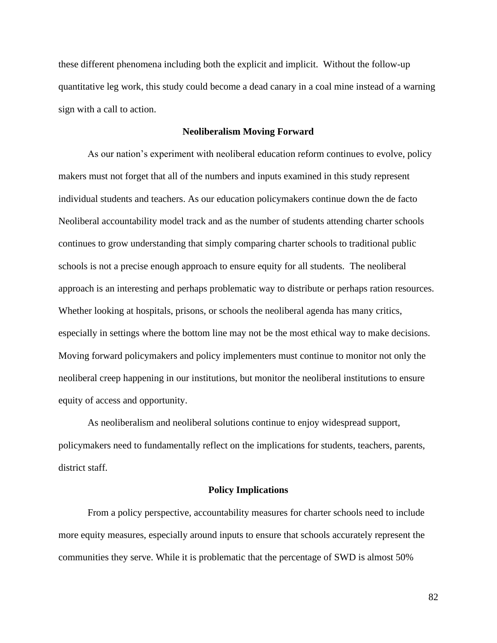these different phenomena including both the explicit and implicit. Without the follow-up quantitative leg work, this study could become a dead canary in a coal mine instead of a warning sign with a call to action.

## **Neoliberalism Moving Forward**

As our nation's experiment with neoliberal education reform continues to evolve, policy makers must not forget that all of the numbers and inputs examined in this study represent individual students and teachers. As our education policymakers continue down the de facto Neoliberal accountability model track and as the number of students attending charter schools continues to grow understanding that simply comparing charter schools to traditional public schools is not a precise enough approach to ensure equity for all students. The neoliberal approach is an interesting and perhaps problematic way to distribute or perhaps ration resources. Whether looking at hospitals, prisons, or schools the neoliberal agenda has many critics, especially in settings where the bottom line may not be the most ethical way to make decisions. Moving forward policymakers and policy implementers must continue to monitor not only the neoliberal creep happening in our institutions, but monitor the neoliberal institutions to ensure equity of access and opportunity.

As neoliberalism and neoliberal solutions continue to enjoy widespread support, policymakers need to fundamentally reflect on the implications for students, teachers, parents, district staff.

#### **Policy Implications**

From a policy perspective, accountability measures for charter schools need to include more equity measures, especially around inputs to ensure that schools accurately represent the communities they serve. While it is problematic that the percentage of SWD is almost 50%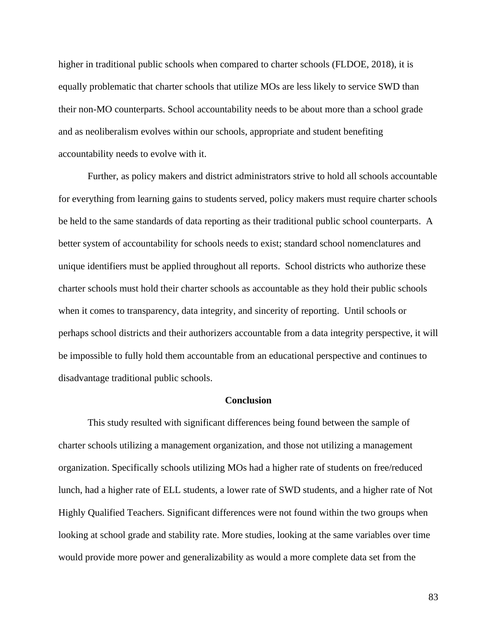higher in traditional public schools when compared to charter schools (FLDOE, 2018), it is equally problematic that charter schools that utilize MOs are less likely to service SWD than their non-MO counterparts. School accountability needs to be about more than a school grade and as neoliberalism evolves within our schools, appropriate and student benefiting accountability needs to evolve with it.

Further, as policy makers and district administrators strive to hold all schools accountable for everything from learning gains to students served, policy makers must require charter schools be held to the same standards of data reporting as their traditional public school counterparts. A better system of accountability for schools needs to exist; standard school nomenclatures and unique identifiers must be applied throughout all reports. School districts who authorize these charter schools must hold their charter schools as accountable as they hold their public schools when it comes to transparency, data integrity, and sincerity of reporting. Until schools or perhaps school districts and their authorizers accountable from a data integrity perspective, it will be impossible to fully hold them accountable from an educational perspective and continues to disadvantage traditional public schools.

### **Conclusion**

This study resulted with significant differences being found between the sample of charter schools utilizing a management organization, and those not utilizing a management organization. Specifically schools utilizing MOs had a higher rate of students on free/reduced lunch, had a higher rate of ELL students, a lower rate of SWD students, and a higher rate of Not Highly Qualified Teachers. Significant differences were not found within the two groups when looking at school grade and stability rate. More studies, looking at the same variables over time would provide more power and generalizability as would a more complete data set from the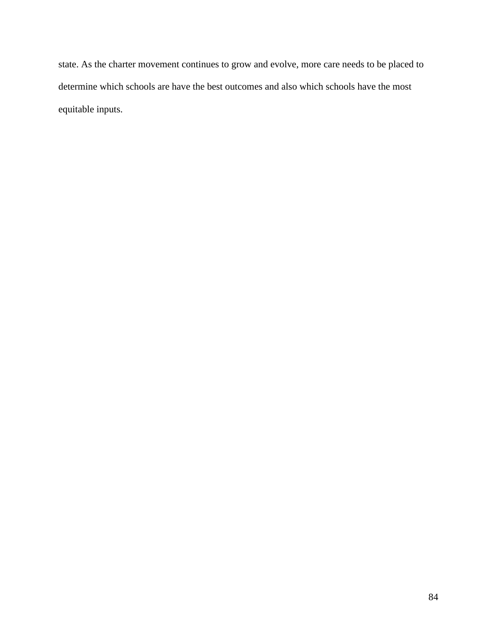state. As the charter movement continues to grow and evolve, more care needs to be placed to determine which schools are have the best outcomes and also which schools have the most equitable inputs.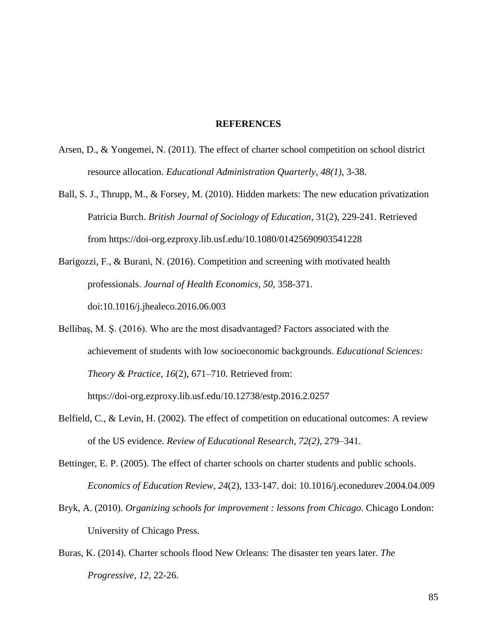#### **REFERENCES**

- Arsen, D., & Yongemei, N. (2011). The effect of charter school competition on school district resource allocation. *Educational Administration Quarterly*, *48(1)*, 3-38.
- Ball, S. J., Thrupp, M., & Forsey, M. (2010). Hidden markets: The new education privatization Patricia Burch. *British Journal of Sociology of Education*, 31(2), 229-241. Retrieved from https://doi-org.ezproxy.lib.usf.edu/10.1080/01425690903541228
- Barigozzi, F., & Burani, N. (2016). Competition and screening with motivated health professionals. *Journal of Health Economics*, *50,* 358-371. doi:10.1016/j.jhealeco.2016.06.003
- Bellibaş, M. Ş. (2016). Who are the most disadvantaged? Factors associated with the achievement of students with low socioeconomic backgrounds. *Educational Sciences: Theory & Practice*, *16*(2), 671–710. Retrieved from: https://doi-org.ezproxy.lib.usf.edu/10.12738/estp.2016.2.0257
- Belfield, C., & Levin, H. (2002). The effect of competition on educational outcomes: A review of the US evidence. *Review of Educational Research*, *72(2)*, 279–341.
- Bettinger, E. P. (2005). The effect of charter schools on charter students and public schools. *Economics of Education Review*, *24*(2), 133-147. doi: 10.1016/j.econedurev.2004.04.009
- Bryk, A. (2010). *Organizing schools for improvement : lessons from Chicago*. Chicago London: University of Chicago Press.
- Buras, K. (2014). Charter schools flood New Orleans: The disaster ten years later. *The Progressive*, *12*, 22-26.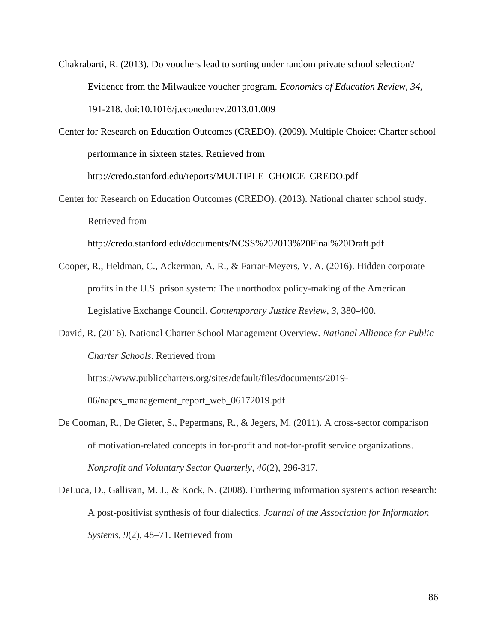Chakrabarti, R. (2013). Do vouchers lead to sorting under random private school selection? Evidence from the Milwaukee voucher program. *Economics of Education Review*, *34,*  191-218. doi:10.1016/j.econedurev.2013.01.009

Center for Research on Education Outcomes (CREDO). (2009). Multiple Choice: Charter school performance in sixteen states. Retrieved from

http://credo.stanford.edu/reports/MULTIPLE\_CHOICE\_CREDO.pdf

Center for Research on Education Outcomes (CREDO). (2013). National charter school study. Retrieved from

http://credo.stanford.edu/documents/NCSS%202013%20Final%20Draft.pdf

- Cooper, R., Heldman, C., Ackerman, A. R., & Farrar-Meyers, V. A. (2016). Hidden corporate profits in the U.S. prison system: The unorthodox policy-making of the American Legislative Exchange Council. *Contemporary Justice Review*, *3*, 380-400.
- David, R. (2016). National Charter School Management Overview. *National Alliance for Public Charter Schools*. Retrieved from

https://www.publiccharters.org/sites/default/files/documents/2019-

06/napcs\_management\_report\_web\_06172019.pdf

De Cooman, R., De Gieter, S., Pepermans, R., & Jegers, M. (2011). A cross-sector comparison of motivation-related concepts in for-profit and not-for-profit service organizations. *Nonprofit and Voluntary Sector Quarterly*, *40*(2), 296-317.

DeLuca, D., Gallivan, M. J., & Kock, N. (2008). Furthering information systems action research: A post-positivist synthesis of four dialectics. *Journal of the Association for Information Systems*, *9*(2), 48–71. Retrieved from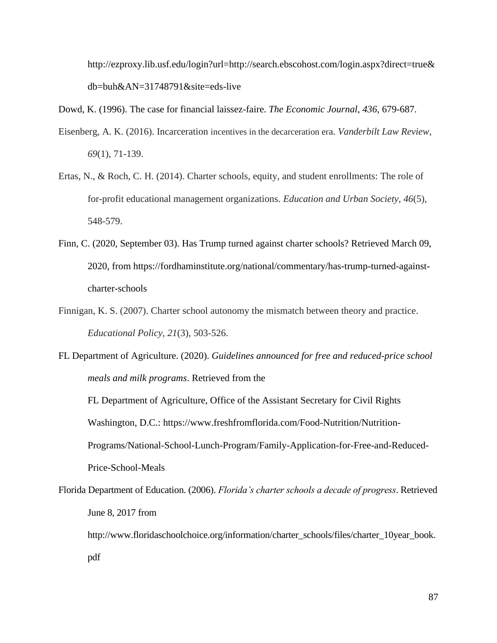http://ezproxy.lib.usf.edu/login?url=http://search.ebscohost.com/login.aspx?direct=true& db=buh&AN=31748791&site=eds-live

Dowd, K. (1996). The case for financial laissez-faire. *The Economic Journal*, *436*, 679-687.

- Eisenberg, A. K. (2016). Incarceration incentives in the decarceration era. *Vanderbilt Law Review*, *69*(1), 71-139.
- Ertas, N., & Roch, C. H. (2014). Charter schools, equity, and student enrollments: The role of for-profit educational management organizations. *Education and Urban Society*, *46*(5), 548-579.
- Finn, C. (2020, September 03). Has Trump turned against charter schools? Retrieved March 09, 2020, from https://fordhaminstitute.org/national/commentary/has-trump-turned-againstcharter-schools
- Finnigan, K. S. (2007). Charter school autonomy the mismatch between theory and practice. *Educational Policy*, *21*(3), 503-526.
- FL Department of Agriculture. (2020). *Guidelines announced for free and reduced-price school meals and milk programs*. Retrieved from the

FL Department of Agriculture, Office of the Assistant Secretary for Civil Rights Washington, D.C.: https://www.freshfromflorida.com/Food-Nutrition/Nutrition-Programs/National-School-Lunch-Program/Family-Application-for-Free-and-Reduced-Price-School-Meals

Florida Department of Education. (2006). *Florida's charter schools a decade of progress*. Retrieved June 8, 2017 from

http://www.floridaschoolchoice.org/information/charter\_schools/files/charter\_10year\_book. pdf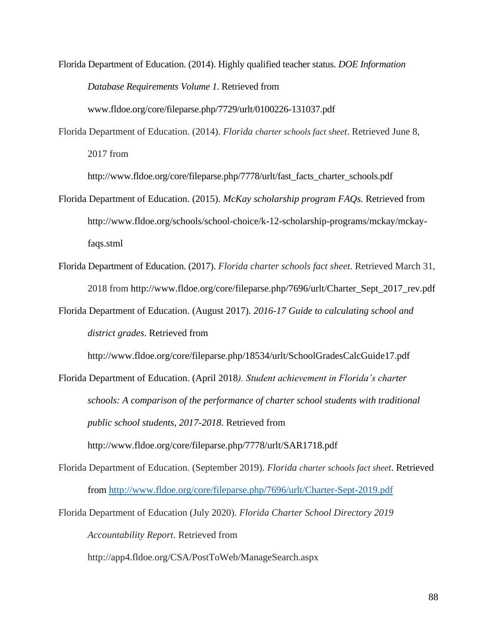Florida Department of Education. (2014). Highly qualified teacher status. *DOE Information Database Requirements Volume 1*. Retrieved from

www.fldoe.org/core/fileparse.php/7729/urlt/0100226-131037.pdf

Florida Department of Education. (2014). *Florida charter schools fact sheet*. Retrieved June 8, 2017 from

[http://www.fldoe.org/core/fileparse.php/7778/urlt/fast\\_facts\\_charter\\_schools.pdf](http://www.fldoe.org/core/fileparse.php/7778/urlt/fast_facts_charter_schools.pdf)

- Florida Department of Education. (2015). *McKay scholarship program FAQs.* Retrieved from http://www.fldoe.org/schools/school-choice/k-12-scholarship-programs/mckay/mckayfaqs.stml
- Florida Department of Education. (2017). *Florida charter schools fact sheet*. Retrieved March 31, 2018 from http://www.fldoe.org/core/fileparse.php/7696/urlt/Charter\_Sept\_2017\_rev.pdf
- Florida Department of Education. (August 2017). *2016-17 Guide to calculating school and district grades*. Retrieved from

<http://www.fldoe.org/core/fileparse.php/18534/urlt/SchoolGradesCalcGuide17.pdf>

Florida Department of Education. (April 2018*). Student achievement in Florida's charter schools: A comparison of the performance of charter school students with traditional public school students, 2017-2018*. Retrieved from http://www.fldoe.org/core/fileparse.php/7778/urlt/SAR1718.pdf

Florida Department of Education. (September 2019). *Florida charter schools fact sheet*. Retrieved from<http://www.fldoe.org/core/fileparse.php/7696/urlt/Charter-Sept-2019.pdf>

Florida Department of Education (July 2020). *Florida Charter School Directory 2019 Accountability Report.* Retrieved from

http://app4.fldoe.org/CSA/PostToWeb/ManageSearch.aspx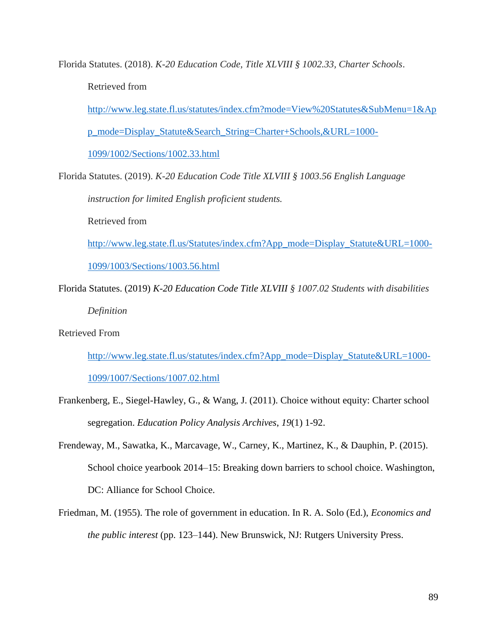Florida Statutes. (2018). *K-20 Education Code, Title XLVIII § 1002.33, Charter Schools*. Retrieved from

[http://www.leg.state.fl.us/statutes/index.cfm?mode=View%20Statutes&SubMenu=1&Ap](http://www.leg.state.fl.us/statutes/index.cfm?mode=View%20Statutes&SubMenu=1&App_mode=Display_Statute&Search_String=Charter+Schools,&URL=1000-1099/1002/Sections/1002.33.html) [p\\_mode=Display\\_Statute&Search\\_String=Charter+Schools,&URL=1000-](http://www.leg.state.fl.us/statutes/index.cfm?mode=View%20Statutes&SubMenu=1&App_mode=Display_Statute&Search_String=Charter+Schools,&URL=1000-1099/1002/Sections/1002.33.html)

[1099/1002/Sections/1002.33.html](http://www.leg.state.fl.us/statutes/index.cfm?mode=View%20Statutes&SubMenu=1&App_mode=Display_Statute&Search_String=Charter+Schools,&URL=1000-1099/1002/Sections/1002.33.html)

Florida Statutes. (2019). *K-20 Education Code Title XLVIII § 1003.56 English Language instruction for limited English proficient students.*

Retrieved from

[http://www.leg.state.fl.us/Statutes/index.cfm?App\\_mode=Display\\_Statute&URL=1000-](http://www.leg.state.fl.us/Statutes/index.cfm?App_mode=Display_Statute&URL=1000-1099/1003/Sections/1003.56.html)

[1099/1003/Sections/1003.56.html](http://www.leg.state.fl.us/Statutes/index.cfm?App_mode=Display_Statute&URL=1000-1099/1003/Sections/1003.56.html)

Florida Statutes. (2019) *K-20 Education Code Title XLVIII § 1007.02 Students with disabilities* 

*Definition*

Retrieved From

[http://www.leg.state.fl.us/statutes/index.cfm?App\\_mode=Display\\_Statute&URL=1000-](http://www.leg.state.fl.us/statutes/index.cfm?App_mode=Display_Statute&URL=1000-1099/1007/Sections/1007.02.html) [1099/1007/Sections/1007.02.html](http://www.leg.state.fl.us/statutes/index.cfm?App_mode=Display_Statute&URL=1000-1099/1007/Sections/1007.02.html)

- Frankenberg, E., Siegel-Hawley, G., & Wang, J. (2011). Choice without equity: Charter school segregation. *Education Policy Analysis Archives*, *19*(1) 1-92.
- Frendeway, M., Sawatka, K., Marcavage, W., Carney, K., Martinez, K., & Dauphin, P. (2015). School choice yearbook 2014–15: Breaking down barriers to school choice. Washington, DC: Alliance for School Choice.
- Friedman, M. (1955). The role of government in education. In R. A. Solo (Ed.), *Economics and the public interest* (pp. 123–144). New Brunswick, NJ: Rutgers University Press.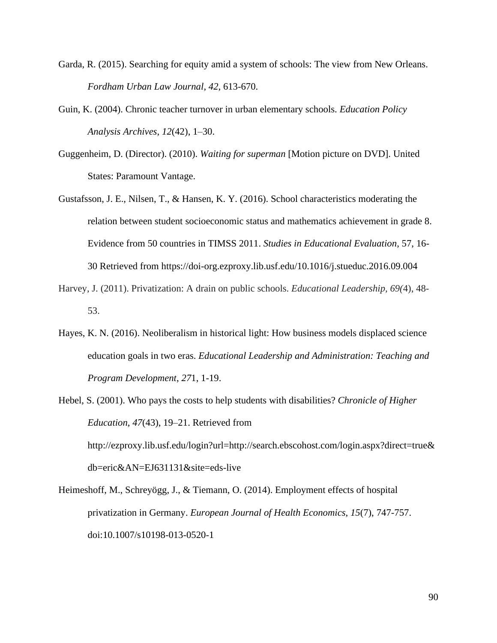- Garda, R. (2015). Searching for equity amid a system of schools: The view from New Orleans. *Fordham Urban Law Journal*, *42*, 613-670.
- Guin, K. (2004). Chronic teacher turnover in urban elementary schools. *Education Policy Analysis Archives*, *12*(42), 1–30.
- Guggenheim, D. (Director). (2010). *Waiting for superman* [Motion picture on DVD]. United States: Paramount Vantage.
- Gustafsson, J. E., Nilsen, T., & Hansen, K. Y. (2016). School characteristics moderating the relation between student socioeconomic status and mathematics achievement in grade 8. Evidence from 50 countries in TIMSS 2011. *Studies in Educational Evaluation*, 57, 16- 30 Retrieved from https://doi-org.ezproxy.lib.usf.edu/10.1016/j.stueduc.2016.09.004
- Harvey, J. (2011). Privatization: A drain on public schools. *Educational Leadership, 69(*4), 48- 53.
- Hayes, K. N. (2016). Neoliberalism in historical light: How business models displaced science education goals in two eras. *Educational Leadership and Administration: Teaching and Program Development*, *27*1, 1-19.
- Hebel, S. (2001). Who pays the costs to help students with disabilities? *Chronicle of Higher Education*, *47*(43), 19–21. Retrieved from http://ezproxy.lib.usf.edu/login?url=http://search.ebscohost.com/login.aspx?direct=true& db=eric&AN=EJ631131&site=eds-live
- Heimeshoff, M., Schreyögg, J., & Tiemann, O. (2014). Employment effects of hospital privatization in Germany. *European Journal of Health Economics*, *15*(7), 747-757. doi:10.1007/s10198-013-0520-1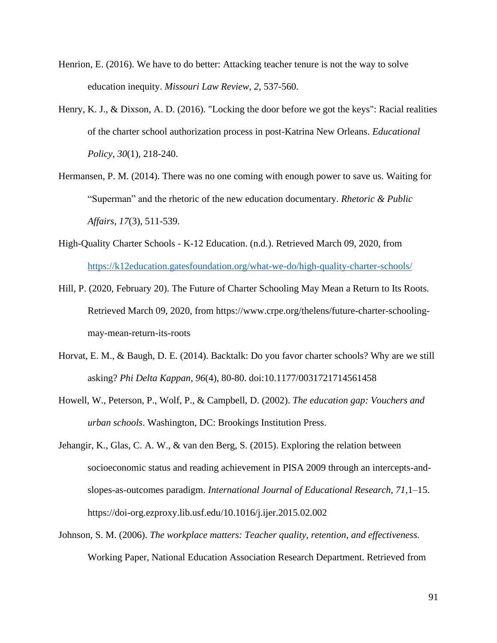- Henrion, E. (2016). We have to do better: Attacking teacher tenure is not the way to solve education inequity. *Missouri Law Review*, *2*, 537-560.
- Henry, K. J., & Dixson, A. D. (2016). "Locking the door before we got the keys": Racial realities of the charter school authorization process in post-Katrina New Orleans. *Educational Policy*, *30*(1), 218-240.
- Hermansen, P. M. (2014). There was no one coming with enough power to save us. Waiting for "Superman" and the rhetoric of the new education documentary. *Rhetoric & Public Affairs*, *17*(3), 511-539.
- High-Quality Charter Schools K-12 Education. (n.d.). Retrieved March 09, 2020, from <https://k12education.gatesfoundation.org/what-we-do/high-quality-charter-schools/>
- Hill, P. (2020, February 20). The Future of Charter Schooling May Mean a Return to Its Roots. Retrieved March 09, 2020, from https://www.crpe.org/thelens/future-charter-schoolingmay-mean-return-its-roots
- Horvat, E. M., & Baugh, D. E. (2014). Backtalk: Do you favor charter schools? Why are we still asking? *Phi Delta Kappan*, *96*(4), 80-80. doi:10.1177/0031721714561458
- Howell, W., Peterson, P., Wolf, P., & Campbell, D. (2002). *The education gap: Vouchers and urban schools*. Washington, DC: Brookings Institution Press.
- Jehangir, K., Glas, C. A. W., & van den Berg, S. (2015). Exploring the relation between socioeconomic status and reading achievement in PISA 2009 through an intercepts-andslopes-as-outcomes paradigm. *International Journal of Educational Research*, *71*,1–15. https://doi-org.ezproxy.lib.usf.edu/10.1016/j.ijer.2015.02.002
- Johnson, S. M. (2006). *The workplace matters: Teacher quality, retention, and effectiveness.*  Working Paper, National Education Association Research Department. Retrieved from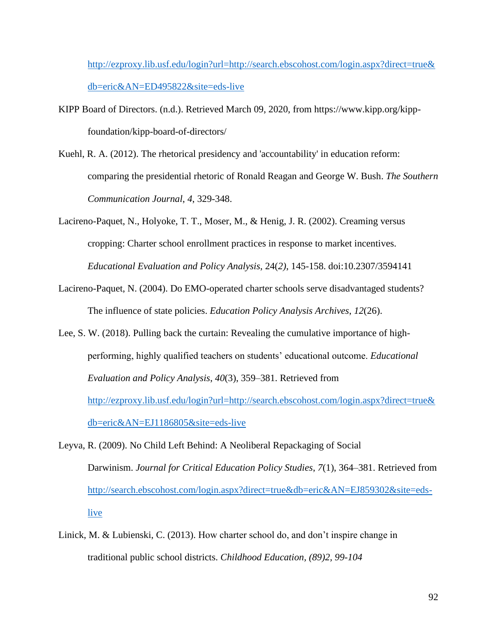[http://ezproxy.lib.usf.edu/login?url=http://search.ebscohost.com/login.aspx?direct=true&](http://ezproxy.lib.usf.edu/login?url=http://search.ebscohost.com/login.aspx?direct=true&db=eric&AN=ED495822&site=eds-live) [db=eric&AN=ED495822&site=eds-live](http://ezproxy.lib.usf.edu/login?url=http://search.ebscohost.com/login.aspx?direct=true&db=eric&AN=ED495822&site=eds-live)

- KIPP Board of Directors. (n.d.). Retrieved March 09, 2020, from https://www.kipp.org/kippfoundation/kipp-board-of-directors/
- Kuehl, R. A. (2012). The rhetorical presidency and 'accountability' in education reform: comparing the presidential rhetoric of Ronald Reagan and George W. Bush. *The Southern Communication Journal*, *4*, 329-348.
- Lacireno-Paquet, N., Holyoke, T. T., Moser, M., & Henig, J. R. (2002). Creaming versus cropping: Charter school enrollment practices in response to market incentives. *Educational Evaluation and Policy Analysis*, 24(*2)*, 145-158. doi:10.2307/3594141
- Lacireno-Paquet, N. (2004). Do EMO-operated charter schools serve disadvantaged students? The influence of state policies. *Education Policy Analysis Archives*, *12*(26).
- Lee, S. W. (2018). Pulling back the curtain: Revealing the cumulative importance of highperforming, highly qualified teachers on students' educational outcome. *Educational Evaluation and Policy Analysis*, *40*(3), 359–381. Retrieved from [http://ezproxy.lib.usf.edu/login?url=http://search.ebscohost.com/login.aspx?direct=true&](http://ezproxy.lib.usf.edu/login?url=http://search.ebscohost.com/login.aspx?direct=true&db=eric&AN=EJ1186805&site=eds-live) [db=eric&AN=EJ1186805&site=eds-live](http://ezproxy.lib.usf.edu/login?url=http://search.ebscohost.com/login.aspx?direct=true&db=eric&AN=EJ1186805&site=eds-live)
- Leyva, R. (2009). No Child Left Behind: A Neoliberal Repackaging of Social Darwinism. *Journal for Critical Education Policy Studies*, *7*(1), 364–381. Retrieved from [http://search.ebscohost.com/login.aspx?direct=true&db=eric&AN=EJ859302&site=eds](http://search.ebscohost.com/login.aspx?direct=true&db=eric&AN=EJ859302&site=eds-live)[live](http://search.ebscohost.com/login.aspx?direct=true&db=eric&AN=EJ859302&site=eds-live)
- Linick, M. & Lubienski, C. (2013). How charter school do, and don't inspire change in traditional public school districts. *Childhood Education, (89)2, 99-104*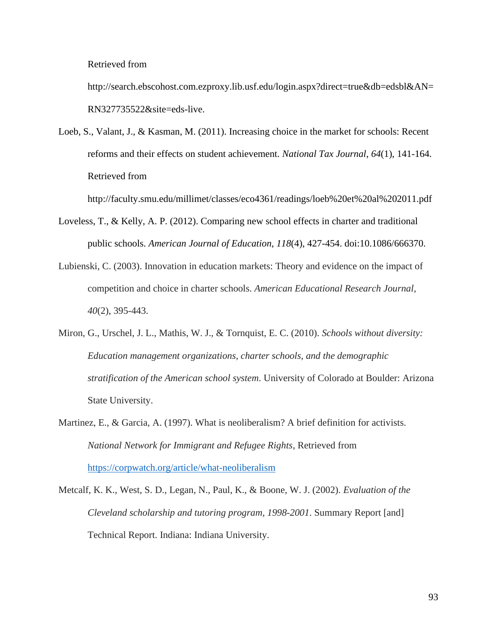Retrieved from

http://search.ebscohost.com.ezproxy.lib.usf.edu/login.aspx?direct=true&db=edsbl&AN= RN327735522&site=eds-live.

Loeb, S., Valant, J., & Kasman, M. (2011). Increasing choice in the market for schools: Recent reforms and their effects on student achievement. *National Tax Journal*, *64*(1), 141-164. Retrieved from

http://faculty.smu.edu/millimet/classes/eco4361/readings/loeb%20et%20al%202011.pdf

- Loveless, T., & Kelly, A. P. (2012). Comparing new school effects in charter and traditional public schools. *American Journal of Education*, *118*(4), 427-454. doi:10.1086/666370.
- Lubienski, C. (2003). Innovation in education markets: Theory and evidence on the impact of competition and choice in charter schools. *American Educational Research Journal*, *40*(2), 395-443.
- Miron, G., Urschel, J. L., Mathis, W. J., & Tornquist, E. C. (2010). *Schools without diversity: Education management organizations, charter schools, and the demographic stratification of the American school system*. University of Colorado at Boulder: Arizona State University.
- Martinez, E., & Garcia, A. (1997). What is neoliberalism? A brief definition for activists. *National Network for Immigrant and Refugee Rights*, Retrieved from <https://corpwatch.org/article/what-neoliberalism>
- Metcalf, K. K., West, S. D., Legan, N., Paul, K., & Boone, W. J. (2002). *Evaluation of the Cleveland scholarship and tutoring program, 1998-2001*. Summary Report [and] Technical Report. Indiana: Indiana University.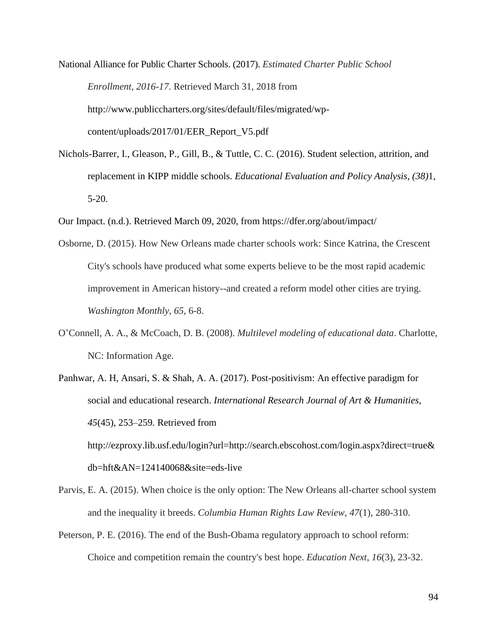National Alliance for Public Charter Schools. (2017). *Estimated Charter Public School Enrollment, 2016-17*. Retrieved March 31, 2018 from http://www.publiccharters.org/sites/default/files/migrated/wpcontent/uploads/2017/01/EER\_Report\_V5.pdf

- Nichols-Barrer, I., Gleason, P., Gill, B., & Tuttle, C. C. (2016). Student selection, attrition, and replacement in KIPP middle schools. *Educational Evaluation and Policy Analysis*, *(38)*1, 5-20.
- Our Impact. (n.d.). Retrieved March 09, 2020, from https://dfer.org/about/impact/
- Osborne, D. (2015). How New Orleans made charter schools work: Since Katrina, the Crescent City's schools have produced what some experts believe to be the most rapid academic improvement in American history--and created a reform model other cities are trying. *Washington Monthly*, *65*, 6-8.
- O'Connell, A. A., & McCoach, D. B. (2008). *Multilevel modeling of educational data*. Charlotte, NC: Information Age.
- Panhwar, A. H, Ansari, S. & Shah, A. A. (2017). Post-positivism: An effective paradigm for social and educational research. *International Research Journal of Art & Humanities*, *45*(45), 253–259. Retrieved from http://ezproxy.lib.usf.edu/login?url=http://search.ebscohost.com/login.aspx?direct=true& db=hft&AN=124140068&site=eds-live
- Parvis, E. A. (2015). When choice is the only option: The New Orleans all-charter school system and the inequality it breeds. *Columbia Human Rights Law Review*, *47*(1), 280-310.
- Peterson, P. E. (2016). The end of the Bush-Obama regulatory approach to school reform: Choice and competition remain the country's best hope. *Education Next*, *16*(3), 23-32.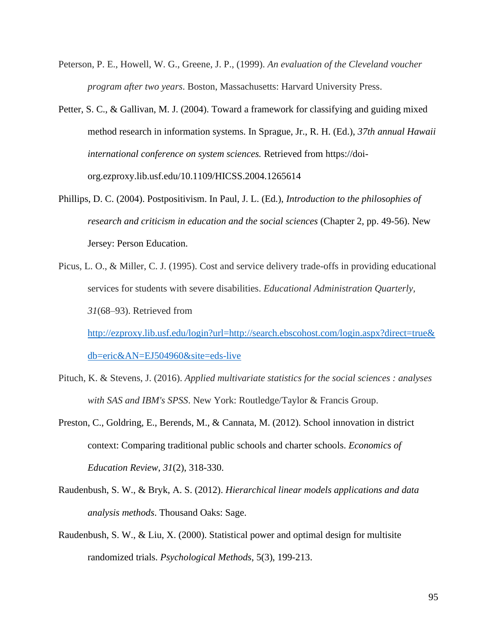- Peterson, P. E., Howell, W. G., Greene, J. P., (1999). *An evaluation of the Cleveland voucher program after two years*. Boston, Massachusetts: Harvard University Press.
- Petter, S. C., & Gallivan, M. J. (2004). Toward a framework for classifying and guiding mixed method research in information systems. In Sprague, Jr., R. H. (Ed.), *37th annual Hawaii international conference on system sciences.* Retrieved from [https://doi](https://doi-org.ezproxy.lib.usf.edu/10.1109/HICSS.2004.1265614)[org.ezproxy.lib.usf.edu/10.1109/HICSS.2004.1265614](https://doi-org.ezproxy.lib.usf.edu/10.1109/HICSS.2004.1265614)
- Phillips, D. C. (2004). Postpositivism. In Paul, J. L. (Ed.), *Introduction to the philosophies of research and criticism in education and the social sciences* (Chapter 2, pp. 49-56). New Jersey: Person Education.
- Picus, L. O., & Miller, C. J. (1995). Cost and service delivery trade-offs in providing educational services for students with severe disabilities. *Educational Administration Quarterly, 31*(68–93). Retrieved from

[http://ezproxy.lib.usf.edu/login?url=http://search.ebscohost.com/login.aspx?direct=true&](http://ezproxy.lib.usf.edu/login?url=http://search.ebscohost.com/login.aspx?direct=true&db=eric&AN=EJ504960&site=eds-live) [db=eric&AN=EJ504960&site=eds-live](http://ezproxy.lib.usf.edu/login?url=http://search.ebscohost.com/login.aspx?direct=true&db=eric&AN=EJ504960&site=eds-live)

- Pituch, K. & Stevens, J. (2016). *Applied multivariate statistics for the social sciences : analyses with SAS and IBM's SPSS*. New York: Routledge/Taylor & Francis Group.
- Preston, C., Goldring, E., Berends, M., & Cannata, M. (2012). School innovation in district context: Comparing traditional public schools and charter schools. *Economics of Education Review*, *31*(2), 318-330.
- Raudenbush, S. W., & Bryk, A. S. (2012). *Hierarchical linear models applications and data analysis methods*. Thousand Oaks: Sage.
- Raudenbush, S. W., & Liu, X. (2000). Statistical power and optimal design for multisite randomized trials. *Psychological Methods*, 5(3), 199-213.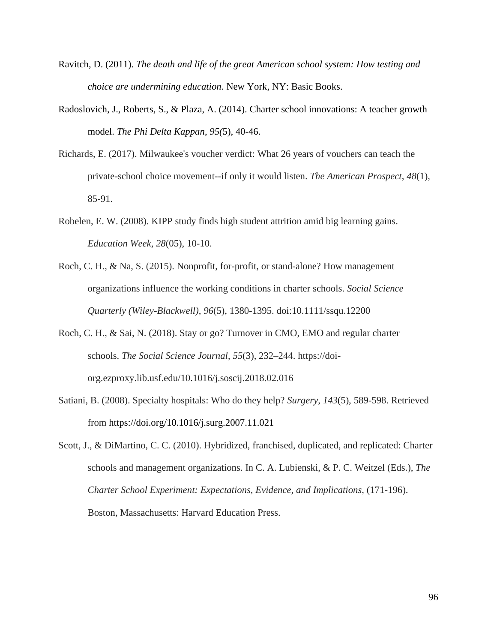- Ravitch, D. (2011). *The death and life of the great American school system: How testing and choice are undermining education*. New York, NY: Basic Books.
- Radoslovich, J., Roberts, S., & Plaza, A. (2014). Charter school innovations: A teacher growth model. *The Phi Delta Kappan*, *95(*5), 40-46.
- Richards, E. (2017). Milwaukee's voucher verdict: What 26 years of vouchers can teach the private-school choice movement--if only it would listen. *The American Prospect*, *48*(1), 85-91.
- Robelen, E. W. (2008). KIPP study finds high student attrition amid big learning gains. *Education Week*, *28*(05), 10-10.
- Roch, C. H., & Na, S. (2015). Nonprofit, for-profit, or stand-alone? How management organizations influence the working conditions in charter schools. *Social Science Quarterly (Wiley-Blackwell)*, *96*(5), 1380-1395. doi:10.1111/ssqu.12200
- Roch, C. H., & Sai, N. (2018). Stay or go? Turnover in CMO, EMO and regular charter schools. *The Social Science Journal*, *55*(3), 232–244. https://doiorg.ezproxy.lib.usf.edu/10.1016/j.soscij.2018.02.016
- Satiani, B. (2008). Specialty hospitals: Who do they help? *Surgery*, *143*(5), 589-598. Retrieved from https://doi.org/10.1016/j.surg.2007.11.021
- Scott, J., & DiMartino, C. C. (2010). Hybridized, franchised, duplicated, and replicated: Charter schools and management organizations. In C. A. Lubienski, & P. C. Weitzel (Eds.), *The Charter School Experiment: Expectations, Evidence, and Implications*, (171-196). Boston, Massachusetts: Harvard Education Press.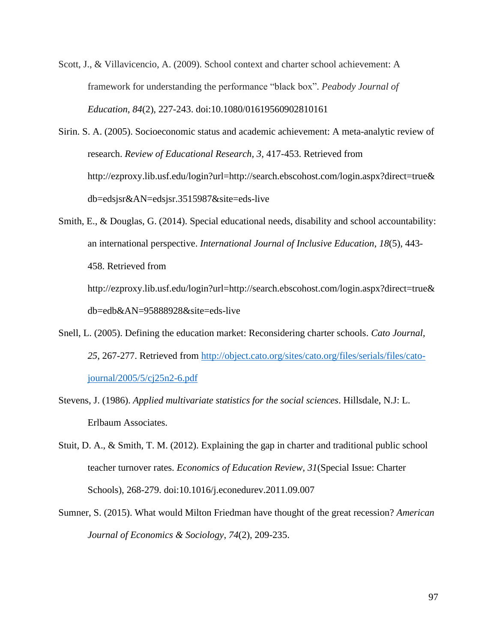- Scott, J., & Villavicencio, A. (2009). School context and charter school achievement: A framework for understanding the performance "black box". *Peabody Journal of Education*, *84*(2), 227-243. doi:10.1080/01619560902810161
- Sirin. S. A. (2005). Socioeconomic status and academic achievement: A meta-analytic review of research. *Review of Educational Research*, *3*, 417-453. Retrieved from [http://ezproxy.lib.usf.edu/login?url=http://search.ebscohost.com/login.aspx?direct=true&](http://ezproxy.lib.usf.edu/login?url=http://search.ebscohost.com/login.aspx?direct=true&db=edsjsr&AN=edsjsr.3515987&site=eds-live) [db=edsjsr&AN=edsjsr.3515987&site=eds-live](http://ezproxy.lib.usf.edu/login?url=http://search.ebscohost.com/login.aspx?direct=true&db=edsjsr&AN=edsjsr.3515987&site=eds-live)
- Smith, E., & Douglas, G. (2014). Special educational needs, disability and school accountability: an international perspective. *International Journal of Inclusive Education*, *18*(5), 443- 458. Retrieved from [http://ezproxy.lib.usf.edu/login?url=http://search.ebscohost.com/login.aspx?direct=true&](http://ezproxy.lib.usf.edu/login?url=http://search.ebscohost.com/login.aspx?direct=true&db=edb&AN=95888928&site=eds-live) [db=edb&AN=95888928&site=eds-live](http://ezproxy.lib.usf.edu/login?url=http://search.ebscohost.com/login.aspx?direct=true&db=edb&AN=95888928&site=eds-live)
- Snell, L. (2005). Defining the education market: Reconsidering charter schools. *Cato Journal, 25*, 267-277. Retrieved from [http://object.cato.org/sites/cato.org/files/serials/files/cato](http://object.cato.org/sites/cato.org/files/serials/files/cato-journal/2005/5/cj25n2-6.pdf)[journal/2005/5/cj25n2-6.pdf](http://object.cato.org/sites/cato.org/files/serials/files/cato-journal/2005/5/cj25n2-6.pdf)
- Stevens, J. (1986). *Applied multivariate statistics for the social sciences*. Hillsdale, N.J: L. Erlbaum Associates.
- Stuit, D. A., & Smith, T. M. (2012). Explaining the gap in charter and traditional public school teacher turnover rates. *Economics of Education Review*, *31*(Special Issue: Charter Schools), 268-279. doi:10.1016/j.econedurev.2011.09.007
- Sumner, S. (2015). What would Milton Friedman have thought of the great recession? *American Journal of Economics & Sociology*, *74*(2), 209-235.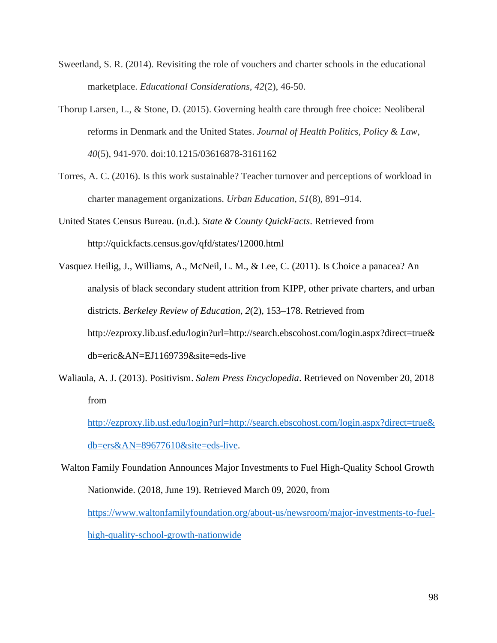- Sweetland, S. R. (2014). Revisiting the role of vouchers and charter schools in the educational marketplace. *Educational Considerations, 42*(2), 46-50.
- Thorup Larsen, L., & Stone, D. (2015). Governing health care through free choice: Neoliberal reforms in Denmark and the United States. *Journal of Health Politics, Policy & Law*, *40*(5), 941-970. doi:10.1215/03616878-3161162
- Torres, A. C. (2016). Is this work sustainable? Teacher turnover and perceptions of workload in charter management organizations. *Urban Education*, *51*(8), 891–914.
- United States Census Bureau. (n.d.). *State & County QuickFacts*. Retrieved from <http://quickfacts.census.gov/qfd/states/12000.html>
- Vasquez Heilig, J., Williams, A., McNeil, L. M., & Lee, C. (2011). Is Choice a panacea? An analysis of black secondary student attrition from KIPP, other private charters, and urban districts. *Berkeley Review of Education*, *2*(2), 153–178. Retrieved from http://ezproxy.lib.usf.edu/login?url=http://search.ebscohost.com/login.aspx?direct=true& db=eric&AN=EJ1169739&site=eds-live
- Waliaula, A. J. (2013). Positivism. *Salem Press Encyclopedia*. Retrieved on November 20, 2018 from
	- [http://ezproxy.lib.usf.edu/login?url=http://search.ebscohost.com/login.aspx?direct=true&](http://ezproxy.lib.usf.edu/login?url=http://search.ebscohost.com/login.aspx?direct=true&db=ers&AN=89677610&site=eds-live) [db=ers&AN=89677610&site=eds-live.](http://ezproxy.lib.usf.edu/login?url=http://search.ebscohost.com/login.aspx?direct=true&db=ers&AN=89677610&site=eds-live)
- Walton Family Foundation Announces Major Investments to Fuel High-Quality School Growth Nationwide. (2018, June 19). Retrieved March 09, 2020, from [https://www.waltonfamilyfoundation.org/about-us/newsroom/major-investments-to-fuel](https://www.waltonfamilyfoundation.org/about-us/newsroom/major-investments-to-fuel-high-quality-school-growth-nationwide)[high-quality-school-growth-nationwide](https://www.waltonfamilyfoundation.org/about-us/newsroom/major-investments-to-fuel-high-quality-school-growth-nationwide)